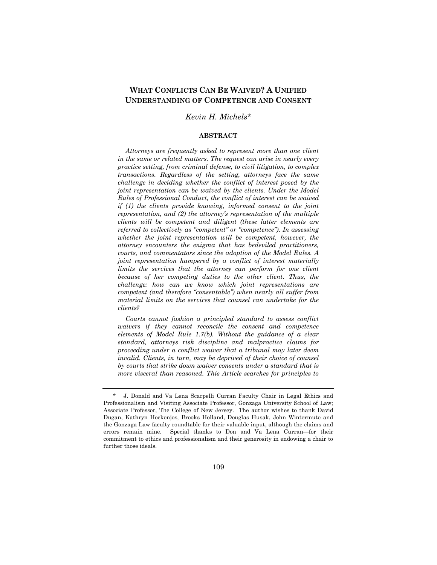# **WHAT CONFLICTS CAN BE WAIVED? A UNIFIED UNDERSTANDING OF COMPETENCE AND CONSENT**

## *Kevin H. Michels\**

#### **ABSTRACT**

*Attorneys are frequently asked to represent more than one client in the same or related matters. The request can arise in nearly every practice setting, from criminal defense, to civil litigation, to complex transactions. Regardless of the setting, attorneys face the same challenge in deciding whether the conflict of interest posed by the joint representation can be waived by the clients. Under the Model Rules of Professional Conduct, the conflict of interest can be waived if (1) the clients provide knowing, informed consent to the joint representation, and (2) the attorney's representation of the multiple clients will be competent and diligent (these latter elements are referred to collectively as "competent" or "competence"). In assessing whether the joint representation will be competent, however, the attorney encounters the enigma that has bedeviled practitioners, courts, and commentators since the adoption of the Model Rules. A joint representation hampered by a conflict of interest materially limits the services that the attorney can perform for one client because of her competing duties to the other client. Thus, the challenge: how can we know which joint representations are competent (and therefore "consentable") when nearly all suffer from material limits on the services that counsel can undertake for the clients?* 

*Courts cannot fashion a principled standard to assess conflict waivers if they cannot reconcile the consent and competence elements of Model Rule 1.7(b). Without the guidance of a clear standard, attorneys risk discipline and malpractice claims for proceeding under a conflict waiver that a tribunal may later deem invalid. Clients, in turn, may be deprived of their choice of counsel by courts that strike down waiver consents under a standard that is more visceral than reasoned. This Article searches for principles to* 

 <sup>\*</sup> J. Donald and Va Lena Scarpelli Curran Faculty Chair in Legal Ethics and Professionalism and Visiting Associate Professor, Gonzaga University School of Law; Associate Professor, The College of New Jersey. The author wishes to thank David Dugan, Kathryn Hockenjos, Brooks Holland, Douglas Husak, John Wintermute and the Gonzaga Law faculty roundtable for their valuable input, although the claims and errors remain mine. Special thanks to Don and Va Lena Curran—for their commitment to ethics and professionalism and their generosity in endowing a chair to further those ideals.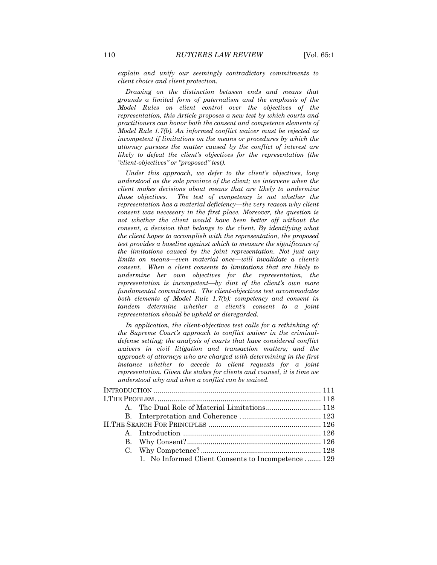*explain and unify our seemingly contradictory commitments to client choice and client protection.* 

*Drawing on the distinction between ends and means that grounds a limited form of paternalism and the emphasis of the Model Rules on client control over the objectives of the representation, this Article proposes a new test by which courts and practitioners can honor both the consent and competence elements of Model Rule 1.7(b). An informed conflict waiver must be rejected as incompetent if limitations on the means or procedures by which the attorney pursues the matter caused by the conflict of interest are likely to defeat the client's objectives for the representation (the "client-objectives" or "proposed" test).*

*Under this approach, we defer to the client's objectives, long understood as the sole province of the client; we intervene when the client makes decisions about means that are likely to undermine those objectives. The test of competency is not whether the representation has a material deficiency—the very reason why client consent was necessary in the first place. Moreover, the question is*  not whether the client would have been better off without the *consent, a decision that belongs to the client. By identifying what the client hopes to accomplish with the representation, the proposed test provides a baseline against which to measure the significance of the limitations caused by the joint representation. Not just any limits on means—even material ones—will invalidate a client's consent. When a client consents to limitations that are likely to undermine her own objectives for the representation, the representation is incompetent—by dint of the client's own more fundamental commitment. The client-objectives test accommodates both elements of Model Rule 1.7(b): competency and consent in tandem determine whether a client's consent to a joint representation should be upheld or disregarded.*

*In application, the client-objectives test calls for a rethinking of: the Supreme Court's approach to conflict waiver in the criminaldefense setting; the analysis of courts that have considered conflict waivers in civil litigation and transaction matters; and the approach of attorneys who are charged with determining in the first instance whether to accede to client requests for a joint representation. Given the stakes for clients and counsel, it is time we understood why and when a conflict can be waived.* 

|  | 1. No Informed Client Consents to Incompetence  129 |  |
|--|-----------------------------------------------------|--|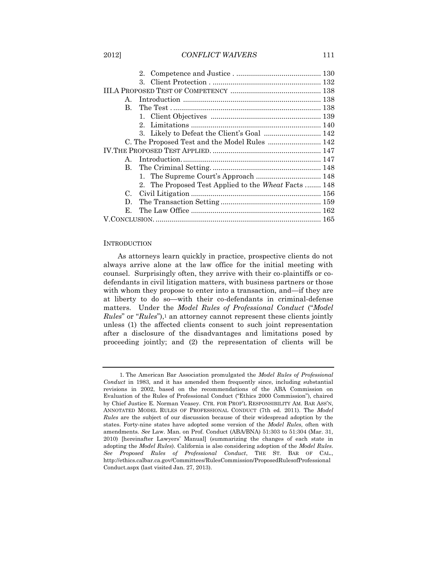## 2012] *CONFLICT WAIVERS* 111

|                                               | $3_{-}$                                              |  |
|-----------------------------------------------|------------------------------------------------------|--|
|                                               |                                                      |  |
| $\mathbf{A}$ .                                |                                                      |  |
| B.                                            |                                                      |  |
|                                               |                                                      |  |
|                                               |                                                      |  |
|                                               | 3. Likely to Defeat the Client's Goal  142           |  |
| C. The Proposed Test and the Model Rules  142 |                                                      |  |
|                                               |                                                      |  |
| $\mathbf{A}$                                  |                                                      |  |
|                                               |                                                      |  |
|                                               |                                                      |  |
|                                               | 2. The Proposed Test Applied to the Wheat Facts  148 |  |
| $C_{\cdot}$                                   |                                                      |  |
| D.                                            |                                                      |  |
| E.                                            |                                                      |  |
|                                               |                                                      |  |

## **INTRODUCTION**

<span id="page-2-0"></span>As attorneys learn quickly in practice, prospective clients do not always arrive alone at the law office for the initial meeting with counsel. Surprisingly often, they arrive with their co-plaintiffs or codefendants in civil litigation matters, with business partners or those with whom they propose to enter into a transaction, and—if they are at liberty to do so—with their co-defendants in criminal-defense matters. Under the *Model Rules of Professional Conduct* ("*Model Rules*" or "*Rules*"),<sup>1</sup> an attorney cannot represent these clients jointly unless (1) the affected clients consent to such joint representation after a disclosure of the disadvantages and limitations posed by proceeding jointly; and (2) the representation of clients will be

<sup>1.</sup> The American Bar Association promulgated the *Model Rules of Professional Conduct* in 1983, and it has amended them frequently since, including substantial revisions in 2002, based on the recommendations of the ABA Commission on Evaluation of the Rules of Professional Conduct ("Ethics 2000 Commission"), chaired by Chief Justice E. Norman Veasey. CTR. FOR PROF'L RESPONSIBILITY AM. BAR ASS'N, ANNOTATED MODEL RULES OF PROFESSIONAL CONDUCT (7th ed. 2011). The *Model Rules* are the subject of our discussion because of their widespread adoption by the states. Forty-nine states have adopted some version of the *Model Rules*, often with amendments. *See* Law. Man. on Prof. Conduct (ABA/BNA) 51:303 to 51:304 (Mar. 31, 2010) [hereinafter Lawyers' Manual] (summarizing the changes of each state in adopting the *Model Rules*). California is also considering adoption of the *Model Rules*. *See Proposed Rules of Professional Conduct*, THE ST. BAR OF CAL., http://ethics.calbar.ca.gov/Committees/RulesCommission/ProposedRulesofProfessional Conduct.aspx (last visited Jan. 27, 2013).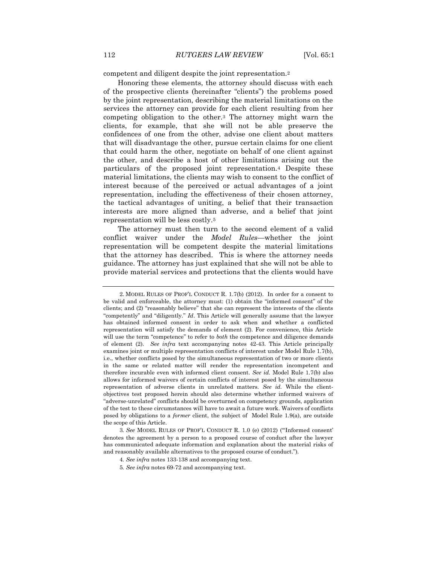competent and diligent despite the joint representation.<sup>2</sup>

Honoring these elements, the attorney should discuss with each of the prospective clients (hereinafter "clients") the problems posed by the joint representation, describing the material limitations on the services the attorney can provide for each client resulting from her competing obligation to the other.<sup>3</sup> The attorney might warn the clients, for example, that she will not be able preserve the confidences of one from the other, advise one client about matters that will disadvantage the other, pursue certain claims for one client that could harm the other, negotiate on behalf of one client against the other, and describe a host of other limitations arising out the particulars of the proposed joint representation.<sup>4</sup> Despite these material limitations, the clients may wish to consent to the conflict of interest because of the perceived or actual advantages of a joint representation, including the effectiveness of their chosen attorney, the tactical advantages of uniting, a belief that their transaction interests are more aligned than adverse, and a belief that joint representation will be less costly.<sup>5</sup>

The attorney must then turn to the second element of a valid conflict waiver under the *Model Rules*—whether the joint representation will be competent despite the material limitations that the attorney has described. This is where the attorney needs guidance. The attorney has just explained that she will not be able to provide material services and protections that the clients would have

<sup>2.</sup> MODEL RULES OF PROF'L CONDUCT R. 1.7(b) (2012). In order for a consent to be valid and enforceable, the attorney must: (1) obtain the "informed consent" of the clients; and (2) "reasonably believe" that she can represent the interests of the clients "competently" and "diligently." *Id*. This Article will generally assume that the lawyer has obtained informed consent in order to ask when and whether a conflicted representation will satisfy the demands of element (2). For convenience, this Article will use the term "competence" to refer to *both* the competence and diligence demands of element (2). *See infra* text accompanying notes 42-43. This Article principally examines joint or multiple representation conflicts of interest under Model Rule 1.7(b), i.e., whether conflicts posed by the simultaneous representation of two or more clients in the same or related matter will render the representation incompetent and therefore incurable even with informed client consent. *See id.* Model Rule 1.7(b) also allows for informed waivers of certain conflicts of interest posed by the simultaneous representation of adverse clients in unrelated matters. *See id.* While the clientobjectives test proposed herein should also determine whether informed waivers of "adverse-unrelated" conflicts should be overturned on competency grounds, application of the test to these circumstances will have to await a future work. Waivers of conflicts posed by obligations to a *former* client, the subject of Model Rule 1.9(a), are outside the scope of this Article.

<sup>3</sup>*. See* MODEL RULES OF PROF'L CONDUCT R. 1.0 (e) (2012) ("'Informed consent' denotes the agreement by a person to a proposed course of conduct after the lawyer has communicated adequate information and explanation about the material risks of and reasonably available alternatives to the proposed course of conduct.").

<sup>4</sup>*. See infra* notes 133-138 and accompanying text.

<sup>5</sup>*. See infra* notes 69-72 and accompanying text.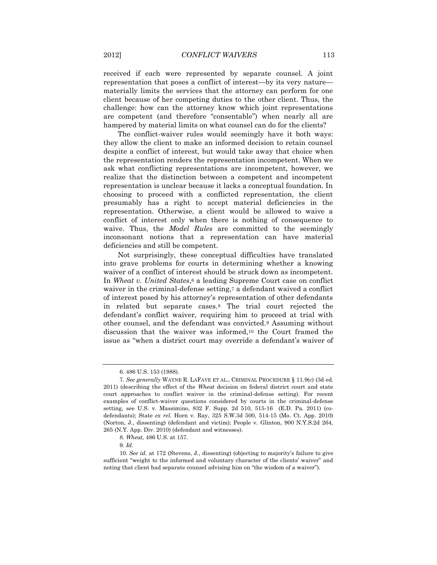received if each were represented by separate counsel. A joint representation that poses a conflict of interest—by its very nature materially limits the services that the attorney can perform for one client because of her competing duties to the other client. Thus, the challenge: how can the attorney know which joint representations are competent (and therefore "consentable") when nearly all are hampered by material limits on what counsel can do for the clients?

The conflict-waiver rules would seemingly have it both ways: they allow the client to make an informed decision to retain counsel despite a conflict of interest, but would take away that choice when the representation renders the representation incompetent. When we ask what conflicting representations are incompetent, however, we realize that the distinction between a competent and incompetent representation is unclear because it lacks a conceptual foundation. In choosing to proceed with a conflicted representation, the client presumably has a right to accept material deficiencies in the representation. Otherwise, a client would be allowed to waive a conflict of interest only when there is nothing of consequence to waive. Thus, the *Model Rules* are committed to the seemingly inconsonant notions that a representation can have material deficiencies and still be competent.

Not surprisingly, these conceptual difficulties have translated into grave problems for courts in determining whether a knowing waiver of a conflict of interest should be struck down as incompetent. In *Wheat v. United States*,<sup>6</sup> a leading Supreme Court case on conflict waiver in the criminal-defense setting,<sup>7</sup> a defendant waived a conflict of interest posed by his attorney's representation of other defendants in related but separate cases.<sup>8</sup> The trial court rejected the defendant's conflict waiver, requiring him to proceed at trial with other counsel, and the defendant was convicted.<sup>9</sup> Assuming without discussion that the waiver was informed,<sup>10</sup> the Court framed the issue as "when a district court may override a defendant's waiver of

<sup>6.</sup> 486 U.S. 153 (1988).

<sup>7</sup>*. See generally* WAYNE R. LAFAVE ET AL., CRIMINAL PROCEDURE § 11.9(c) (3d ed. 2011) (describing the effect of the *Wheat* decision on federal district court and state court approaches to conflict waiver in the criminal-defense setting). For recent examples of conflict-waiver questions considered by courts in the criminal-defense setting, see U.S. v. Massimino, 832 F. Supp. 2d 510, 515-16 (E.D. Pa. 2011) (codefendants); State *ex rel.* Horn v. Ray, 325 S.W.3d 500, 514-15 (Mo. Ct. App. 2010) (Norton, J., dissenting) (defendant and victim); People v. Glinton, 900 N.Y.S.2d 264, 265 (N.Y. App. Div. 2010) (defendant and witnesses).

<sup>8</sup>*. Wheat,* 486 U.S. at 157.

<sup>9</sup>*. Id.*

<sup>10</sup>*. See id.* at 172 (Stevens, J., dissenting) (objecting to majority's failure to give sufficient "weight to the informed and voluntary character of the clients' waiver" and noting that client had separate counsel advising him on "the wisdom of a waiver").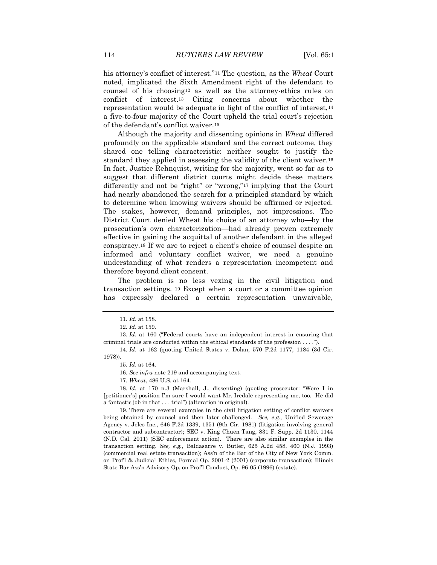his attorney's conflict of interest."<sup>11</sup> The question, as the *Wheat* Court noted, implicated the Sixth Amendment right of the defendant to counsel of his choosing<sup>12</sup> as well as the attorney-ethics rules on conflict of interest.<sup>13</sup> Citing concerns about whether the representation would be adequate in light of the conflict of interest,<sup>14</sup> a five-to-four majority of the Court upheld the trial court's rejection of the defendant's conflict waiver.<sup>15</sup>

Although the majority and dissenting opinions in *Wheat* differed profoundly on the applicable standard and the correct outcome, they shared one telling characteristic: neither sought to justify the standard they applied in assessing the validity of the client waiver.<sup>16</sup> In fact, Justice Rehnquist, writing for the majority, went so far as to suggest that different district courts might decide these matters differently and not be "right" or "wrong,"<sup>17</sup> implying that the Court had nearly abandoned the search for a principled standard by which to determine when knowing waivers should be affirmed or rejected. The stakes, however, demand principles, not impressions. The District Court denied Wheat his choice of an attorney who—by the prosecution's own characterization—had already proven extremely effective in gaining the acquittal of another defendant in the alleged conspiracy.<sup>18</sup> If we are to reject a client's choice of counsel despite an informed and voluntary conflict waiver, we need a genuine understanding of what renders a representation incompetent and therefore beyond client consent.

The problem is no less vexing in the civil litigation and transaction settings. <sup>19</sup> Except when a court or a committee opinion has expressly declared a certain representation unwaivable,

13*. Id*. at 160 ("Federal courts have an independent interest in ensuring that criminal trials are conducted within the ethical standards of the profession . . . .").

14*. Id*. at 162 (quoting United States v. Dolan, 570 F.2d 1177, 1184 (3d Cir. 1978)).

15*. Id*. at 164.

16*. See infra* note 219 and accompanying text.

17*. Wheat*, 486 U.S. at 164.

18*. Id.* at 170 n.3 (Marshall, J., dissenting) (quoting prosecutor: "Were I in [petitioner's] position I'm sure I would want Mr. Iredale representing me, too. He did a fantastic job in that . . . trial") (alteration in original).

19. There are several examples in the civil litigation setting of conflict waivers being obtained by counsel and then later challenged. *See, e.g.,* Unified Sewerage Agency v. Jelco Inc., 646 F.2d 1339, 1351 (9th Cir. 1981) (litigation involving general contractor and subcontractor); SEC v. King Chuen Tang, 831 F. Supp. 2d 1130, 1144 (N.D. Cal. 2011) (SEC enforcement action). There are also similar examples in the transaction setting. *See, e.g.,* Baldasarre v. Butler, 625 A.2d 458, 460 (N.J. 1993) (commercial real estate transaction); Ass'n of the Bar of the City of New York Comm. on Prof'l & Judicial Ethics, Formal Op. 2001-2 (2001) (corporate transaction); Illinois State Bar Ass'n Advisory Op. on Prof'l Conduct, Op. 96-05 (1996) (estate).

<sup>11</sup>*. Id*. at 158.

<sup>12</sup>*. Id*. at 159.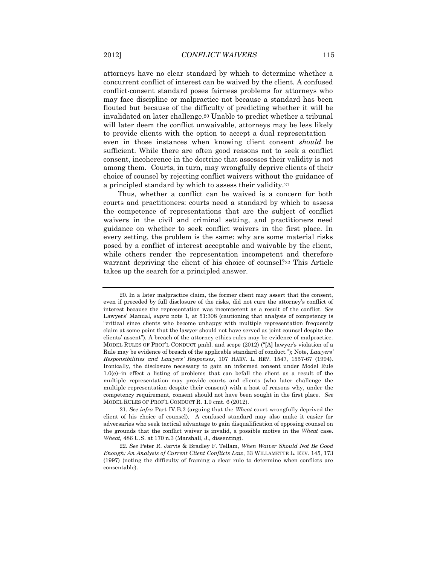attorneys have no clear standard by which to determine whether a concurrent conflict of interest can be waived by the client. A confused conflict-consent standard poses fairness problems for attorneys who may face discipline or malpractice not because a standard has been flouted but because of the difficulty of predicting whether it will be invalidated on later challenge.<sup>20</sup> Unable to predict whether a tribunal will later deem the conflict unwaivable, attorneys may be less likely to provide clients with the option to accept a dual representation even in those instances when knowing client consent *should* be sufficient. While there are often good reasons not to seek a conflict consent, incoherence in the doctrine that assesses their validity is not among them. Courts, in turn, may wrongfully deprive clients of their choice of counsel by rejecting conflict waivers without the guidance of a principled standard by which to assess their validity.<sup>21</sup>

Thus, whether a conflict can be waived is a concern for both courts and practitioners: courts need a standard by which to assess the competence of representations that are the subject of conflict waivers in the civil and criminal setting, and practitioners need guidance on whether to seek conflict waivers in the first place. In every setting, the problem is the same: why are some material risks posed by a conflict of interest acceptable and waivable by the client, while others render the representation incompetent and therefore warrant depriving the client of his choice of counsel?<sup>22</sup> This Article takes up the search for a principled answer.

<sup>20.</sup> In a later malpractice claim, the former client may assert that the consent, even if preceded by full disclosure of the risks, did not cure the attorney's conflict of interest because the representation was incompetent as a result of the conflict. *See* Lawyers' Manual, *supra* note 1, at 51:308 (cautioning that analysis of competency is "critical since clients who become unhappy with multiple representation frequently claim at some point that the lawyer should not have served as joint counsel despite the clients' assent"). A breach of the attorney ethics rules may be evidence of malpractice. MODEL RULES OF PROF'L CONDUCT pmbl. and scope (2012) ("[A] lawyer's violation of a Rule may be evidence of breach of the applicable standard of conduct."); Note, *Lawyers' Responsibilities and Lawyers' Responses*, 107 HARV. L. REV. 1547, 1557-67 (1994). Ironically, the disclosure necessary to gain an informed consent under Model Rule 1.0(e)–in effect a listing of problems that can befall the client as a result of the multiple representation–may provide courts and clients (who later challenge the multiple representation despite their consent) with a host of reasons why, under the competency requirement, consent should not have been sought in the first place. *See*  MODEL RULES OF PROF'L CONDUCT R. 1.0 cmt. 6 (2012).

<sup>21</sup>*. See infra* Part IV.B.2 (arguing that the *Wheat* court wrongfully deprived the client of his choice of counsel). A confused standard may also make it easier for adversaries who seek tactical advantage to gain disqualification of opposing counsel on the grounds that the conflict waiver is invalid, a possible motive in the *Wheat* case. *Wheat,* 486 U.S. at 170 n.3 (Marshall, J., dissenting).

<sup>22</sup>*. See* Peter R. Jarvis & Bradley F. Tellam, *When Waiver Should Not Be Good Enough: An Analysis of Current Client Conflicts Law*, 33 WILLAMETTE L. REV. 145, 173 (1997) (noting the difficulty of framing a clear rule to determine when conflicts are consentable).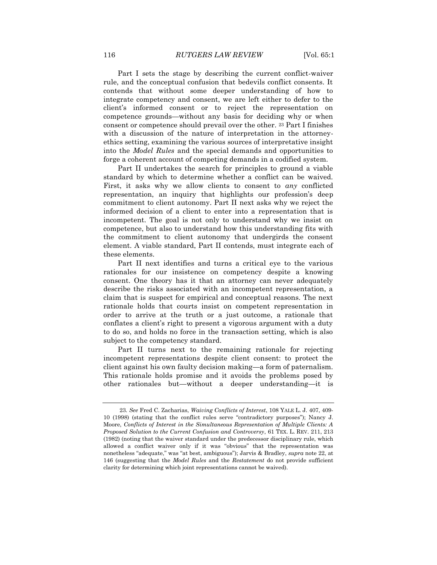Part I sets the stage by describing the current conflict-waiver rule, and the conceptual confusion that bedevils conflict consents. It contends that without some deeper understanding of how to integrate competency and consent, we are left either to defer to the client's informed consent or to reject the representation on competence grounds—without any basis for deciding why or when consent or competence should prevail over the other. <sup>23</sup> Part I finishes with a discussion of the nature of interpretation in the attorneyethics setting, examining the various sources of interpretative insight into the *Model Rules* and the special demands and opportunities to forge a coherent account of competing demands in a codified system.

Part II undertakes the search for principles to ground a viable standard by which to determine whether a conflict can be waived. First, it asks why we allow clients to consent to *any* conflicted representation, an inquiry that highlights our profession's deep commitment to client autonomy. Part II next asks why we reject the informed decision of a client to enter into a representation that is incompetent. The goal is not only to understand why we insist on competence, but also to understand how this understanding fits with the commitment to client autonomy that undergirds the consent element. A viable standard, Part II contends, must integrate each of these elements.

Part II next identifies and turns a critical eye to the various rationales for our insistence on competency despite a knowing consent. One theory has it that an attorney can never adequately describe the risks associated with an incompetent representation, a claim that is suspect for empirical and conceptual reasons. The next rationale holds that courts insist on competent representation in order to arrive at the truth or a just outcome, a rationale that conflates a client's right to present a vigorous argument with a duty to do so, and holds no force in the transaction setting, which is also subject to the competency standard.

Part II turns next to the remaining rationale for rejecting incompetent representations despite client consent: to protect the client against his own faulty decision making—a form of paternalism. This rationale holds promise and it avoids the problems posed by other rationales but—without a deeper understanding—it is

<sup>23</sup>*. See* Fred C. Zacharias, *Waiving Conflicts of Interest*, 108 YALE L. J. 407, 409- 10 (1998) (stating that the conflict rules serve "contradictory purposes"); Nancy J. Moore, *Conflicts of Interest in the Simultaneous Representation of Multiple Clients: A Proposed Solution to the Current Confusion and Controversy*, 61 TEX. L. REV. 211, 213 (1982) (noting that the waiver standard under the predecessor disciplinary rule, which allowed a conflict waiver only if it was "obvious" that the representation was nonetheless "adequate," was "at best, ambiguous"); Jarvis & Bradley, *supra* note 22, at 146 (suggesting that the *Model Rules* and the *Restatement* do not provide sufficient clarity for determining which joint representations cannot be waived).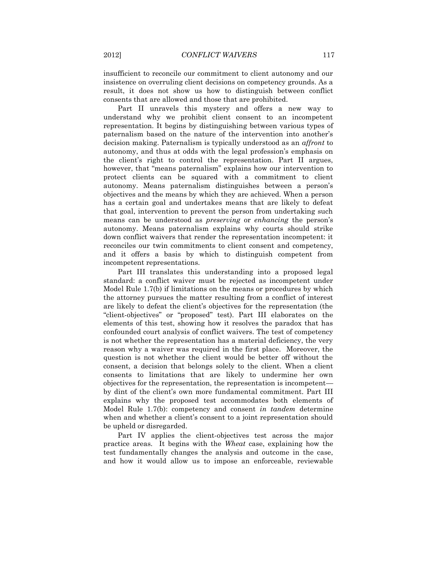insufficient to reconcile our commitment to client autonomy and our insistence on overruling client decisions on competency grounds. As a result, it does not show us how to distinguish between conflict consents that are allowed and those that are prohibited.

Part II unravels this mystery and offers a new way to understand why we prohibit client consent to an incompetent representation. It begins by distinguishing between various types of paternalism based on the nature of the intervention into another's decision making. Paternalism is typically understood as an *affront* to autonomy, and thus at odds with the legal profession's emphasis on the client's right to control the representation. Part II argues, however, that "means paternalism" explains how our intervention to protect clients can be squared with a commitment to client autonomy. Means paternalism distinguishes between a person's objectives and the means by which they are achieved. When a person has a certain goal and undertakes means that are likely to defeat that goal, intervention to prevent the person from undertaking such means can be understood as *preserving* or *enhancing* the person's autonomy. Means paternalism explains why courts should strike down conflict waivers that render the representation incompetent: it reconciles our twin commitments to client consent and competency, and it offers a basis by which to distinguish competent from incompetent representations.

Part III translates this understanding into a proposed legal standard: a conflict waiver must be rejected as incompetent under Model Rule 1.7(b) if limitations on the means or procedures by which the attorney pursues the matter resulting from a conflict of interest are likely to defeat the client's objectives for the representation (the "client-objectives" or "proposed" test). Part III elaborates on the elements of this test, showing how it resolves the paradox that has confounded court analysis of conflict waivers. The test of competency is not whether the representation has a material deficiency, the very reason why a waiver was required in the first place. Moreover, the question is not whether the client would be better off without the consent, a decision that belongs solely to the client. When a client consents to limitations that are likely to undermine her own objectives for the representation, the representation is incompetent by dint of the client's own more fundamental commitment. Part III explains why the proposed test accommodates both elements of Model Rule 1.7(b): competency and consent *in tandem* determine when and whether a client's consent to a joint representation should be upheld or disregarded.

Part IV applies the client-objectives test across the major practice areas. It begins with the *Wheat* case, explaining how the test fundamentally changes the analysis and outcome in the case, and how it would allow us to impose an enforceable, reviewable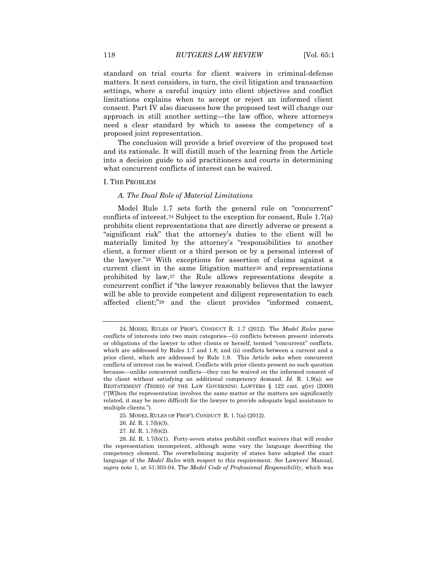standard on trial courts for client waivers in criminal-defense matters. It next considers, in turn, the civil litigation and transaction settings, where a careful inquiry into client objectives and conflict limitations explains when to accept or reject an informed client consent. Part IV also discusses how the proposed test will change our approach in still another setting—the law office, where attorneys need a clear standard by which to assess the competency of a proposed joint representation.

The conclusion will provide a brief overview of the proposed test and its rationale. It will distill much of the learning from the Article into a decision guide to aid practitioners and courts in determining what concurrent conflicts of interest can be waived.

#### I. THE PROBLEM

### *A. The Dual Role of Material Limitations*

Model Rule 1.7 sets forth the general rule on "concurrent" conflicts of interest.<sup>24</sup> Subject to the exception for consent, Rule 1.7(a) prohibits client representations that are directly adverse or present a "significant risk" that the attorney's duties to the client will be materially limited by the attorney's "responsibilities to another client, a former client or a third person or by a personal interest of the lawyer."<sup>25</sup> With exceptions for assertion of claims against a current client in the same litigation matter<sup>26</sup> and representations prohibited by law,<sup>27</sup> the Rule allows representations despite a concurrent conflict if "the lawyer reasonably believes that the lawyer will be able to provide competent and diligent representation to each affected client;"<sup>28</sup> and the client provides "informed consent,

<sup>24.</sup> MODEL RULES OF PROF'L CONDUCT R. 1.7 (2012). The *Model Rules* parse conflicts of interests into two main categories—(i) conflicts between present interests or obligations of the lawyer to other clients or herself, termed "concurrent" conflicts, which are addressed by Rules 1.7 and 1.8; and (ii) conflicts between a current and a prior client, which are addressed by Rule 1.9. This Article asks when concurrent conflicts of interest can be waived. Conflicts with prior clients present no such question because—unlike concurrent conflicts—they can be waived on the informed consent of the client without satisfying an additional competency demand. *Id.* R. 1.9(a); *see* RESTATEMENT (THIRD) OF THE LAW GOVERNING LAWYERS § 122 cmt. g(iv) (2000) ("[W]hen the representation involves the same matter or the matters are significantly related, it may be more difficult for the lawyer to provide adequate legal assistance to multiple clients.").

<sup>25.</sup> MODEL RULES OF PROF'L CONDUCT R. 1.7(a) (2012).

<sup>26</sup>*. Id.* R. 1.7(b)(3).

<sup>27</sup>*. Id.* R. 1.7(b)(2).

<sup>28</sup>*. Id.* R. 1.7(b)(1). Forty-seven states prohibit conflict waivers that will render the representation incompetent, although some vary the language describing the competency element. The overwhelming majority of states have adopted the exact language of the *Model Rules* with respect to this requirement. *See* Lawyers' Manual*, supra* note 1, at 51:303-04. The *Model Code of Professional Responsibility*, which was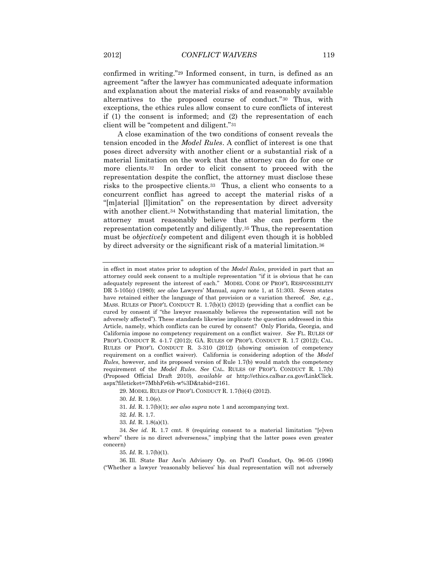confirmed in writing."<sup>29</sup> Informed consent, in turn, is defined as an agreement "after the lawyer has communicated adequate information and explanation about the material risks of and reasonably available alternatives to the proposed course of conduct."<sup>30</sup> Thus, with exceptions, the ethics rules allow consent to cure conflicts of interest if (1) the consent is informed; and (2) the representation of each client will be "competent and diligent."<sup>31</sup>

A close examination of the two conditions of consent reveals the tension encoded in the *Model Rules*. A conflict of interest is one that poses direct adversity with another client or a substantial risk of a material limitation on the work that the attorney can do for one or more clients.32 In order to elicit consent to proceed with the representation despite the conflict, the attorney must disclose these risks to the prospective clients.33 Thus, a client who consents to a concurrent conflict has agreed to accept the material risks of a "[m]aterial [l]imitation" on the representation by direct adversity with another client.<sup>34</sup> Notwithstanding that material limitation, the attorney must reasonably believe that she can perform the representation competently and diligently.<sup>35</sup> Thus, the representation must be *objectively* competent and diligent even though it is hobbled by direct adversity or the significant risk of a material limitation.<sup>36</sup>

35*. Id.* R. 1.7(b)(1).

in effect in most states prior to adoption of the *Model Rules*, provided in part that an attorney could seek consent to a multiple representation "if it is obvious that he can adequately represent the interest of each." MODEL CODE OF PROF'L RESPONSIBILITY DR 5-105(c) (1980); *see also* Lawyers' Manual*, supra* note 1, at 51:303. Seven states have retained either the language of that provision or a variation thereof. *See, e.g.*, MASS. RULES OF PROF'L CONDUCT R. 1.7(b)(1) (2012) (providing that a conflict can be cured by consent if "the lawyer reasonably believes the representation will not be adversely affected"). These standards likewise implicate the question addressed in this Article, namely, which conflicts can be cured by consent? Only Florida, Georgia, and California impose no competency requirement on a conflict waiver. *See* FL. RULES OF PROF'L CONDUCT R. 4-1.7 (2012); GA. RULES OF PROF'L CONDUCT R. 1.7 (2012); CAL. RULES OF PROF'L CONDUCT R. 3-310 (2012) (showing omission of competency requirement on a conflict waiver). California is considering adoption of the *Model Rules*, however, and its proposed version of Rule 1.7(b) would match the competency requirement of the *Model Rules*. *See* CAL. RULES OF PROF'L CONDUCT R. 1.7(b) (Proposed Official Draft 2010), *available at* http://ethics.calbar.ca.gov/LinkClick. aspx?fileticket=7MbhFr6ih-w%3D&tabid=2161.

<sup>29.</sup> MODEL RULES OF PROF'L CONDUCT R. 1.7(b)(4) (2012).

<sup>30</sup>*. Id*. R. 1.0(e).

<sup>31</sup>*. Id.* R. 1.7(b)(1); *see also supra* note 1 and accompanying text.

<sup>32</sup>*. Id.* R. 1.7.

<sup>33</sup>*. Id.* R. 1.8(a)(1).

<sup>34</sup>*. See id.* R. 1.7 cmt. 8 (requiring consent to a material limitation "[e]ven where" there is no direct adverseness," implying that the latter poses even greater concern)

<sup>36.</sup> Ill. State Bar Ass'n Advisory Op. on Prof'l Conduct, Op. 96-05 (1996) ("Whether a lawyer 'reasonably believes' his dual representation will not adversely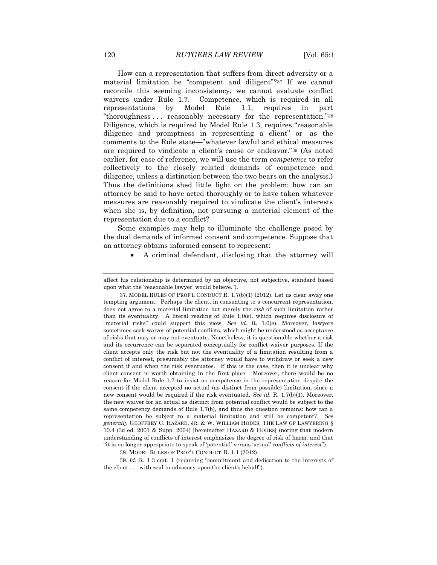How can a representation that suffers from direct adversity or a material limitation be "competent and diligent"?<sup>37</sup> If we cannot reconcile this seeming inconsistency, we cannot evaluate conflict waivers under Rule 1.7. Competence, which is required in all representations by Model Rule 1.1, requires in part "thoroughness . . . reasonably necessary for the representation."<sup>38</sup> Diligence, which is required by Model Rule 1.3, requires "reasonable diligence and promptness in representing a client" or—as the comments to the Rule state—"whatever lawful and ethical measures are required to vindicate a client's cause or endeavor."<sup>39</sup> (As noted earlier, for ease of reference, we will use the term *competence* to refer collectively to the closely related demands of competence and diligence, unless a distinction between the two bears on the analysis.) Thus the definitions shed little light on the problem: how can an attorney be said to have acted thoroughly or to have taken whatever measures are reasonably required to vindicate the client's interests when she is, by definition, not pursuing a material element of the representation due to a conflict?

Some examples may help to illuminate the challenge posed by the dual demands of informed consent and competence. Suppose that an attorney obtains informed consent to represent:

A criminal defendant, disclosing that the attorney will

37. MODEL RULES OF PROF'L CONDUCT R. 1.7(b)(1) (2012). Let us clear away one tempting argument. Perhaps the client, in consenting to a concurrent representation, does not agree to a material limitation but merely the *risk* of such limitation rather than its eventuality. A literal reading of Rule 1.0(e), which requires disclosure of "material risks" could support this view. *See id.* R. 1.0(e). Moreover, lawyers sometimes seek waiver of potential conflicts, which might be understood as acceptance of risks that may or may not eventuate. Nonetheless, it is questionable whether a risk and its occurrence can be separated conceptually for conflict waiver purposes. If the client accepts only the risk but not the eventuality of a limitation resulting from a conflict of interest, presumably the attorney would have to withdraw or seek a new consent if and when the risk eventuates. If this is the case, then it is unclear why client consent is worth obtaining in the first place. Moreover, there would be no reason for Model Rule 1.7 to insist on competence in the representation despite the consent if the client accepted no actual (as distinct from possible) limitation, since a new consent would be required if the risk eventuated. *See id.* R. 1.7(b)(1). Moreover, the new waiver for an actual as distinct from potential conflict would be subject to the same competency demands of Rule 1.7(b), and thus the question remains: how can a representation be subject to a material limitation and still be competent? *See generally* GEOFFREY C. HAZARD, JR. & W. WILLIAM HODES, THE LAW OF LAWYERING § 10.4 (3d ed. 2001 & Supp. 2004) [hereinafter HAZARD & HODES] (noting that modern understanding of conflicts of interest emphasizes the degree of risk of harm, and that "it is no longer appropriate to speak of 'potential' versus 'actual' *conflicts of interest*").

38. MODEL RULES OF PROF'L CONDUCT R. 1.1 (2012).

39*. Id.* R. 1.3 cmt. 1 (requiring "commitment and dedication to the interests of the client . . . with zeal in advocacy upon the client's behalf").

affect his relationship is determined by an objective, not subjective, standard based upon what the 'reasonable lawyer' would believe.").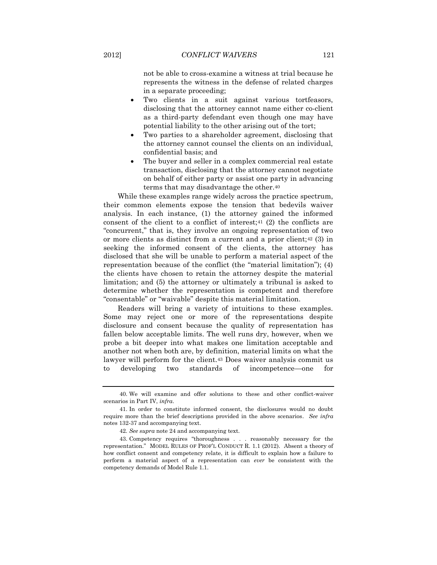not be able to cross-examine a witness at trial because he represents the witness in the defense of related charges in a separate proceeding;

- Two clients in a suit against various tortfeasors, disclosing that the attorney cannot name either co-client as a third-party defendant even though one may have potential liability to the other arising out of the tort;
- Two parties to a shareholder agreement, disclosing that the attorney cannot counsel the clients on an individual, confidential basis; and
- The buyer and seller in a complex commercial real estate transaction, disclosing that the attorney cannot negotiate on behalf of either party or assist one party in advancing terms that may disadvantage the other.<sup>40</sup>

While these examples range widely across the practice spectrum, their common elements expose the tension that bedevils waiver analysis. In each instance, (1) the attorney gained the informed consent of the client to a conflict of interest; $41$  (2) the conflicts are "concurrent," that is, they involve an ongoing representation of two or more clients as distinct from a current and a prior client;<sup>42</sup> (3) in seeking the informed consent of the clients, the attorney has disclosed that she will be unable to perform a material aspect of the representation because of the conflict (the "material limitation"); (4) the clients have chosen to retain the attorney despite the material limitation; and (5) the attorney or ultimately a tribunal is asked to determine whether the representation is competent and therefore "consentable" or "waivable" despite this material limitation.

Readers will bring a variety of intuitions to these examples. Some may reject one or more of the representations despite disclosure and consent because the quality of representation has fallen below acceptable limits. The well runs dry, however, when we probe a bit deeper into what makes one limitation acceptable and another not when both are, by definition, material limits on what the lawyer will perform for the client.<sup>43</sup> Does waiver analysis commit us to developing two standards of incompetence—one for

<sup>40.</sup> We will examine and offer solutions to these and other conflict-waiver scenarios in Part IV, *infra*.

<sup>41.</sup> In order to constitute informed consent, the disclosures would no doubt require more than the brief descriptions provided in the above scenarios. *See infra* notes 132-37 and accompanying text.

<sup>42</sup>*. See supra* note 24 and accompanying text.

<sup>43.</sup> Competency requires "thoroughness . . . reasonably necessary for the representation." MODEL RULES OF PROF'L CONDUCT R. 1.1 (2012). Absent a theory of how conflict consent and competency relate, it is difficult to explain how a failure to perform a material aspect of a representation can *ever* be consistent with the competency demands of Model Rule 1.1.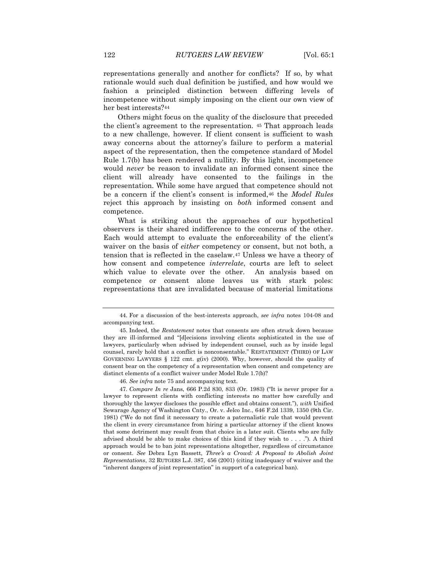representations generally and another for conflicts? If so, by what rationale would such dual definition be justified, and how would we fashion a principled distinction between differing levels of incompetence without simply imposing on the client our own view of her best interests?<sup>44</sup>

Others might focus on the quality of the disclosure that preceded the client's agreement to the representation. <sup>45</sup> That approach leads to a new challenge, however. If client consent is sufficient to wash away concerns about the attorney's failure to perform a material aspect of the representation, then the competence standard of Model Rule 1.7(b) has been rendered a nullity. By this light, incompetence would *never* be reason to invalidate an informed consent since the client will already have consented to the failings in the representation. While some have argued that competence should not be a concern if the client's consent is informed,<sup>46</sup> the *Model Rules* reject this approach by insisting on *both* informed consent and competence.

What is striking about the approaches of our hypothetical observers is their shared indifference to the concerns of the other. Each would attempt to evaluate the enforceability of the client's waiver on the basis of *either* competency or consent, but not both, a tension that is reflected in the caselaw.<sup>47</sup> Unless we have a theory of how consent and competence *interrelate*, courts are left to select which value to elevate over the other. An analysis based on competence or consent alone leaves us with stark poles: representations that are invalidated because of material limitations

<sup>44.</sup> For a discussion of the best-interests approach, *see infra* notes 104-08 and accompanying text.

<sup>45.</sup> Indeed, the *Restatement* notes that consents are often struck down because they are ill-informed and "[d]ecisions involving clients sophisticated in the use of lawyers, particularly when advised by independent counsel, such as by inside legal counsel, rarely hold that a conflict is nonconsentable." RESTATEMENT (THIRD) OF LAW GOVERNING LAWYERS  $\S$  122 cmt. g(iv) (2000). Why, however, should the quality of consent bear on the competency of a representation when consent and competency are distinct elements of a conflict waiver under Model Rule 1.7(b)?

<sup>46</sup>*. See infra* note 75 and accompanying text.

<sup>47</sup>*. Compare In re* Jans, 666 P.2d 830, 833 (Or. 1983) ("It is never proper for a lawyer to represent clients with conflicting interests no matter how carefully and thoroughly the lawyer discloses the possible effect and obtains consent."), *with* Unified Sewarage Agency of Washington Cnty., Or. v. Jelco Inc., 646 F.2d 1339, 1350 (9th Cir. 1981) ("We do not find it necessary to create a paternalistic rule that would prevent the client in every circumstance from hiring a particular attorney if the client knows that some detriment may result from that choice in a later suit. Clients who are fully advised should be able to make choices of this kind if they wish to . . . ."). A third approach would be to ban joint representations altogether, regardless of circumstance or consent. *See* Debra Lyn Bassett, *Three's a Crowd: A Proposal to Abolish Joint Representations*, 32 RUTGERS L.J. 387, 456 (2001) (citing inadequacy of waiver and the "inherent dangers of joint representation" in support of a categorical ban).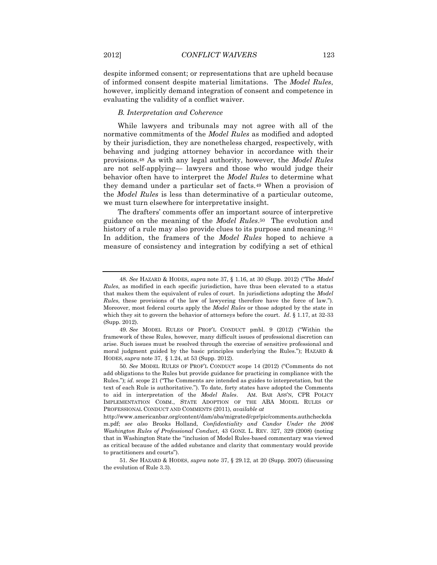despite informed consent; or representations that are upheld because of informed consent despite material limitations. The *Model Rules*, however, implicitly demand integration of consent and competence in evaluating the validity of a conflict waiver.

## *B. Interpretation and Coherence*

While lawyers and tribunals may not agree with all of the normative commitments of the *Model Rules* as modified and adopted by their jurisdiction, they are nonetheless charged, respectively, with behaving and judging attorney behavior in accordance with their provisions.<sup>48</sup> As with any legal authority, however, the *Model Rules* are not self-applying— lawyers and those who would judge their behavior often have to interpret the *Model Rules* to determine what they demand under a particular set of facts.<sup>49</sup> When a provision of the *Model Rules* is less than determinative of a particular outcome, we must turn elsewhere for interpretative insight.

The drafters' comments offer an important source of interpretive guidance on the meaning of the *Model Rules*.50 The evolution and history of a rule may also provide clues to its purpose and meaning.<sup>51</sup> In addition, the framers of the *Model Rules* hoped to achieve a measure of consistency and integration by codifying a set of ethical

<sup>48</sup>*. See* HAZARD & HODES, *supra* note 37, § 1.16, at 30 (Supp. 2012) ("The *Model Rules*, as modified in each specific jurisdiction, have thus been elevated to a status that makes them the equivalent of rules of court. In jurisdictions adopting the *Model Rules*, these provisions of the law of lawyering therefore have the force of law."). Moreover, most federal courts apply the *Model Rules* or those adopted by the state in which they sit to govern the behavior of attorneys before the court. *Id*. § 1.17, at 32-33 (Supp. 2012).

<sup>49</sup>*. See* MODEL RULES OF PROF'L CONDUCT pmbl. 9 (2012) ("Within the framework of these Rules, however, many difficult issues of professional discretion can arise. Such issues must be resolved through the exercise of sensitive professional and moral judgment guided by the basic principles underlying the Rules."); HAZARD & HODES, *supra* note 37, § 1.24, at 53 (Supp. 2012).

<sup>50</sup>*. See* MODEL RULES OF PROF'L CONDUCT scope 14 (2012) ("Comments do not add obligations to the Rules but provide guidance for practicing in compliance with the Rules."); *id.* scope 21 ("The Comments are intended as guides to interpretation, but the text of each Rule is authoritative."). To date, forty states have adopted the Comments to aid in interpretation of the *Model Rules*. AM. BAR ASS'N, CPR POLICY IMPLEMENTATION COMM., STATE ADOPTION OF THE ABA MODEL RULES OF PROFESSIONAL CONDUCT AND COMMENTS (2011), *available at*

http://www.americanbar.org/content/dam/aba/migrated/cpr/pic/comments.authcheckda m.pdf; *see also* Brooks Holland, *Confidentiality and Candor Under the 2006 Washington Rules of Professional Conduct*, 43 GONZ. L. REV. 327, 329 (2008) (noting that in Washington State the "inclusion of Model Rules-based commentary was viewed as critical because of the added substance and clarity that commentary would provide to practitioners and courts").

<sup>51</sup>*. See* HAZARD & HODES, *supra* note 37, § 29.12, at 20 (Supp. 2007) (discussing the evolution of Rule 3.3).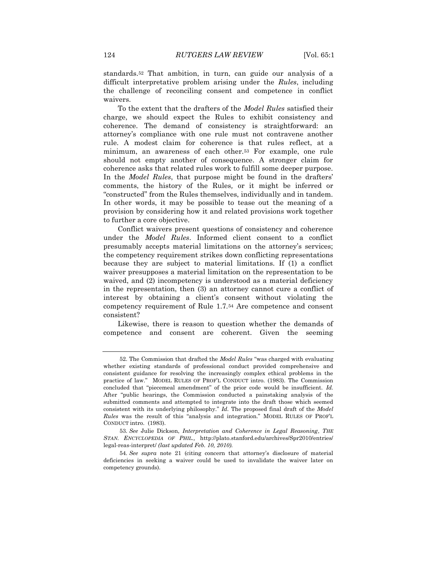standards.<sup>52</sup> That ambition, in turn, can guide our analysis of a difficult interpretative problem arising under the *Rules*, including the challenge of reconciling consent and competence in conflict waivers.

To the extent that the drafters of the *Model Rules* satisfied their charge, we should expect the Rules to exhibit consistency and coherence. The demand of consistency is straightforward: an attorney's compliance with one rule must not contravene another rule. A modest claim for coherence is that rules reflect, at a minimum, an awareness of each other.<sup>53</sup> For example, one rule should not empty another of consequence. A stronger claim for coherence asks that related rules work to fulfill some deeper purpose. In the *Model Rules*, that purpose might be found in the drafters' comments, the history of the Rules*,* or it might be inferred or "constructed" from the Rules themselves, individually and in tandem. In other words, it may be possible to tease out the meaning of a provision by considering how it and related provisions work together to further a core objective.

Conflict waivers present questions of consistency and coherence under the *Model Rules*. Informed client consent to a conflict presumably accepts material limitations on the attorney's services; the competency requirement strikes down conflicting representations because they are subject to material limitations. If (1) a conflict waiver presupposes a material limitation on the representation to be waived, and  $(2)$  incompetency is understood as a material deficiency in the representation, then (3) an attorney cannot cure a conflict of interest by obtaining a client's consent without violating the competency requirement of Rule 1.7.<sup>54</sup> Are competence and consent consistent?

Likewise, there is reason to question whether the demands of competence and consent are coherent. Given the seeming

<sup>52.</sup> The Commission that drafted the *Model Rules* "was charged with evaluating whether existing standards of professional conduct provided comprehensive and consistent guidance for resolving the increasingly complex ethical problems in the practice of law." MODEL RULES OF PROF'L CONDUCT intro. (1983). The Commission concluded that "piecemeal amendment" of the prior code would be insufficient. *Id.* After "public hearings, the Commission conducted a painstaking analysis of the submitted comments and attempted to integrate into the draft those which seemed consistent with its underlying philosophy." *Id.* The proposed final draft of the *Model Rules* was the result of this "analysis and integration." MODEL RULES OF PROF'L CONDUCT intro. (1983).

<sup>53</sup>*. See* Julie Dickson, *Interpretation and Coherence in Legal Reasoning*, *THE STAN. ENCYCLOPEDIA OF PHIL.,* http://plato.stanford.edu/archives/Spr2010/entries/ legal-reas-interpret/ *(last updated Feb. 10, 2010).*

<sup>54</sup>*. See supra* note 21 (citing concern that attorney's disclosure of material deficiencies in seeking a waiver could be used to invalidate the waiver later on competency grounds).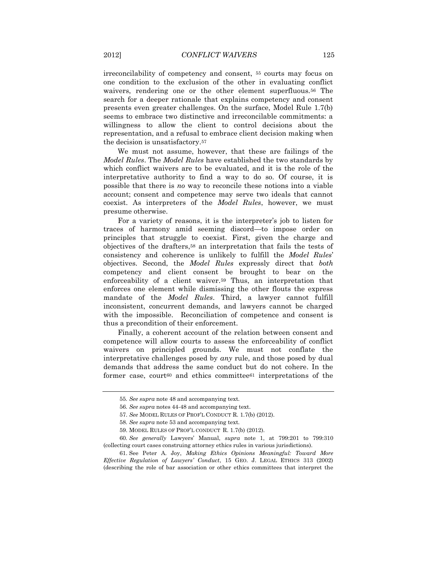irreconcilability of competency and consent, <sup>55</sup> courts may focus on one condition to the exclusion of the other in evaluating conflict waivers, rendering one or the other element superfluous.<sup>56</sup> The search for a deeper rationale that explains competency and consent presents even greater challenges. On the surface, Model Rule 1.7(b) seems to embrace two distinctive and irreconcilable commitments: a willingness to allow the client to control decisions about the representation, and a refusal to embrace client decision making when the decision is unsatisfactory.<sup>57</sup>

We must not assume, however, that these are failings of the *Model Rules*. The *Model Rules* have established the two standards by which conflict waivers are to be evaluated, and it is the role of the interpretative authority to find a way to do so. Of course, it is possible that there is *no* way to reconcile these notions into a viable account; consent and competence may serve two ideals that cannot coexist. As interpreters of the *Model Rules*, however, we must presume otherwise.

For a variety of reasons, it is the interpreter's job to listen for traces of harmony amid seeming discord—to impose order on principles that struggle to coexist. First, given the charge and objectives of the drafters,<sup>58</sup> an interpretation that fails the tests of consistency and coherence is unlikely to fulfill the *Model Rules*' objectives. Second, the *Model Rules* expressly direct that *both* competency and client consent be brought to bear on the enforceability of a client waiver.<sup>59</sup> Thus, an interpretation that enforces one element while dismissing the other flouts the express mandate of the *Model Rules*. Third, a lawyer cannot fulfill inconsistent, concurrent demands, and lawyers cannot be charged with the impossible. Reconciliation of competence and consent is thus a precondition of their enforcement.

Finally, a coherent account of the relation between consent and competence will allow courts to assess the enforceability of conflict waivers on principled grounds. We must not conflate the interpretative challenges posed by *any* rule, and those posed by dual demands that address the same conduct but do not cohere. In the former case, court<sup>60</sup> and ethics committee<sup>61</sup> interpretations of the

<sup>55</sup>*. See supra* note 48 and accompanying text.

<sup>56</sup>*. See supra* notes 44-48 and accompanying text.

<sup>57.</sup> *See* MODEL RULES OF PROF'L CONDUCT R. 1.7(b) (2012).

<sup>58</sup>*. See supra* note 53 and accompanying text.

<sup>59.</sup> MODEL RULES OF PROF'L CONDUCT R. 1.7(b) (2012).

<sup>60</sup>*. See generally* Lawyers' Manual, *supra* note [1,](#page-2-0) at 799:201 to 799:310 (collecting court cases construing attorney ethics rules in various jurisdictions).

<sup>61.</sup> See Peter A. Joy, *Making Ethics Opinions Meaningful: Toward More Effective Regulation of Lawyers' Conduct*, 15 GEO. J. LEGAL ETHICS 313 (2002) (describing the role of bar association or other ethics committees that interpret the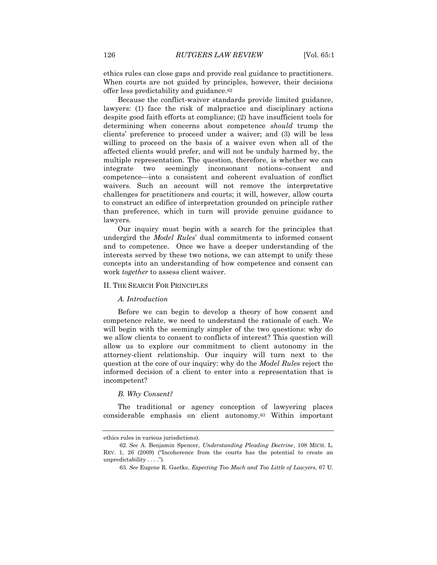ethics rules can close gaps and provide real guidance to practitioners. When courts are not guided by principles, however, their decisions offer less predictability and guidance.<sup>62</sup>

Because the conflict-waiver standards provide limited guidance, lawyers: (1) face the risk of malpractice and disciplinary actions despite good faith efforts at compliance; (2) have insufficient tools for determining when concerns about competence *should* trump the clients' preference to proceed under a waiver; and (3) will be less willing to proceed on the basis of a waiver even when all of the affected clients would prefer, and will not be unduly harmed by, the multiple representation. The question, therefore, is whether we can integrate two seemingly inconsonant notions–consent and competence—into a consistent and coherent evaluation of conflict waivers. Such an account will not remove the interpretative challenges for practitioners and courts; it will, however, allow courts to construct an edifice of interpretation grounded on principle rather than preference, which in turn will provide genuine guidance to lawyers.

Our inquiry must begin with a search for the principles that undergird the *Model Rules*' dual commitments to informed consent and to competence. Once we have a deeper understanding of the interests served by these two notions, we can attempt to unify these concepts into an understanding of how competence and consent can work *together* to assess client waiver.

### II. THE SEARCH FOR PRINCIPLES

### *A. Introduction*

Before we can begin to develop a theory of how consent and competence relate, we need to understand the rationale of each. We will begin with the seemingly simpler of the two questions: why do we allow clients to consent to conflicts of interest? This question will allow us to explore our commitment to client autonomy in the attorney-client relationship. Our inquiry will turn next to the question at the core of our inquiry: why do the *Model Rules* reject the informed decision of a client to enter into a representation that is incompetent?

### *B. Why Consent?*

The traditional or agency conception of lawyering places considerable emphasis on client autonomy.<sup>63</sup> Within important

ethics rules in various jurisdictions).

<sup>62</sup>*. See* A. Benjamin Spencer, *Understanding Pleading Doctrine*, 108 MICH. L. REV. 1, 26 (2009) ("Incoherence from the courts has the potential to create an unpredictability . . . .").

<sup>63</sup>*. See* Eugene R. Gaetke, *Expecting Too Much and Too Little of Lawyers*, 67 U.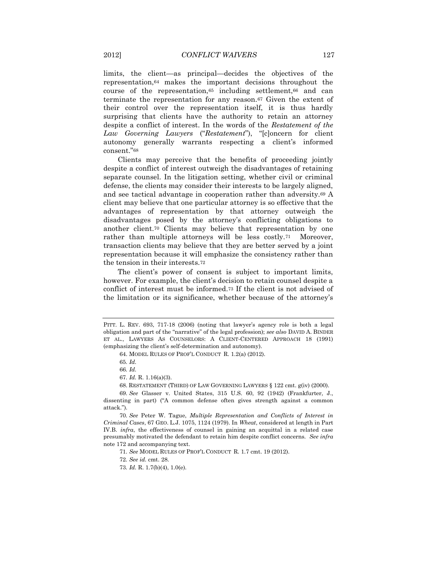limits, the client—as principal—decides the objectives of the representation,<sup>64</sup> makes the important decisions throughout the course of the representation,<sup>65</sup> including settlement,<sup>66</sup> and can terminate the representation for any reason.<sup>67</sup> Given the extent of their control over the representation itself, it is thus hardly surprising that clients have the authority to retain an attorney despite a conflict of interest. In the words of the *Restatement of the Law Governing Lawyers* ("*Restatement*"), "[c]oncern for client autonomy generally warrants respecting a client's informed consent."<sup>68</sup>

Clients may perceive that the benefits of proceeding jointly despite a conflict of interest outweigh the disadvantages of retaining separate counsel. In the litigation setting, whether civil or criminal defense, the clients may consider their interests to be largely aligned, and see tactical advantage in cooperation rather than adversity.<sup>69</sup> A client may believe that one particular attorney is so effective that the advantages of representation by that attorney outweigh the disadvantages posed by the attorney's conflicting obligations to another client.<sup>70</sup> Clients may believe that representation by one rather than multiple attorneys will be less costly.<sup>71</sup> Moreover, transaction clients may believe that they are better served by a joint representation because it will emphasize the consistency rather than the tension in their interests.<sup>72</sup>

The client's power of consent is subject to important limits, however. For example, the client's decision to retain counsel despite a conflict of interest must be informed.<sup>73</sup> If the client is not advised of the limitation or its significance, whether because of the attorney's

PITT. L. REV. 693, 717-18 (2006) (noting that lawyer's agency role is both a legal obligation and part of the "narrative" of the legal profession); *see also* DAVID A. BINDER ET AL., LAWYERS AS COUNSELORS: A CLIENT-CENTERED APPROACH 18 (1991) (emphasizing the client's self-determination and autonomy).

<sup>64.</sup> MODEL RULES OF PROF'L CONDUCT R. 1.2(a) (2012).

<sup>65</sup>*. Id.* 

<sup>66</sup>*. Id.* 

<sup>67</sup>*. Id.* R. 1.16(a)(3).

<sup>68.</sup> RESTATEMENT (THIRD) OF LAW GOVERNING LAWYERS § 122 cmt. g(iv) (2000).

<sup>69</sup>*. See* Glasser v. United States, 315 U.S. 60, 92 (1942) (Frankfurter, J., dissenting in part) ("A common defense often gives strength against a common attack.").

<sup>70</sup>*. See* Peter W. Tague, *Multiple Representation and Conflicts of Interest in Criminal Cases*, 67 GEO. L.J. 1075, 1124 (1979). In *Wheat*, considered at length in Part IV.B. *infra*, the effectiveness of counsel in gaining an acquittal in a related case presumably motivated the defendant to retain him despite conflict concerns. *See infra* note 172 and accompanying text.

<sup>71</sup>*. See* MODEL RULES OF PROF'L CONDUCT R. 1.7 cmt. 19 (2012).

<sup>72</sup>*. See id.* cmt. 28.

<sup>73</sup>*. Id.* R. 1.7(b)(4), 1.0(e).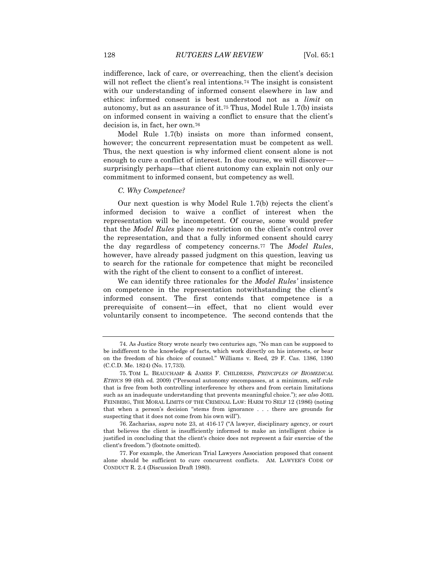indifference, lack of care, or overreaching, then the client's decision will not reflect the client's real intentions.<sup>74</sup> The insight is consistent with our understanding of informed consent elsewhere in law and ethics: informed consent is best understood not as a *limit* on autonomy, but as an assurance of it.<sup>75</sup> Thus, Model Rule 1.7(b) insists on informed consent in waiving a conflict to ensure that the client's decision is, in fact, her own.<sup>76</sup>

Model Rule 1.7(b) insists on more than informed consent, however; the concurrent representation must be competent as well. Thus, the next question is why informed client consent alone is not enough to cure a conflict of interest. In due course, we will discover surprisingly perhaps—that client autonomy can explain not only our commitment to informed consent, but competency as well.

### *C. Why Competence?*

Our next question is why Model Rule 1.7(b) rejects the client's informed decision to waive a conflict of interest when the representation will be incompetent. Of course, some would prefer that the *Model Rules* place *no* restriction on the client's control over the representation, and that a fully informed consent should carry the day regardless of competency concerns.<sup>77</sup> The *Model Rules*, however, have already passed judgment on this question, leaving us to search for the rationale for competence that might be reconciled with the right of the client to consent to a conflict of interest.

We can identify three rationales for the *Model Rules'* insistence on competence in the representation notwithstanding the client's informed consent. The first contends that competence is a prerequisite of consent—in effect, that no client would ever voluntarily consent to incompetence. The second contends that the

76. Zacharias, *supra* note 23, at 416-17 ("A lawyer, disciplinary agency, or court that believes the client is insufficiently informed to make an intelligent choice is justified in concluding that the client's choice does not represent a fair exercise of the client's freedom.") (footnote omitted).

77. For example, the American Trial Lawyers Association proposed that consent alone should be sufficient to cure concurrent conflicts. AM. LAWYER'S CODE OF CONDUCT R. 2.4 (Discussion Draft 1980).

<sup>74.</sup> As Justice Story wrote nearly two centuries ago, "No man can be supposed to be indifferent to the knowledge of facts, which work directly on his interests, or bear on the freedom of his choice of counsel." Williams v. Reed, 29 F. Cas. 1386, 1390 (C.C.D. Me. 1824) (No. 17,733).

<sup>75.</sup> TOM L. BEAUCHAMP & JAMES F. CHILDRESS, *PRINCIPLES OF BIOMEDICAL ETHICS* 99 (6th ed. 2009) ("Personal autonomy encompasses, at a minimum, self-rule that is free from both controlling interference by others and from certain limitations such as an inadequate understanding that prevents meaningful choice."); *see also* JOEL FEINBERG, THE MORAL LIMITS OF THE CRIMINAL LAW: HARM TO SELF 12 (1986) (noting that when a person's decision "stems from ignorance . . . there are grounds for suspecting that it does not come from his own will").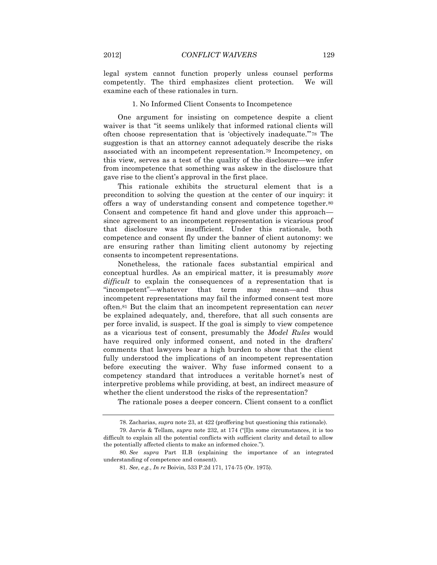legal system cannot function properly unless counsel performs competently. The third emphasizes client protection. We will examine each of these rationales in turn.

### 1. No Informed Client Consents to Incompetence

One argument for insisting on competence despite a client waiver is that "it seems unlikely that informed rational clients will often choose representation that is 'objectively inadequate.'"<sup>78</sup> The suggestion is that an attorney cannot adequately describe the risks associated with an incompetent representation.<sup>79</sup> Incompetency, on this view, serves as a test of the quality of the disclosure—we infer from incompetence that something was askew in the disclosure that gave rise to the client's approval in the first place.

This rationale exhibits the structural element that is a precondition to solving the question at the center of our inquiry: it offers a way of understanding consent and competence together.<sup>80</sup> Consent and competence fit hand and glove under this approach since agreement to an incompetent representation is vicarious proof that disclosure was insufficient. Under this rationale, both competence and consent fly under the banner of client autonomy: we are ensuring rather than limiting client autonomy by rejecting consents to incompetent representations.

Nonetheless, the rationale faces substantial empirical and conceptual hurdles. As an empirical matter, it is presumably *more difficult* to explain the consequences of a representation that is "incompetent"—whatever that term may mean—and thus incompetent representations may fail the informed consent test more often.<sup>81</sup> But the claim that an incompetent representation can *never* be explained adequately, and, therefore, that all such consents are per force invalid, is suspect. If the goal is simply to view competence as a vicarious test of consent, presumably the *Model Rules* would have required only informed consent, and noted in the drafters' comments that lawyers bear a high burden to show that the client fully understood the implications of an incompetent representation before executing the waiver. Why fuse informed consent to a competency standard that introduces a veritable hornet's nest of interpretive problems while providing, at best, an indirect measure of whether the client understood the risks of the representation?

The rationale poses a deeper concern. Client consent to a conflict

<sup>78.</sup> Zacharias, *supra* note 23, at 422 (proffering but questioning this rationale).

<sup>79.</sup> Jarvis & Tellam, *supra* note 232, at 174 ("[I]n some circumstances, it is too difficult to explain all the potential conflicts with sufficient clarity and detail to allow the potentially affected clients to make an informed choice.").

<sup>80</sup>*. See supra* Part II.B (explaining the importance of an integrated understanding of competence and consent).

<sup>81</sup>*. See*, *e.g.*, *In re* Boivin, 533 P.2d 171, 174-75 (Or. 1975).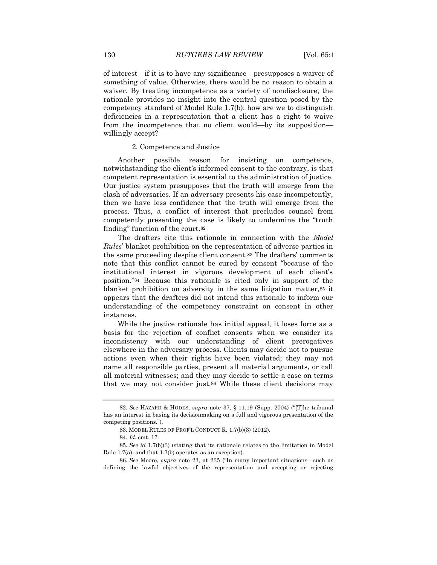of interest—if it is to have any significance—presupposes a waiver of something of value. Otherwise, there would be no reason to obtain a waiver. By treating incompetence as a variety of nondisclosure, the rationale provides no insight into the central question posed by the competency standard of Model Rule 1.7(b): how are we to distinguish deficiencies in a representation that a client has a right to waive from the incompetence that no client would—by its supposition willingly accept?

2. Competence and Justice

Another possible reason for insisting on competence, notwithstanding the client's informed consent to the contrary, is that competent representation is essential to the administration of justice. Our justice system presupposes that the truth will emerge from the clash of adversaries. If an adversary presents his case incompetently, then we have less confidence that the truth will emerge from the process. Thus, a conflict of interest that precludes counsel from competently presenting the case is likely to undermine the "truth finding" function of the court.<sup>82</sup>

The drafters cite this rationale in connection with the *Model Rules*' blanket prohibition on the representation of adverse parties in the same proceeding despite client consent.<sup>83</sup> The drafters' comments note that this conflict cannot be cured by consent "because of the institutional interest in vigorous development of each client's position."<sup>84</sup> Because this rationale is cited only in support of the blanket prohibition on adversity in the same litigation matter, 85 it appears that the drafters did not intend this rationale to inform our understanding of the competency constraint on consent in other instances.

While the justice rationale has initial appeal, it loses force as a basis for the rejection of conflict consents when we consider its inconsistency with our understanding of client prerogatives elsewhere in the adversary process. Clients may decide not to pursue actions even when their rights have been violated; they may not name all responsible parties, present all material arguments, or call all material witnesses; and they may decide to settle a case on terms that we may not consider just.<sup>86</sup> While these client decisions may

<sup>82</sup>*. See* HAZARD & HODES, *supra* note 37, § 11.19 (Supp. 2004) ("[T]he tribunal has an interest in basing its decisionmaking on a full and vigorous presentation of the competing positions.").

<sup>83.</sup> MODEL RULES OF PROF'L CONDUCT R. 1.7(b)(3) (2012).

<sup>84</sup>*. Id.* cmt. 17.

<sup>85</sup>*. See id* 1.7(b)(3) (stating that its rationale relates to the limitation in Model Rule 1.7(a), and that 1.7(b) operates as an exception).

<sup>86</sup>*. See* Moore, *supra* note 23, at 235 ("In many important situations—such as defining the lawful objectives of the representation and accepting or rejecting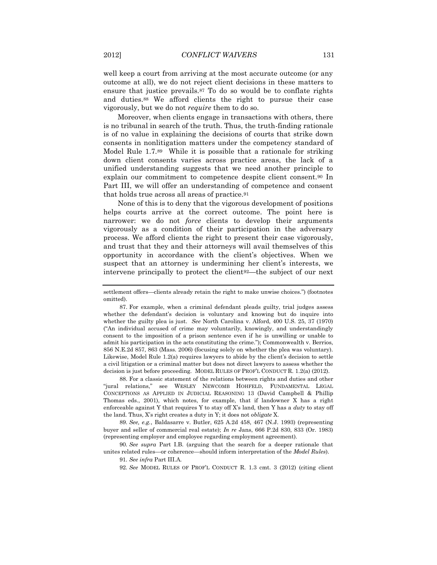well keep a court from arriving at the most accurate outcome (or any outcome at all), we do not reject client decisions in these matters to ensure that justice prevails.<sup>87</sup> To do so would be to conflate rights and duties.<sup>88</sup> We afford clients the right to pursue their case vigorously, but we do not *require* them to do so.

Moreover, when clients engage in transactions with others, there is no tribunal in search of the truth. Thus, the truth-finding rationale is of no value in explaining the decisions of courts that strike down consents in nonlitigation matters under the competency standard of Model Rule 1.7.89 While it is possible that a rationale for striking down client consents varies across practice areas, the lack of a unified understanding suggests that we need another principle to explain our commitment to competence despite client consent.<sup>90</sup> In Part III, we will offer an understanding of competence and consent that holds true across all areas of practice.<sup>91</sup>

None of this is to deny that the vigorous development of positions helps courts arrive at the correct outcome. The point here is narrower: we do not *force* clients to develop their arguments vigorously as a condition of their participation in the adversary process. We afford clients the right to present their case vigorously, and trust that they and their attorneys will avail themselves of this opportunity in accordance with the client's objectives. When we suspect that an attorney is undermining her client's interests, we intervene principally to protect the client92—the subject of our next

88. For a classic statement of the relations between rights and duties and other "jural relations," see WESLEY NEWCOMB HOHFELD, FUNDAMENTAL LEGAL CONCEPTIONS AS APPLIED IN JUDICIAL REASONING 13 (David Campbell & Phillip Thomas eds., 2001), which notes, for example, that if landowner X has a right enforceable against Y that requires Y to stay off X's land, then Y has a *duty* to stay off the land. Thus, X's right creates a duty in Y; it does not *obligate* X.

89*. See, e.g.*, Baldasarre v. Butler, 625 A.2d 458, 467 (N.J. 1993) (representing buyer and seller of commercial real estate); *In re* Jans, 666 P.2d 830, 833 (Or. 1983) (representing employer and employee regarding employment agreement).

90*. See supra* Part I.B. (arguing that the search for a deeper rationale that unites related rules—or coherence—should inform interpretation of the *Model Rules*).

92*. See* MODEL RULES OF PROF'L CONDUCT R. 1.3 cmt. 3 (2012) (citing client

settlement offers—clients already retain the right to make unwise choices.") (footnotes omitted).

<sup>87.</sup> For example, when a criminal defendant pleads guilty, trial judges assess whether the defendant's decision is voluntary and knowing but do inquire into whether the guilty plea is just. *See* North Carolina v. Alford, 400 U.S. 25, 37 (1970) ("An individual accused of crime may voluntarily, knowingly, and understandingly consent to the imposition of a prison sentence even if he is unwilling or unable to admit his participation in the acts constituting the crime."); Commonwealth v. Berrios, 856 N.E.2d 857, 863 (Mass. 2006) (focusing solely on whether the plea was voluntary). Likewise, Model Rule 1.2(a) requires lawyers to abide by the client's decision to settle a civil litigation or a criminal matter but does not direct lawyers to assess whether the decision is just before proceeding. MODEL RULES OF PROF'L CONDUCT R. 1.2(a) (2012).

<sup>91</sup>*. See infra* Part III.A.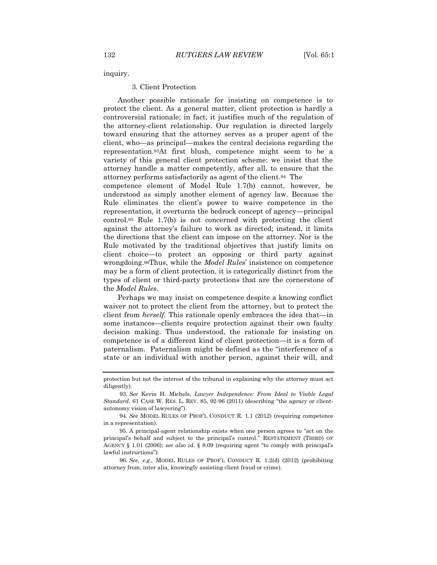inquiry.

#### 3. Client Protection

Another possible rationale for insisting on competence is to protect the client. As a general matter, client protection is hardly a controversial rationale; in fact, it justifies much of the regulation of the attorney-client relationship. Our regulation is directed largely toward ensuring that the attorney serves as a proper agent of the client, who—as principal—makes the central decisions regarding the representation.93At first blush, competence might seem to be a variety of this general client protection scheme: we insist that the attorney handle a matter competently, after all, to ensure that the attorney performs satisfactorily as agent of the client.94 The competence element of Model Rule 1.7(b) cannot, however, be understood as simply another element of agency law. Because the Rule eliminates the client's power to waive competence in the representation, it overturns the bedrock concept of agency—principal control.<sup>95</sup> Rule 1.7(b) is not concerned with protecting the client against the attorney's failure to work as directed; instead, it limits the directions that the client can impose on the attorney. Nor is the Rule motivated by the traditional objectives that justify limits on client choice—to protect an opposing or third party against wrongdoing.96Thus, while the *Model Rules*' insistence on competence may be a form of client protection, it is categorically distinct from the types of client or third-party protections that are the cornerstone of the *Model Rules*.

Perhaps we may insist on competence despite a knowing conflict waiver not to protect the client from the attorney, but to protect the client from *herself.* This rationale openly embraces the idea that—in some instances—clients require protection against their own faulty decision making. Thus understood, the rationale for insisting on competence is of a different kind of client protection—it is a form of paternalism. Paternalism might be defined as the "interference of a state or an individual with another person, against their will, and

protection but not the interest of the tribunal in explaining why the attorney must act diligently).

<sup>93</sup>*. See* Kevin H. Michels, *Lawyer Independence: From Ideal to Viable Legal Standard*, 61 CASE W. RES. L. REV. 85, 92-96 (2011) (describing "the agency or clientautonomy vision of lawyering").

<sup>94</sup>*. See* MODEL RULES OF PROF'L CONDUCT R. 1.1 (2012) (requiring competence in a representation).

<sup>95.</sup> A principal-agent relationship exists when one person agrees to "act on the principal's behalf and subject to the principal's control." RESTATEMENT (THIRD) OF AGENCY § 1.01 (2006); *see also id*. § 8.09 (requiring agent "to comply with principal's lawful instructions").

<sup>96</sup>*. See, e.g.,* MODEL RULES OF PROF'L CONDUCT R. 1.2(d) (2012) (prohibiting attorney from, inter alia, knowingly assisting client fraud or crime).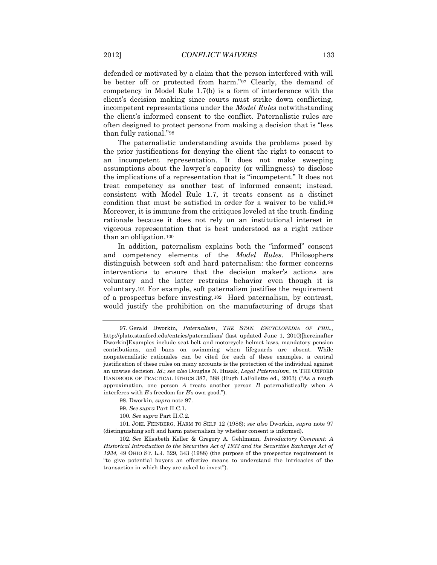defended or motivated by a claim that the person interfered with will be better off or protected from harm."<sup>97</sup> Clearly, the demand of competency in Model Rule 1.7(b) is a form of interference with the client's decision making since courts must strike down conflicting, incompetent representations under the *Model Rules* notwithstanding the client's informed consent to the conflict. Paternalistic rules are often designed to protect persons from making a decision that is "less than fully rational."<sup>98</sup>

The paternalistic understanding avoids the problems posed by the prior justifications for denying the client the right to consent to an incompetent representation. It does not make sweeping assumptions about the lawyer's capacity (or willingness) to disclose the implications of a representation that is "incompetent." It does not treat competency as another test of informed consent; instead, consistent with Model Rule 1.7, it treats consent as a distinct condition that must be satisfied in order for a waiver to be valid.<sup>99</sup> Moreover, it is immune from the critiques leveled at the truth-finding rationale because it does not rely on an institutional interest in vigorous representation that is best understood as a right rather than an obligation.<sup>100</sup>

In addition, paternalism explains both the "informed" consent and competency elements of the *Model Rules*. Philosophers distinguish between soft and hard paternalism: the former concerns interventions to ensure that the decision maker's actions are voluntary and the latter restrains behavior even though it is voluntary.<sup>101</sup> For example, soft paternalism justifies the requirement of a prospectus before investing.102 Hard paternalism, by contrast, would justify the prohibition on the manufacturing of drugs that

<sup>97.</sup> Gerald Dworkin, *Paternalism*, *THE STAN. ENCYCLOPEDIA OF PHIL.,* http://plato.stanford.edu/entries/paternalism/ (last updated June 1, 2010)[hereinafter Dworkin]Examples include seat belt and motorcycle helmet laws, mandatory pension contributions, and bans on swimming when lifeguards are absent. While nonpaternalistic rationales can be cited for each of these examples, a central justification of these rules on many accounts is the protection of the individual against an unwise decision. *Id*.; *see also* Douglas N. Husak, *Legal Paternalism*, *in* THE OXFORD HANDBOOK OF PRACTICAL ETHICS 387, 388 (Hugh LaFollette ed., 2003) ("As a rough approximation, one person *A* treats another person *B* paternalistically when *A*  interferes with *B*'s freedom for *B*'s own good.").

<sup>98.</sup> Dworkin*, supra* note 97.

<sup>99</sup>*. See supra* Part II.C.1.

<sup>100</sup>*. See supra* Part II.C.2.

<sup>101.</sup> JOEL FEINBERG, HARM TO SELF 12 (1986); *see also* Dworkin, *supra* note 97 (distinguishing soft and harm paternalism by whether consent is informed).

<sup>102</sup>*. See* Elisabeth Keller & Gregory A. Gehlmann, *Introductory Comment: A Historical Introduction to the Securities Act of 1933 and the Securities Exchange Act of 1934*, 49 OHIO ST. L.J. 329, 343 (1988) (the purpose of the prospectus requirement is "to give potential buyers an effective means to understand the intricacies of the transaction in which they are asked to invest").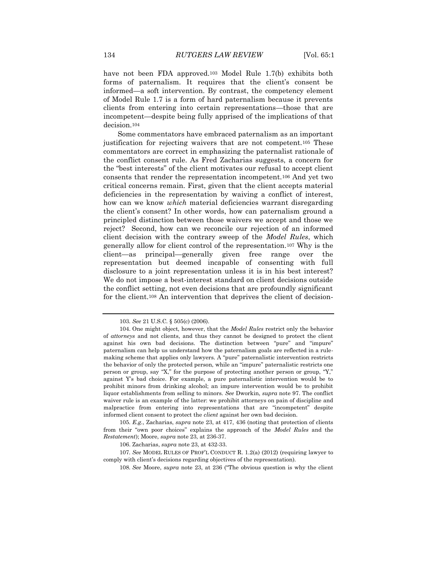have not been FDA approved.<sup>103</sup> Model Rule 1.7(b) exhibits both forms of paternalism. It requires that the client's consent be informed—a soft intervention. By contrast, the competency element of Model Rule 1.7 is a form of hard paternalism because it prevents clients from entering into certain representations—those that are incompetent—despite being fully apprised of the implications of that decision.<sup>104</sup>

Some commentators have embraced paternalism as an important justification for rejecting waivers that are not competent.<sup>105</sup> These commentators are correct in emphasizing the paternalist rationale of the conflict consent rule. As Fred Zacharias suggests, a concern for the "best interests" of the client motivates our refusal to accept client consents that render the representation incompetent.<sup>106</sup> And yet two critical concerns remain. First, given that the client accepts material deficiencies in the representation by waiving a conflict of interest, how can we know *which* material deficiencies warrant disregarding the client's consent? In other words, how can paternalism ground a principled distinction between those waivers we accept and those we reject? Second, how can we reconcile our rejection of an informed client decision with the contrary sweep of the *Model Rules*, which generally allow for client control of the representation.<sup>107</sup> Why is the client—as principal—generally given free range over the representation but deemed incapable of consenting with full disclosure to a joint representation unless it is in his best interest? We do not impose a best-interest standard on client decisions outside the conflict setting, not even decisions that are profoundly significant for the client.<sup>108</sup> An intervention that deprives the client of decision-

<sup>103</sup>*. See* 21 U.S.C. § 505(c) (2006).

<sup>104.</sup> One might object, however, that the *Model Rules* restrict only the behavior of *attorneys* and not clients, and thus they cannot be designed to protect the client against his own bad decisions. The distinction between "pure" and "impure" paternalism can help us understand how the paternalism goals are reflected in a rulemaking scheme that applies only lawyers. A "pure" paternalistic intervention restricts the behavior of only the protected person, while an "impure" paternalistic restricts one person or group, say "X," for the purpose of protecting another person or group, "Y," against Y's bad choice. For example, a pure paternalistic intervention would be to prohibit minors from drinking alcohol; an impure intervention would be to prohibit liquor establishments from selling to minors. *See* Dworkin, *supra* note 97. The conflict waiver rule is an example of the latter: we prohibit attorneys on pain of discipline and malpractice from entering into representations that are "incompetent" despite informed client consent to protect the *client* against her own bad decision.

<sup>105</sup>*. E.g.*, Zacharias, *supra* note 23, at 417, 436 (noting that protection of clients from their "own poor choices" explains the approach of the *Model Rules* and the *Restatement*); Moore, *supra* note 23, at 236-37.

<sup>106.</sup> Zacharias, *supra* note 23, at 432-33.

<sup>107</sup>*. See* MODEL RULES OF PROF'L CONDUCT R. 1.2(a) (2012) (requiring lawyer to comply with client's decisions regarding objectives of the representation).

<sup>108</sup>*. See* Moore, *supra* note 23, at 236 ("The obvious question is why the client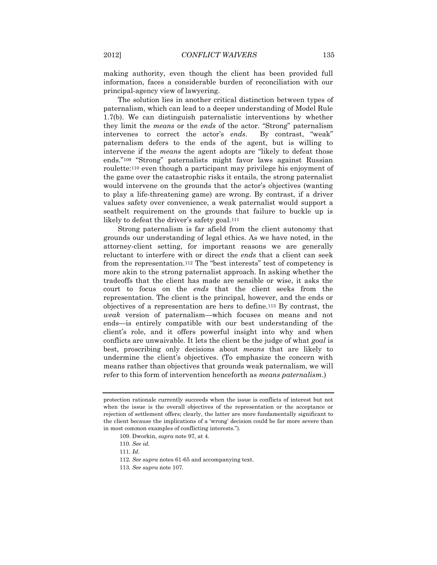making authority, even though the client has been provided full information, faces a considerable burden of reconciliation with our principal-agency view of lawyering.

The solution lies in another critical distinction between types of paternalism, which can lead to a deeper understanding of Model Rule 1.7(b). We can distinguish paternalistic interventions by whether they limit the *means* or the *ends* of the actor. "Strong" paternalism intervenes to correct the actor's *ends*. By contrast, "weak" paternalism defers to the ends of the agent, but is willing to intervene if the *means* the agent adopts are "likely to defeat those ends."<sup>109</sup> "Strong" paternalists might favor laws against Russian roulette:<sup>110</sup> even though a participant may privilege his enjoyment of the game over the catastrophic risks it entails, the strong paternalist would intervene on the grounds that the actor's objectives (wanting to play a life-threatening game) are wrong. By contrast, if a driver values safety over convenience, a weak paternalist would support a seatbelt requirement on the grounds that failure to buckle up is likely to defeat the driver's safety goal.<sup>111</sup>

Strong paternalism is far afield from the client autonomy that grounds our understanding of legal ethics. As we have noted, in the attorney-client setting, for important reasons we are generally reluctant to interfere with or direct the *ends* that a client can seek from the representation.<sup>112</sup> The "best interests" test of competency is more akin to the strong paternalist approach. In asking whether the tradeoffs that the client has made are sensible or wise, it asks the court to focus on the *ends* that the client seeks from the representation. The client is the principal, however, and the ends or objectives of a representation are hers to define.<sup>113</sup> By contrast, the *weak* version of paternalism—which focuses on means and not ends—is entirely compatible with our best understanding of the client's role, and it offers powerful insight into why and when conflicts are unwaivable. It lets the client be the judge of what *goal* is best, proscribing only decisions about *means* that are likely to undermine the client's objectives. (To emphasize the concern with means rather than objectives that grounds weak paternalism, we will refer to this form of intervention henceforth as *means paternalism*.)

protection rationale currently succeeds when the issue is conflicts of interest but not when the issue is the overall objectives of the representation or the acceptance or rejection of settlement offers; clearly, the latter are more fundamentally significant to the client because the implications of a 'wrong' decision could be far more severe than in most common examples of conflicting interests.").

<sup>109.</sup> Dworkin, *supra* note 97, at 4.

<sup>110</sup>*. See id*.

<sup>111</sup>*. Id*.

<sup>112</sup>*. See supra* notes 61-65 and accompanying text.

<sup>113</sup>*. See supra* note 107.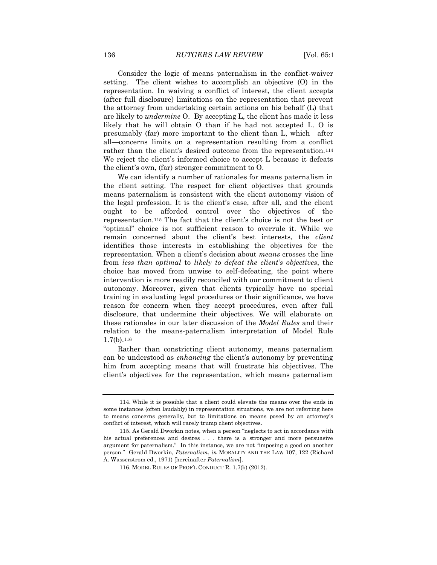Consider the logic of means paternalism in the conflict-waiver setting. The client wishes to accomplish an objective (O) in the representation. In waiving a conflict of interest, the client accepts (after full disclosure) limitations on the representation that prevent the attorney from undertaking certain actions on his behalf (L) that are likely to *undermine* O. By accepting L, the client has made it less likely that he will obtain O than if he had not accepted L. O is presumably (far) more important to the client than L, which—after all—concerns limits on a representation resulting from a conflict rather than the client's desired outcome from the representation.<sup>114</sup> We reject the client's informed choice to accept L because it defeats the client's own, (far) stronger commitment to O.

We can identify a number of rationales for means paternalism in the client setting. The respect for client objectives that grounds means paternalism is consistent with the client autonomy vision of the legal profession. It is the client's case, after all, and the client ought to be afforded control over the objectives of the representation.<sup>115</sup> The fact that the client's choice is not the best or "optimal" choice is not sufficient reason to overrule it. While we remain concerned about the client's best interests, the *client* identifies those interests in establishing the objectives for the representation. When a client's decision about *means* crosses the line from *less than optimal* to *likely to defeat the client's objectives*, the choice has moved from unwise to self-defeating, the point where intervention is more readily reconciled with our commitment to client autonomy. Moreover, given that clients typically have no special training in evaluating legal procedures or their significance, we have reason for concern when they accept procedures, even after full disclosure, that undermine their objectives. We will elaborate on these rationales in our later discussion of the *Model Rules* and their relation to the means-paternalism interpretation of Model Rule  $1.7(b).$ <sup>116</sup>

Rather than constricting client autonomy, means paternalism can be understood as *enhancing* the client's autonomy by preventing him from accepting means that will frustrate his objectives. The client's objectives for the representation, which means paternalism

<sup>114.</sup> While it is possible that a client could elevate the means over the ends in some instances (often laudably) in representation situations, we are not referring here to means concerns generally, but to limitations on means posed by an attorney's conflict of interest, which will rarely trump client objectives.

<sup>115.</sup> As Gerald Dworkin notes, when a person "neglects to act in accordance with his actual preferences and desires . . . there is a stronger and more persuasive argument for paternalism." In this instance, we are not "imposing a good on another person." Gerald Dworkin, *Paternalism*, *in* MORALITY AND THE LAW 107, 122 (Richard A. Wasserstrom ed., 1971) [hereinafter *Paternalism*].

<sup>116.</sup> MODEL RULES OF PROF'L CONDUCT R. 1.7(b) (2012).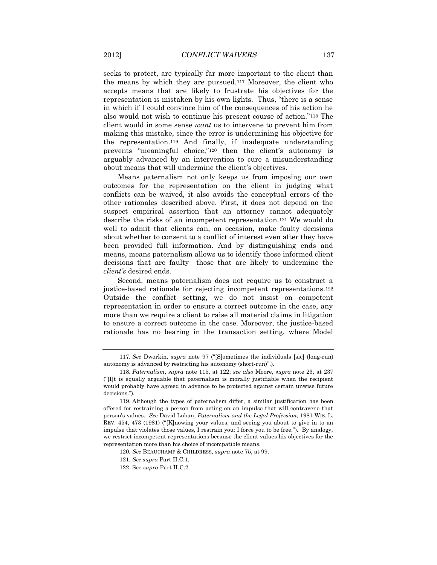seeks to protect, are typically far more important to the client than the means by which they are pursued.<sup>117</sup> Moreover, the client who accepts means that are likely to frustrate his objectives for the representation is mistaken by his own lights. Thus, "there is a sense in which if I could convince him of the consequences of his action he also would not wish to continue his present course of action."<sup>118</sup> The client would in some sense *want* us to intervene to prevent him from making this mistake, since the error is undermining his objective for the representation.<sup>119</sup> And finally, if inadequate understanding prevents "meaningful choice,"<sup>120</sup> then the client's autonomy is arguably advanced by an intervention to cure a misunderstanding about means that will undermine the client's objectives.

Means paternalism not only keeps us from imposing our own outcomes for the representation on the client in judging what conflicts can be waived, it also avoids the conceptual errors of the other rationales described above. First, it does not depend on the suspect empirical assertion that an attorney cannot adequately describe the risks of an incompetent representation.<sup>121</sup> We would do well to admit that clients can, on occasion, make faulty decisions about whether to consent to a conflict of interest even after they have been provided full information. And by distinguishing ends and means, means paternalism allows us to identify those informed client decisions that are faulty—those that are likely to undermine the *client's* desired ends.

Second, means paternalism does not require us to construct a justice-based rationale for rejecting incompetent representations.<sup>122</sup> Outside the conflict setting, we do not insist on competent representation in order to ensure a correct outcome in the case, any more than we require a client to raise all material claims in litigation to ensure a correct outcome in the case. Moreover, the justice-based rationale has no bearing in the transaction setting, where Model

<sup>117</sup>*. See* Dworkin, *supra* note 97 ("[S]ometimes the individuals [sic] (long-run) autonomy is advanced by restricting his autonomy (short-run)".).

<sup>118</sup>*. Paternalism*, *supra* note 115, at 122; *see also* Moore, *supra* note 23, at 237 ("[I]t is equally arguable that paternalism is morally justifiable when the recipient would probably have agreed in advance to be protected against certain unwise future decisions.").

<sup>119.</sup> Although the types of paternalism differ, a similar justification has been offered for restraining a person from acting on an impulse that will contravene that person's values. *See* David Luban, *Paternalism and the Legal Profession*, 1981 WIS. L. REV. 454, 473 (1981) ("[K]nowing your values, and seeing you about to give in to an impulse that violates those values, I restrain you: I force you to be free."). By analogy, we restrict incompetent representations because the client values his objectives for the representation more than his choice of incompatible means.

<sup>120</sup>*. See* BEAUCHAMP & CHILDRESS, *supra* note 75, at 99.

<sup>121</sup>*. See supra* Part II.C.1.

<sup>122.</sup> See *supra* Part II.C.2.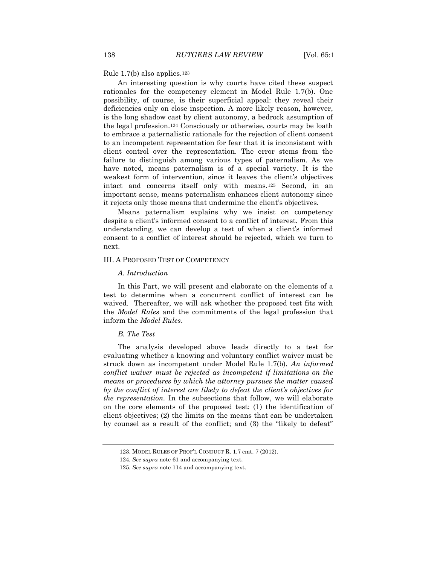#### Rule 1.7(b) also applies.<sup>123</sup>

An interesting question is why courts have cited these suspect rationales for the competency element in Model Rule 1.7(b). One possibility, of course, is their superficial appeal: they reveal their deficiencies only on close inspection. A more likely reason, however, is the long shadow cast by client autonomy, a bedrock assumption of the legal profession.<sup>124</sup> Consciously or otherwise, courts may be loath to embrace a paternalistic rationale for the rejection of client consent to an incompetent representation for fear that it is inconsistent with client control over the representation. The error stems from the failure to distinguish among various types of paternalism. As we have noted, means paternalism is of a special variety. It is the weakest form of intervention, since it leaves the client's objectives intact and concerns itself only with means.<sup>125</sup> Second, in an important sense, means paternalism enhances client autonomy since it rejects only those means that undermine the client's objectives.

Means paternalism explains why we insist on competency despite a client's informed consent to a conflict of interest. From this understanding, we can develop a test of when a client's informed consent to a conflict of interest should be rejected, which we turn to next.

#### <span id="page-29-0"></span>III. A PROPOSED TEST OF COMPETENCY

#### *A. Introduction*

In this Part, we will present and elaborate on the elements of a test to determine when a concurrent conflict of interest can be waived. Thereafter, we will ask whether the proposed test fits with the *Model Rules* and the commitments of the legal profession that inform the *Model Rules*.

### *B. The Test*

The analysis developed above leads directly to a test for evaluating whether a knowing and voluntary conflict waiver must be struck down as incompetent under Model Rule 1.7(b). *An informed conflict waiver must be rejected as incompetent if limitations on the means or procedures by which the attorney pursues the matter caused by the conflict of interest are likely to defeat the client's objectives for the representation.* In the subsections that follow, we will elaborate on the core elements of the proposed test: (1) the identification of client objectives; (2) the limits on the means that can be undertaken by counsel as a result of the conflict; and (3) the "likely to defeat"

<sup>123.</sup> MODEL RULES OF PROF'L CONDUCT R. 1.7 cmt. 7 (2012).

<sup>124</sup>*. See supra* note 61 and accompanying text.

<sup>125</sup>*. See supra* note 114 and accompanying text.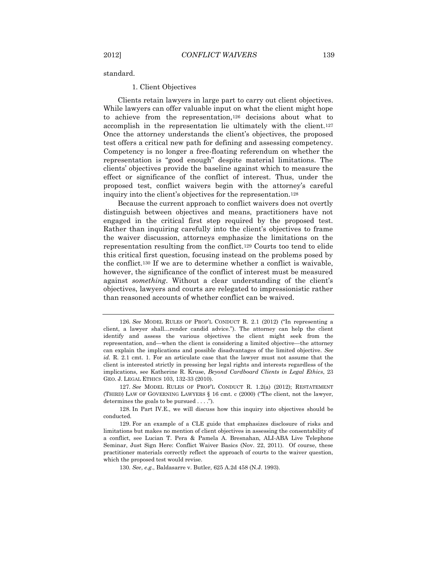standard.

#### 1. Client Objectives

Clients retain lawyers in large part to carry out client objectives. While lawyers can offer valuable input on what the client might hope to achieve from the representation,<sup>126</sup> decisions about what to accomplish in the representation lie ultimately with the client.<sup>127</sup> Once the attorney understands the client's objectives, the proposed test offers a critical new path for defining and assessing competency. Competency is no longer a free-floating referendum on whether the representation is "good enough" despite material limitations. The clients' objectives provide the baseline against which to measure the effect or significance of the conflict of interest. Thus, under the proposed test, conflict waivers begin with the attorney's careful inquiry into the client's objectives for the representation.<sup>128</sup>

Because the current approach to conflict waivers does not overtly distinguish between objectives and means, practitioners have not engaged in the critical first step required by the proposed test. Rather than inquiring carefully into the client's objectives to frame the waiver discussion, attorneys emphasize the limitations on the representation resulting from the conflict.<sup>129</sup> Courts too tend to elide this critical first question, focusing instead on the problems posed by the conflict.<sup>130</sup> If we are to determine whether a conflict is waivable, however, the significance of the conflict of interest must be measured against *something*. Without a clear understanding of the client's objectives, lawyers and courts are relegated to impressionistic rather than reasoned accounts of whether conflict can be waived.

<sup>126</sup>*. See* MODEL RULES OF PROF'L CONDUCT R. 2.1 (2012) ("In representing a client, a lawyer shall…render candid advice."). The attorney can help the client identify and assess the various objectives the client might seek from the representation, and—when the client is considering a limited objective—the attorney can explain the implications and possible disadvantages of the limited objective. *See id.* R. 2.1 cmt. 1. For an articulate case that the lawyer must not assume that the client is interested strictly in pressing her legal rights and interests regardless of the implications, see Katherine R. Kruse, *Beyond Cardboard Clients in Legal Ethics*, 23 GEO. J. LEGAL ETHICS 103, 132-33 (2010).

<sup>127</sup>*. See* MODEL RULES OF PROF'L CONDUCT R. 1.2(a) (2012); RESTATEMENT (THIRD) LAW OF GOVERNING LAWYERS § 16 cmt. c (2000) ("The client, not the lawyer, determines the goals to be pursued . . . .").

<sup>128.</sup> In Part IV.E., we will discuss how this inquiry into objectives should be conducted.

<sup>129.</sup> For an example of a CLE guide that emphasizes disclosure of risks and limitations but makes no mention of client objectives in assessing the consentability of a conflict, see Lucian T. Pera & Pamela A. Bresnahan, ALI-ABA Live Telephone Seminar, Just Sign Here: Conflict Waiver Basics (Nov. 22, 2011). Of course, these practitioner materials correctly reflect the approach of courts to the waiver question, which the proposed test would revise.

<sup>130</sup>*. See*, *e.g.*, Baldasarre v. Butler, 625 A.2d 458 (N.J. 1993).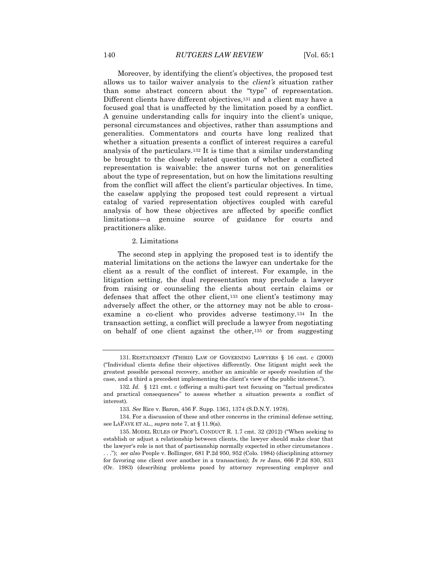Moreover, by identifying the client's objectives, the proposed test allows us to tailor waiver analysis to the *client's* situation rather than some abstract concern about the "type" of representation. Different clients have different objectives,<sup>131</sup> and a client may have a focused goal that is unaffected by the limitation posed by a conflict. A genuine understanding calls for inquiry into the client's unique, personal circumstances and objectives, rather than assumptions and generalities. Commentators and courts have long realized that whether a situation presents a conflict of interest requires a careful analysis of the particulars.<sup>132</sup> It is time that a similar understanding be brought to the closely related question of whether a conflicted representation is waivable: the answer turns not on generalities about the type of representation, but on how the limitations resulting from the conflict will affect the client's particular objectives. In time, the caselaw applying the proposed test could represent a virtual catalog of varied representation objectives coupled with careful analysis of how these objectives are affected by specific conflict limitations—a genuine source of guidance for courts and practitioners alike.

### 2. Limitations

The second step in applying the proposed test is to identify the material limitations on the actions the lawyer can undertake for the client as a result of the conflict of interest. For example, in the litigation setting, the dual representation may preclude a lawyer from raising or counseling the clients about certain claims or defenses that affect the other client,<sup>133</sup> one client's testimony may adversely affect the other, or the attorney may not be able to crossexamine a co-client who provides adverse testimony.<sup>134</sup> In the transaction setting, a conflict will preclude a lawyer from negotiating on behalf of one client against the other,<sup>135</sup> or from suggesting

<sup>131.</sup> RESTATEMENT (THIRD) LAW OF GOVERNING LAWYERS § 16 cmt. c (2000) ("Individual clients define their objectives differently. One litigant might seek the greatest possible personal recovery, another an amicable or speedy resolution of the case, and a third a precedent implementing the client's view of the public interest.").

<sup>132</sup>*. Id.* § 121 cmt. c (offering a multi-part test focusing on "factual predicates and practical consequences" to assess whether a situation presents a conflict of interest).

<sup>133</sup>*. See* Rice v. Baron, 456 F. Supp. 1361, 1374 (S.D.N.Y. 1978).

<sup>134.</sup> For a discussion of these and other concerns in the criminal defense setting, see LAFAVE ET AL., *supra* note 7, at § 11.9(a).

<sup>135.</sup> MODEL RULES OF PROF'L CONDUCT R. 1.7 cmt. 32 (2012) ("When seeking to establish or adjust a relationship between clients, the lawyer should make clear that the lawyer's role is not that of partisanship normally expected in other circumstances . . . ."); *see also* People v. Bollinger, 681 P.2d 950, 952 (Colo. 1984) (disciplining attorney for favoring one client over another in a transaction); *In re* Jans, 666 P.2d 830, 833 (Or. 1983) (describing problems posed by attorney representing employer and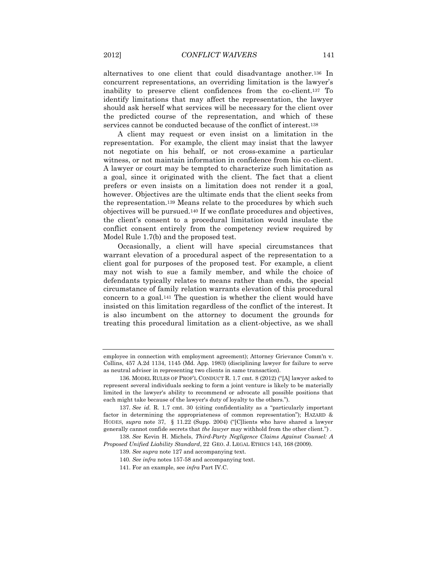alternatives to one client that could disadvantage another.<sup>136</sup> In concurrent representations, an overriding limitation is the lawyer's inability to preserve client confidences from the co-client.<sup>137</sup> To identify limitations that may affect the representation, the lawyer should ask herself what services will be necessary for the client over the predicted course of the representation, and which of these services cannot be conducted because of the conflict of interest.<sup>138</sup>

A client may request or even insist on a limitation in the representation. For example, the client may insist that the lawyer not negotiate on his behalf, or not cross-examine a particular witness, or not maintain information in confidence from his co-client. A lawyer or court may be tempted to characterize such limitation as a goal, since it originated with the client. The fact that a client prefers or even insists on a limitation does not render it a goal, however. Objectives are the ultimate ends that the client seeks from the representation.<sup>139</sup> Means relate to the procedures by which such objectives will be pursued.<sup>140</sup> If we conflate procedures and objectives, the client's consent to a procedural limitation would insulate the conflict consent entirely from the competency review required by Model Rule 1.7(b) and the proposed test.

Occasionally, a client will have special circumstances that warrant elevation of a procedural aspect of the representation to a client goal for purposes of the proposed test. For example, a client may not wish to sue a family member, and while the choice of defendants typically relates to means rather than ends, the special circumstance of family relation warrants elevation of this procedural concern to a goal.<sup>141</sup> The question is whether the client would have insisted on this limitation regardless of the conflict of the interest. It is also incumbent on the attorney to document the grounds for treating this procedural limitation as a client-objective, as we shall

employee in connection with employment agreement); Attorney Grievance Comm'n v. Collins, 457 A.2d 1134, 1145 (Md. App. 1983) (disciplining lawyer for failure to serve as neutral adviser in representing two clients in same transaction).

<sup>136.</sup> MODEL RULES OF PROF'L CONDUCT R. 1.7 cmt. 8 (2012) ("[A] lawyer asked to represent several individuals seeking to form a joint venture is likely to be materially limited in the lawyer's ability to recommend or advocate all possible positions that each might take because of the lawyer's duty of loyalty to the others.").

<sup>137</sup>*. See id.* R. 1.7 cmt. 30 (citing confidentiality as a "particularly important factor in determining the appropriateness of common representation"); HAZARD & HODES, *supra* note 37, § 11.22 (Supp. 2004) ("[C]lients who have shared a lawyer generally cannot confide secrets that *the lawyer* may withhold from the other client.") .

<sup>138</sup>*. See* Kevin H. Michels, *Third-Party Negligence Claims Against Counsel: A Proposed Unified Liability Standard*, 22 GEO. J. LEGAL ETHICS 143, 168 (2009).

<sup>139</sup>*. See supra* note 127 and accompanying text.

<sup>140</sup>*. See infra* notes 157-58 and accompanying text.

<sup>141.</sup> For an example, see *infra* Part IV.C.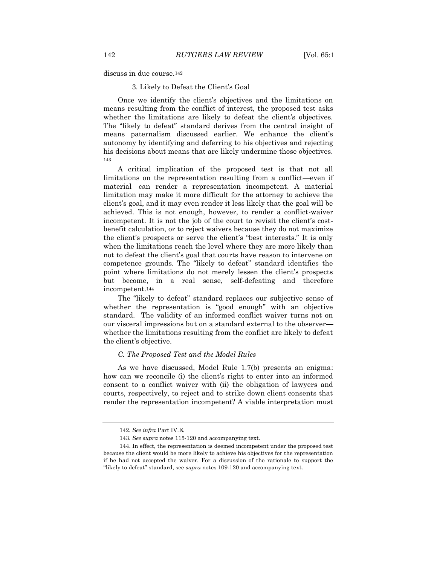discuss in due course.<sup>142</sup>

3. Likely to Defeat the Client's Goal

Once we identify the client's objectives and the limitations on means resulting from the conflict of interest, the proposed test asks whether the limitations are likely to defeat the client's objectives. The "likely to defeat" standard derives from the central insight of means paternalism discussed earlier. We enhance the client's autonomy by identifying and deferring to his objectives and rejecting his decisions about means that are likely undermine those objectives. <sup>143</sup>

A critical implication of the proposed test is that not all limitations on the representation resulting from a conflict—even if material—can render a representation incompetent. A material limitation may make it more difficult for the attorney to achieve the client's goal, and it may even render it less likely that the goal will be achieved. This is not enough, however, to render a conflict-waiver incompetent. It is not the job of the court to revisit the client's costbenefit calculation, or to reject waivers because they do not maximize the client's prospects or serve the client's "best interests." It is only when the limitations reach the level where they are more likely than not to defeat the client's goal that courts have reason to intervene on competence grounds. The "likely to defeat" standard identifies the point where limitations do not merely lessen the client's prospects but become, in a real sense, self-defeating and therefore incompetent.<sup>144</sup>

The "likely to defeat" standard replaces our subjective sense of whether the representation is "good enough" with an objective standard. The validity of an informed conflict waiver turns not on our visceral impressions but on a standard external to the observer whether the limitations resulting from the conflict are likely to defeat the client's objective.

### *C. The Proposed Test and the Model Rules*

As we have discussed, Model Rule 1.7(b) presents an enigma: how can we reconcile (i) the client's right to enter into an informed consent to a conflict waiver with (ii) the obligation of lawyers and courts, respectively, to reject and to strike down client consents that render the representation incompetent? A viable interpretation must

<sup>142</sup>*. See infra* Part IV.E.

<sup>143</sup>*. See supra* notes 115-120 and accompanying text.

<sup>144.</sup> In effect, the representation is deemed incompetent under the proposed test because the client would be more likely to achieve his objectives for the representation if he had not accepted the waiver. For a discussion of the rationale to support the "likely to defeat" standard, see *supra* notes 109-120 and accompanying text.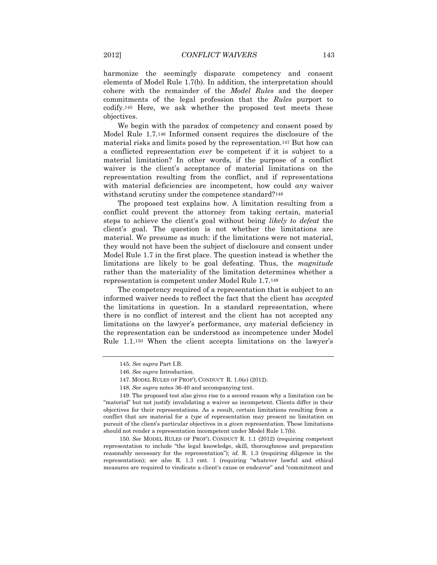harmonize the seemingly disparate competency and consent elements of Model Rule 1.7(b). In addition, the interpretation should cohere with the remainder of the *Model Rules* and the deeper commitments of the legal profession that the *Rules* purport to codify.<sup>145</sup> Here, we ask whether the proposed test meets these objectives.

We begin with the paradox of competency and consent posed by Model Rule 1.7.<sup>146</sup> Informed consent requires the disclosure of the material risks and limits posed by the representation.<sup>147</sup> But how can a conflicted representation *ever* be competent if it is subject to a material limitation? In other words, if the purpose of a conflict waiver is the client's acceptance of material limitations on the representation resulting from the conflict, and if representations with material deficiencies are incompetent, how could *any* waiver withstand scrutiny under the competence standard?<sup>148</sup>

The proposed test explains how. A limitation resulting from a conflict could prevent the attorney from taking certain, material steps to achieve the client's goal without being *likely to defeat* the client's goal. The question is not whether the limitations are material. We presume as much: if the limitations were not material, they would not have been the subject of disclosure and consent under Model Rule 1.7 in the first place. The question instead is whether the limitations are likely to be goal defeating. Thus, the *magnitude* rather than the materiality of the limitation determines whether a representation is competent under Model Rule 1.7.<sup>149</sup>

The competency required of a representation that is subject to an informed waiver needs to reflect the fact that the client has *accepted* the limitations in question. In a standard representation, where there is no conflict of interest and the client has not accepted any limitations on the lawyer's performance, *any* material deficiency in the representation can be understood as incompetence under Model Rule 1.1.<sup>150</sup> When the client accepts limitations on the lawyer's

<sup>145</sup>*. See supra* Part I.B.

<sup>146</sup>*. See supra* Introduction.

<sup>147.</sup> MODEL RULES OF PROF'L CONDUCT R. 1.0(e) (2012).

<sup>148</sup>*. See supra* notes 36-40 and accompanying text.

<sup>149.</sup> The proposed test also gives rise to a second reason why a limitation can be "material" but not justify invalidating a waiver as incompetent. Clients differ in their objectives for their representations. As a result, certain limitations resulting from a conflict that are material for a *type* of representation may present no limitation on pursuit of the client's particular objectives in a *given* representation. These limitations should not render a representation incompetent under Model Rule 1.7(b).

<sup>150</sup>*. See* MODEL RULES OF PROF'L CONDUCT R. 1.1 (2012) (requiring competent representation to include "the legal knowledge, skill, thoroughness and preparation reasonably necessary for the representation"); *id.* R. 1.3 (requiring diligence in the representation); *see also* R. 1.3 cmt. 1 (requiring "whatever lawful and ethical measures are required to vindicate a client's cause or endeavor" and "commitment and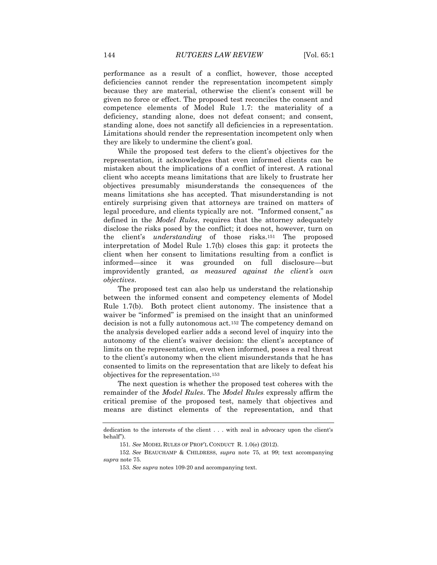performance as a result of a conflict, however, those accepted deficiencies cannot render the representation incompetent simply because they are material, otherwise the client's consent will be given no force or effect. The proposed test reconciles the consent and competence elements of Model Rule 1.7: the materiality of a deficiency, standing alone, does not defeat consent; and consent, standing alone, does not sanctify all deficiencies in a representation. Limitations should render the representation incompetent only when they are likely to undermine the client's goal.

While the proposed test defers to the client's objectives for the representation, it acknowledges that even informed clients can be mistaken about the implications of a conflict of interest. A rational client who accepts means limitations that are likely to frustrate her objectives presumably misunderstands the consequences of the means limitations she has accepted. That misunderstanding is not entirely surprising given that attorneys are trained on matters of legal procedure, and clients typically are not. "Informed consent," as defined in the *Model Rules*, requires that the attorney adequately disclose the risks posed by the conflict; it does not, however, turn on the client's *understanding* of those risks.<sup>151</sup> The proposed interpretation of Model Rule 1.7(b) closes this gap: it protects the client when her consent to limitations resulting from a conflict is informed—since it was grounded on full disclosure—but improvidently granted, *as measured against the client's own objectives*.

The proposed test can also help us understand the relationship between the informed consent and competency elements of Model Rule 1.7(b). Both protect client autonomy. The insistence that a waiver be "informed" is premised on the insight that an uninformed decision is not a fully autonomous act.<sup>152</sup> The competency demand on the analysis developed earlier adds a second level of inquiry into the autonomy of the client's waiver decision: the client's acceptance of limits on the representation, even when informed, poses a real threat to the client's autonomy when the client misunderstands that he has consented to limits on the representation that are likely to defeat his objectives for the representation.<sup>153</sup>

The next question is whether the proposed test coheres with the remainder of the *Model Rules*. The *Model Rules* expressly affirm the critical premise of the proposed test, namely that objectives and means are distinct elements of the representation, and that

dedication to the interests of the client . . . with zeal in advocacy upon the client's behalf").

<sup>151</sup>*. See* MODEL RULES OF PROF'L CONDUCT R. 1.0(e) (2012).

<sup>152</sup>*. See* BEAUCHAMP & CHILDRESS, *supra* note 75, at 99; text accompanying *supra* note 75.

<sup>153</sup>*. See supra* notes 109-20 and accompanying text.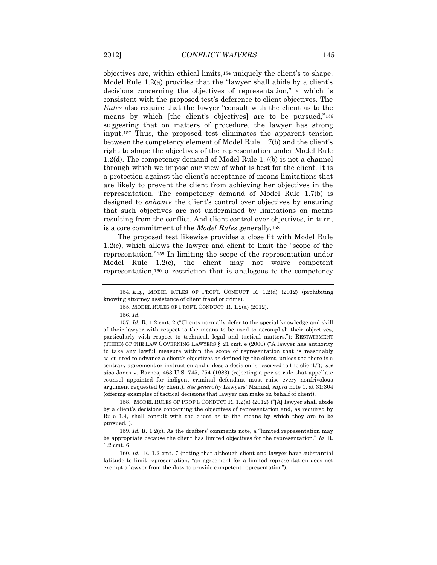objectives are, within ethical limits,<sup>154</sup> uniquely the client's to shape. Model Rule 1.2(a) provides that the "lawyer shall abide by a client's decisions concerning the objectives of representation,"<sup>155</sup> which is consistent with the proposed test's deference to client objectives. The *Rules* also require that the lawyer "consult with the client as to the means by which [the client's objectives] are to be pursued,"<sup>156</sup> suggesting that on matters of procedure, the lawyer has strong input.<sup>157</sup> Thus, the proposed test eliminates the apparent tension between the competency element of Model Rule 1.7(b) and the client's right to shape the objectives of the representation under Model Rule 1.2(d). The competency demand of Model Rule 1.7(b) is not a channel through which we impose our view of what is best for the client. It is a protection against the client's acceptance of means limitations that are likely to prevent the client from achieving her objectives in the representation. The competency demand of Model Rule 1.7(b) is designed to *enhance* the client's control over objectives by ensuring that such objectives are not undermined by limitations on means resulting from the conflict. And client control over objectives, in turn, is a core commitment of the *Model Rules* generally.<sup>158</sup>

The proposed test likewise provides a close fit with Model Rule 1.2(c), which allows the lawyer and client to limit the "scope of the representation."<sup>159</sup> In limiting the scope of the representation under Model Rule 1.2(c), the client may not waive competent representation,<sup>160</sup> a restriction that is analogous to the competency

156*. Id*.

157*. Id.* R. 1.2 cmt. 2 ("Clients normally defer to the special knowledge and skill of their lawyer with respect to the means to be used to accomplish their objectives, particularly with respect to technical, legal and tactical matters."); RESTATEMENT (THIRD) OF THE LAW GOVERNING LAWYERS § 21 cmt. e (2000) ("A lawyer has authority to take any lawful measure within the scope of representation that is reasonably calculated to advance a client's objectives as defined by the client, unless the there is a contrary agreement or instruction and unless a decision is reserved to the client."); *see also* Jones v. Barnes, 463 U.S. 745, 754 (1983) (rejecting a per se rule that appellate counsel appointed for indigent criminal defendant must raise every nonfrivolous argument requested by client). *See generally* Lawyers' Manual, *supra* note 1, at 31:304 (offering examples of tactical decisions that lawyer can make on behalf of client).

158. MODEL RULES OF PROF'L CONDUCT R. 1.2(a) (2012) ("[A] lawyer shall abide by a client's decisions concerning the objectives of representation and, as required by Rule 1.4, shall consult with the client as to the means by which they are to be pursued.").

159*. Id.* R. 1.2(c). As the drafters' comments note, a "limited representation may be appropriate because the client has limited objectives for the representation." *Id*. R. 1.2 cmt. 6.

160*. Id.* R. 1.2 cmt. 7 (noting that although client and lawyer have substantial latitude to limit representation, "an agreement for a limited representation does not exempt a lawyer from the duty to provide competent representation").

<sup>154</sup>*. E.g.*, MODEL RULES OF PROF'L CONDUCT R. 1.2(d) (2012) (prohibiting knowing attorney assistance of client fraud or crime).

<sup>155.</sup> MODEL RULES OF PROF'L CONDUCT R. 1.2(a) (2012).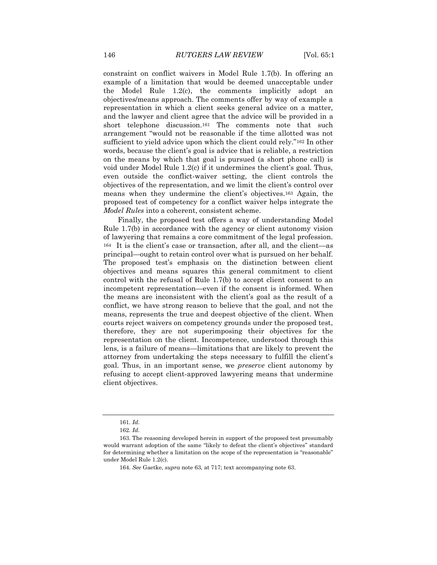constraint on conflict waivers in Model Rule 1.7(b). In offering an example of a limitation that would be deemed unacceptable under the Model Rule 1.2(c), the comments implicitly adopt an objectives/means approach. The comments offer by way of example a representation in which a client seeks general advice on a matter, and the lawyer and client agree that the advice will be provided in a short telephone discussion.<sup>161</sup> The comments note that such arrangement "would not be reasonable if the time allotted was not sufficient to yield advice upon which the client could rely."<sup>162</sup> In other words, because the client's goal is advice that is reliable, a restriction on the means by which that goal is pursued (a short phone call) is void under Model Rule 1.2(c) if it undermines the client's goal. Thus, even outside the conflict-waiver setting, the client controls the objectives of the representation, and we limit the client's control over means when they undermine the client's objectives.<sup>163</sup> Again, the proposed test of competency for a conflict waiver helps integrate the *Model Rules* into a coherent, consistent scheme.

Finally, the proposed test offers a way of understanding Model Rule 1.7(b) in accordance with the agency or client autonomy vision of lawyering that remains a core commitment of the legal profession. <sup>164</sup> It is the client's case or transaction, after all, and the client—as principal—ought to retain control over what is pursued on her behalf. The proposed test's emphasis on the distinction between client objectives and means squares this general commitment to client control with the refusal of Rule 1.7(b) to accept client consent to an incompetent representation—even if the consent is informed. When the means are inconsistent with the client's goal as the result of a conflict, we have strong reason to believe that the goal, and not the means, represents the true and deepest objective of the client. When courts reject waivers on competency grounds under the proposed test, therefore, they are not superimposing their objectives for the representation on the client. Incompetence, understood through this lens, is a failure of means—limitations that are likely to prevent the attorney from undertaking the steps necessary to fulfill the client's goal. Thus, in an important sense, we *preserve* client autonomy by refusing to accept client-approved lawyering means that undermine client objectives.

<sup>161</sup>*. Id*.

<sup>162</sup>*. Id*.

<sup>163.</sup> The reasoning developed herein in support of the proposed test presumably would warrant adoption of the same "likely to defeat the client's objectives" standard for determining whether a limitation on the scope of the representation is "reasonable" under Model Rule 1.2(c).

<sup>164</sup>*. See* Gaetke, *supra* note 63, at 717; text accompanying note 63.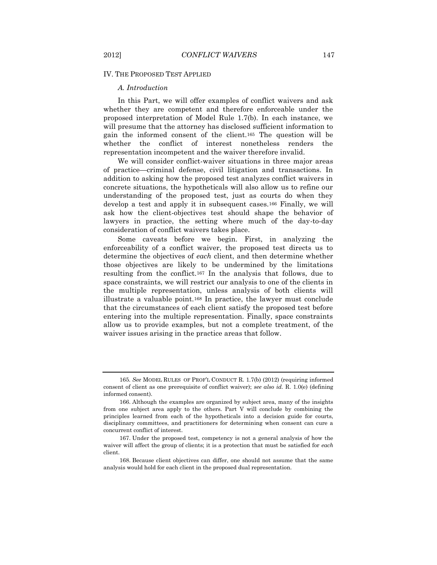### IV. THE PROPOSED TEST APPLIED

#### *A. Introduction*

In this Part, we will offer examples of conflict waivers and ask whether they are competent and therefore enforceable under the proposed interpretation of Model Rule 1.7(b). In each instance, we will presume that the attorney has disclosed sufficient information to gain the informed consent of the client.<sup>165</sup> The question will be whether the conflict of interest nonetheless renders the representation incompetent and the waiver therefore invalid.

We will consider conflict-waiver situations in three major areas of practice—criminal defense, civil litigation and transactions. In addition to asking how the proposed test analyzes conflict waivers in concrete situations, the hypotheticals will also allow us to refine our understanding of the proposed test, just as courts do when they develop a test and apply it in subsequent cases.<sup>166</sup> Finally, we will ask how the client-objectives test should shape the behavior of lawyers in practice, the setting where much of the day-to-day consideration of conflict waivers takes place.

Some caveats before we begin. First, in analyzing the enforceability of a conflict waiver, the proposed test directs us to determine the objectives of *each* client, and then determine whether those objectives are likely to be undermined by the limitations resulting from the conflict.<sup>167</sup> In the analysis that follows, due to space constraints, we will restrict our analysis to one of the clients in the multiple representation, unless analysis of both clients will illustrate a valuable point.<sup>168</sup> In practice, the lawyer must conclude that the circumstances of each client satisfy the proposed test before entering into the multiple representation. Finally, space constraints allow us to provide examples, but not a complete treatment, of the waiver issues arising in the practice areas that follow.

<sup>165</sup>*. See* MODEL RULES OF PROF'L CONDUCT R. 1.7(b) (2012) (requiring informed consent of client as one prerequisite of conflict waiver); *see also id.* R. 1.0(e) (defining informed consent).

<sup>166.</sup> Although the examples are organized by subject area, many of the insights from one subject area apply to the others. Part V will conclude by combining the principles learned from each of the hypotheticals into a decision guide for courts, disciplinary committees, and practitioners for determining when consent can cure a concurrent conflict of interest.

<sup>167.</sup> Under the proposed test, competency is not a general analysis of how the waiver will affect the group of clients; it is a protection that must be satisfied for *each* client.

<sup>168.</sup> Because client objectives can differ, one should not assume that the same analysis would hold for each client in the proposed dual representation.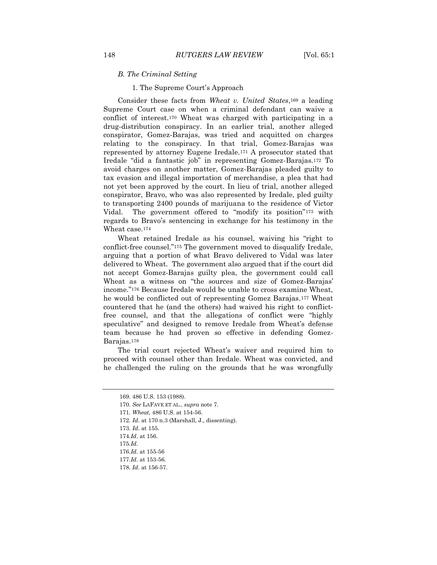#### *B. The Criminal Setting*

1. The Supreme Court's Approach

Consider these facts from *Wheat v. United States*,<sup>169</sup> a leading Supreme Court case on when a criminal defendant can waive a conflict of interest.<sup>170</sup> Wheat was charged with participating in a drug-distribution conspiracy. In an earlier trial, another alleged conspirator, Gomez-Barajas, was tried and acquitted on charges relating to the conspiracy. In that trial, Gomez-Barajas was represented by attorney Eugene Iredale.<sup>171</sup> A prosecutor stated that Iredale "did a fantastic job" in representing Gomez-Barajas.<sup>172</sup> To avoid charges on another matter, Gomez-Barajas pleaded guilty to tax evasion and illegal importation of merchandise, a plea that had not yet been approved by the court. In lieu of trial, another alleged conspirator, Bravo, who was also represented by Iredale, pled guilty to transporting 2400 pounds of marijuana to the residence of Victor Vidal. The government offered to "modify its position"<sup>173</sup> with regards to Bravo's sentencing in exchange for his testimony in the Wheat case.<sup>174</sup>

Wheat retained Iredale as his counsel, waiving his "right to conflict-free counsel."<sup>175</sup> The government moved to disqualify Iredale, arguing that a portion of what Bravo delivered to Vidal was later delivered to Wheat. The government also argued that if the court did not accept Gomez-Barajas guilty plea, the government could call Wheat as a witness on "the sources and size of Gomez-Barajas' income."<sup>176</sup> Because Iredale would be unable to cross examine Wheat, he would be conflicted out of representing Gomez Barajas.<sup>177</sup> Wheat countered that he (and the others) had waived his right to conflictfree counsel, and that the allegations of conflict were "highly speculative" and designed to remove Iredale from Wheat's defense team because he had proven so effective in defending Gomez-Barajas.<sup>178</sup>

The trial court rejected Wheat's waiver and required him to proceed with counsel other than Iredale. Wheat was convicted, and he challenged the ruling on the grounds that he was wrongfully

- 172*. Id*. at 170 n.3 (Marshall, J., dissenting).
- 173*. Id*. at 155.
- 174*.Id*. at 156.
- 175*.Id.*

176*.Id.* at 155-56

177*.Id*. at 153-56.

<sup>169.</sup> 486 U.S. 153 (1988).

<sup>170</sup>*. See* LAFAVE ET AL., *supra* note 7.

<sup>171</sup>*. Wheat,* 486 U.S. at 154-56.

<sup>178</sup>*. Id*. at 156-57.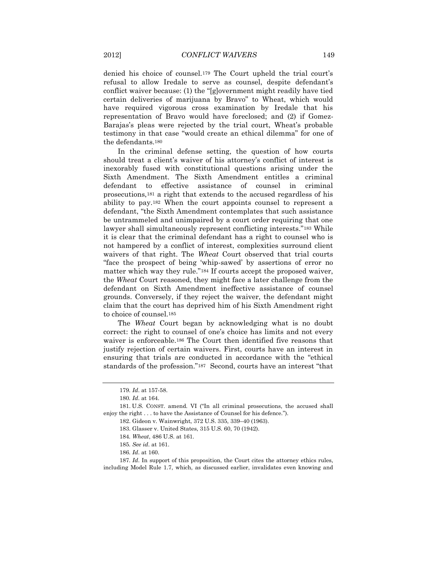denied his choice of counsel.<sup>179</sup> The Court upheld the trial court's refusal to allow Iredale to serve as counsel, despite defendant's conflict waiver because: (1) the "[g]overnment might readily have tied certain deliveries of marijuana by Bravo" to Wheat, which would have required vigorous cross examination by Iredale that his representation of Bravo would have foreclosed; and (2) if Gomez-Barajas's pleas were rejected by the trial court, Wheat's probable testimony in that case "would create an ethical dilemma" for one of the defendants.<sup>180</sup>

In the criminal defense setting, the question of how courts should treat a client's waiver of his attorney's conflict of interest is inexorably fused with constitutional questions arising under the Sixth Amendment. The Sixth Amendment entitles a criminal defendant to effective assistance of counsel in criminal prosecutions,<sup>181</sup> a right that extends to the accused regardless of his ability to pay.<sup>182</sup> When the court appoints counsel to represent a defendant, "the Sixth Amendment contemplates that such assistance be untrammeled and unimpaired by a court order requiring that one lawyer shall simultaneously represent conflicting interests."<sup>183</sup> While it is clear that the criminal defendant has a right to counsel who is not hampered by a conflict of interest, complexities surround client waivers of that right. The *Wheat* Court observed that trial courts "face the prospect of being 'whip-sawed' by assertions of error no matter which way they rule."<sup>184</sup> If courts accept the proposed waiver, the *Wheat* Court reasoned, they might face a later challenge from the defendant on Sixth Amendment ineffective assistance of counsel grounds. Conversely, if they reject the waiver, the defendant might claim that the court has deprived him of his Sixth Amendment right to choice of counsel.<sup>185</sup>

The *Wheat* Court began by acknowledging what is no doubt correct: the right to counsel of one's choice has limits and not every waiver is enforceable.<sup>186</sup> The Court then identified five reasons that justify rejection of certain waivers. First, courts have an interest in ensuring that trials are conducted in accordance with the "ethical standards of the profession."<sup>187</sup> Second, courts have an interest "that

<sup>179</sup>*. Id*. at 157-58.

<sup>180</sup>*. Id*. at 164.

<sup>181.</sup> U.S. CONST. amend. VI ("In all criminal prosecutions, the accused shall enjoy the right . . . to have the Assistance of Counsel for his defence.").

<sup>182.</sup> Gideon v. Wainwright, 372 U.S. 335, 339–40 (1963).

<sup>183.</sup> Glasser v. United States, 315 U.S. 60, 70 (1942).

<sup>184</sup>*. Wheat*, 486 U.S. at 161.

<sup>185</sup>*. See id*. at 161.

<sup>186</sup>*. Id*. at 160.

<sup>187</sup>*. Id*. In support of this proposition, the Court cites the attorney ethics rules, including Model Rule 1.7, which, as discussed earlier, invalidates even knowing and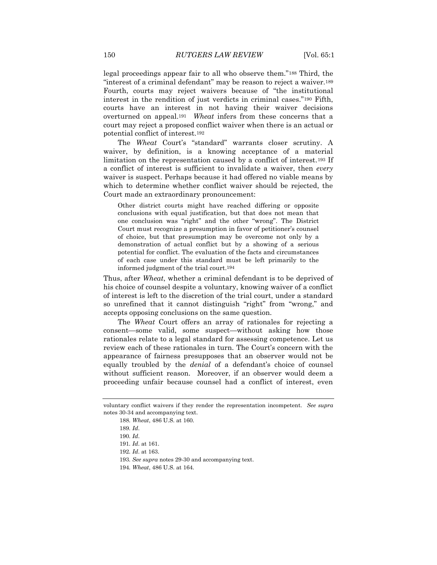legal proceedings appear fair to all who observe them."<sup>188</sup> Third, the "interest of a criminal defendant" may be reason to reject a waiver.<sup>189</sup> Fourth, courts may reject waivers because of "the institutional interest in the rendition of just verdicts in criminal cases."<sup>190</sup> Fifth, courts have an interest in not having their waiver decisions overturned on appeal.<sup>191</sup> *Wheat* infers from these concerns that a court may reject a proposed conflict waiver when there is an actual or potential conflict of interest.<sup>192</sup>

The *Wheat* Court's "standard" warrants closer scrutiny. A waiver, by definition, is a knowing acceptance of a material limitation on the representation caused by a conflict of interest.<sup>193</sup> If a conflict of interest is sufficient to invalidate a waiver, then *every* waiver is suspect. Perhaps because it had offered no viable means by which to determine whether conflict waiver should be rejected, the Court made an extraordinary pronouncement:

Other district courts might have reached differing or opposite conclusions with equal justification, but that does not mean that one conclusion was "right" and the other "wrong". The District Court must recognize a presumption in favor of petitioner's counsel of choice, but that presumption may be overcome not only by a demonstration of actual conflict but by a showing of a serious potential for conflict. The evaluation of the facts and circumstances of each case under this standard must be left primarily to the informed judgment of the trial court.194

Thus, after *Wheat*, whether a criminal defendant is to be deprived of his choice of counsel despite a voluntary, knowing waiver of a conflict of interest is left to the discretion of the trial court, under a standard so unrefined that it cannot distinguish "right" from "wrong," and accepts opposing conclusions on the same question.

The *Wheat* Court offers an array of rationales for rejecting a consent—some valid, some suspect—without asking how those rationales relate to a legal standard for assessing competence. Let us review each of these rationales in turn. The Court's concern with the appearance of fairness presupposes that an observer would not be equally troubled by the *denial* of a defendant's choice of counsel without sufficient reason. Moreover, if an observer would deem a proceeding unfair because counsel had a conflict of interest, even

voluntary conflict waivers if they render the representation incompetent. *See supra* notes 30-34 and accompanying text.

<sup>188</sup>*. Wheat*, 486 U.S. at 160.

<sup>189</sup>*. Id*.

<sup>190</sup>*. Id*.

<sup>191</sup>*. Id*. at 161.

<sup>192</sup>*. Id*. at 163.

<sup>193</sup>*. See supra* notes 29-30 and accompanying text.

<sup>194</sup>*. Wheat*, 486 U.S. at 164.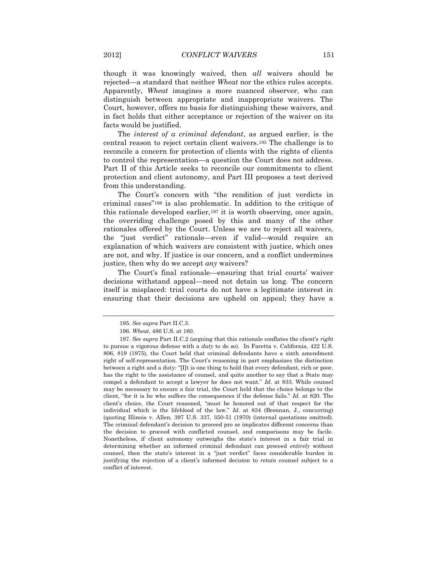though it was knowingly waived, then *all* waivers should be rejected—a standard that neither *Wheat* nor the ethics rules accepts. Apparently, *Wheat* imagines a more nuanced observer, who can distinguish between appropriate and inappropriate waivers. The Court, however, offers no basis for distinguishing these waivers, and in fact holds that either acceptance or rejection of the waiver on its facts would be justified.

The *interest of a criminal defendant*, as argued earlier, is the central reason to reject certain client waivers.<sup>195</sup> The challenge is to reconcile a concern for protection of clients with the rights of clients to control the representation—a question the Court does not address. Part II of this Article seeks to reconcile our commitments to client protection and client autonomy, and Part III proposes a test derived from this understanding.

The Court's concern with "the rendition of just verdicts in criminal cases"<sup>196</sup> is also problematic. In addition to the critique of this rationale developed earlier,<sup>197</sup> it is worth observing, once again, the overriding challenge posed by this and many of the other rationales offered by the Court. Unless we are to reject all waivers, the "just verdict" rationale—even if valid—would require an explanation of which waivers are consistent with justice, which ones are not, and why. If justice is our concern, and a conflict undermines justice, then why do we accept *any* waivers?

The Court's final rationale—ensuring that trial courts' waiver decisions withstand appeal—need not detain us long. The concern itself is misplaced: trial courts do not have a legitimate interest in ensuring that their decisions are upheld on appeal; they have a

<sup>195</sup>*. See supra* Part II.C.3.

<sup>196</sup>*. Wheat*, 486 U.S. at 160.

<sup>197</sup>*. See supra* Part II.C.2 (arguing that this rationale conflates the client's *right* to pursue a vigorous defense with a *duty* to do so). In Faretta v. California, 422 U.S. 806, 819 (1975), the Court held that criminal defendants have a sixth amendment right of self-representation. The Court's reasoning in part emphasizes the distinction between a right and a duty*:* "[I]t is one thing to hold that every defendant, rich or poor, has the right to the assistance of counsel, and quite another to say that a State may compel a defendant to accept a lawyer he does not want." *Id*. at 833. While counsel may be necessary to ensure a fair trial, the Court held that the choice belongs to the client, "for it is he who suffers the consequences if the defense fails." *Id*. at 820. The client's choice, the Court reasoned, "must be honored out of that respect for the individual which is the lifeblood of the law." *Id*. at 834 (Brennan, J., concurring) (quoting Illinois v. Allen, 397 U.S. 337, 350-51 (1970) (internal quotations omitted). The criminal defendant's decision to proceed pro se implicates different concerns than the decision to proceed with conflicted counsel, and comparisons may be facile. Nonetheless, if client autonomy outweighs the state's interest in a fair trial in determining whether an informed criminal defendant can proceed *entirely* without counsel, then the state's interest in a "just verdict" faces considerable burden in justifying the rejection of a client's informed decision to *retain* counsel subject to a conflict of interest.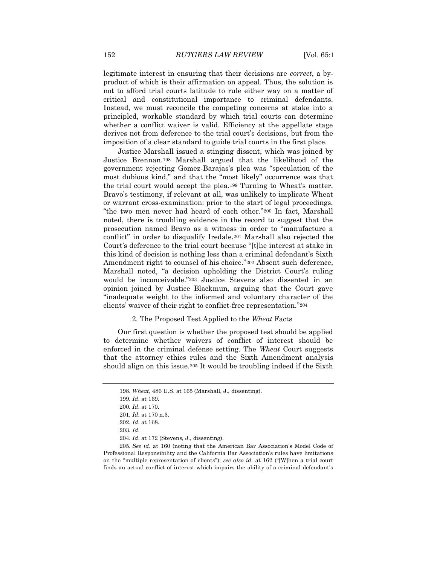legitimate interest in ensuring that their decisions are *correct*, a byproduct of which is their affirmation on appeal. Thus, the solution is not to afford trial courts latitude to rule either way on a matter of critical and constitutional importance to criminal defendants. Instead, we must reconcile the competing concerns at stake into a principled, workable standard by which trial courts can determine whether a conflict waiver is valid. Efficiency at the appellate stage derives not from deference to the trial court's decisions, but from the imposition of a clear standard to guide trial courts in the first place.

Justice Marshall issued a stinging dissent, which was joined by Justice Brennan.<sup>198</sup> Marshall argued that the likelihood of the government rejecting Gomez-Barajas's plea was "speculation of the most dubious kind," and that the "most likely" occurrence was that the trial court would accept the plea.<sup>199</sup> Turning to Wheat's matter, Bravo's testimony, if relevant at all, was unlikely to implicate Wheat or warrant cross-examination: prior to the start of legal proceedings, "the two men never had heard of each other."<sup>200</sup> In fact, Marshall noted, there is troubling evidence in the record to suggest that the prosecution named Bravo as a witness in order to "manufacture a conflict" in order to disqualify Iredale.<sup>201</sup> Marshall also rejected the Court's deference to the trial court because "[t]he interest at stake in this kind of decision is nothing less than a criminal defendant's Sixth Amendment right to counsel of his choice."<sup>202</sup> Absent such deference, Marshall noted, "a decision upholding the District Court's ruling would be inconceivable."<sup>203</sup> Justice Stevens also dissented in an opinion joined by Justice Blackmun, arguing that the Court gave "inadequate weight to the informed and voluntary character of the clients' waiver of their right to conflict-free representation."<sup>204</sup>

#### 2. The Proposed Test Applied to the *Wheat* Facts

Our first question is whether the proposed test should be applied to determine whether waivers of conflict of interest should be enforced in the criminal defense setting. The *Wheat* Court suggests that the attorney ethics rules and the Sixth Amendment analysis should align on this issue.<sup>205</sup> It would be troubling indeed if the Sixth

<sup>198</sup>*. Wheat*, 486 U.S. at 165 (Marshall, J., dissenting).

<sup>199</sup>*. Id*. at 169.

<sup>200</sup>*. Id*. at 170.

<sup>201</sup>*. Id*. at 170 n.3.

<sup>202</sup>*. Id*. at 168.

<sup>203</sup>*. Id*.

<sup>204</sup>*. Id*. at 172 (Stevens, J., dissenting).

<sup>205</sup>*. See id*. at 160 (noting that the American Bar Association's Model Code of Professional Responsibility and the California Bar Association's rules have limitations on the "multiple representation of clients"); *see also id*. at 162 ("[W]hen a trial court finds an actual conflict of interest which impairs the ability of a criminal defendant's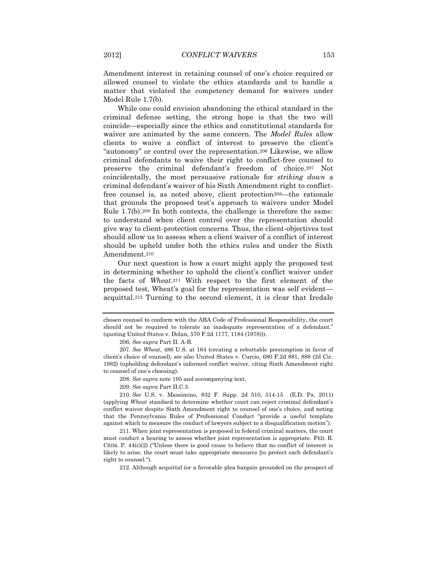Amendment interest in retaining counsel of one's choice required or allowed counsel to violate the ethics standards and to handle a matter that violated the competency demand for waivers under Model Rule 1.7(b).

While one could envision abandoning the ethical standard in the criminal defense setting, the strong hope is that the two will coincide—especially since the ethics and constitutional standards for waiver are animated by the same concern. The *Model Rules* allow clients to waive a conflict of interest to preserve the client's "autonomy" or control over the representation.<sup>206</sup> Likewise, we allow criminal defendants to waive their right to conflict-free counsel to preserve the criminal defendant's freedom of choice.<sup>207</sup> Not coincidentally, the most persuasive rationale for *striking down* a criminal defendant's waiver of his Sixth Amendment right to conflictfree counsel is, as noted above, client protection<sup>208</sup>—the rationale that grounds the proposed test's approach to waivers under Model Rule 1.7(b).<sup>209</sup> In both contexts, the challenge is therefore the same: to understand when client control over the representation should give way to client-protection concerns. Thus, the client-objectives test should allow us to assess when a client waiver of a conflict of interest should be upheld under both the ethics rules and under the Sixth Amendment.<sup>210</sup>

Our next question is how a court might apply the proposed test in determining whether to uphold the client's conflict waiver under the facts of *Wheat*.<sup>211</sup> With respect to the first element of the proposed test, Wheat's goal for the representation was self evident acquittal.<sup>212</sup> Turning to the second element, it is clear that Iredale

chosen counsel to conform with the ABA Code of Professional Responsibility, the court should not be required to tolerate an inadequate representation of a defendant." (quoting United States v. Dolan, 570 F.2d 1177, 1184 (1978))).

<sup>206</sup>*. See supra* Part II. A-B.

<sup>207</sup>*. See Wheat*, 486 U.S. at 164 (creating a rebuttable presumption in favor of client's choice of counsel)*; see also* United States v. Curcio, 680 F.2d 881, 888 (2d Cir. 1982) (upholding defendant's informed conflict waiver, citing Sixth Amendment right to counsel of one's choosing).

<sup>208</sup>*. See supra* note 195 and accompanying text.

<sup>209</sup>*. See supra* Part II.C.3.

<sup>210</sup>*. See* U.S. v. Massimino, 832 F. Supp. 2d 510, 514-15 (E.D. Pa. 2011) (applying *Wheat* standard to determine whether court can reject criminal defendant's conflict waiver despite Sixth Amendment right to counsel of one's choice, and noting that the Pennsylvania Rules of Professional Conduct "provide a useful template against which to measure the conduct of lawyers subject to a disqualification motion").

<sup>211.</sup> When joint representation is proposed in federal criminal matters, the court must conduct a hearing to assess whether joint representation is appropriate. FED. R. CRIM. P.  $44(c)(2)$  ("Unless there is good cause to believe that no conflict of interest is likely to arise, the court must take appropriate measures [to protect each defendant's right to counsel.").

<sup>212.</sup> Although acquittal (or a favorable plea bargain grounded on the prospect of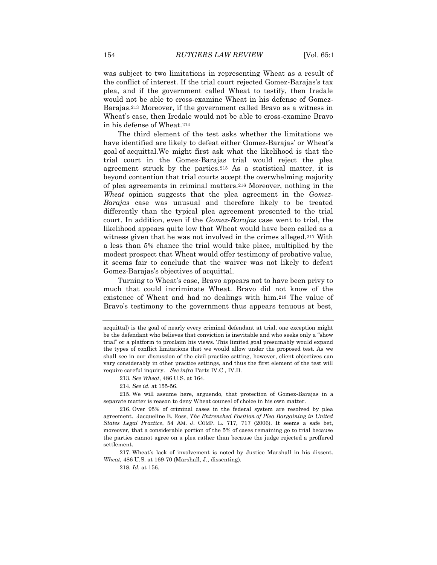was subject to two limitations in representing Wheat as a result of the conflict of interest. If the trial court rejected Gomez-Barajas's tax plea, and if the government called Wheat to testify, then Iredale would not be able to cross-examine Wheat in his defense of Gomez-Barajas.<sup>213</sup> Moreover, if the government called Bravo as a witness in Wheat's case, then Iredale would not be able to cross-examine Bravo in his defense of Wheat.<sup>214</sup>

The third element of the test asks whether the limitations we have identified are likely to defeat either Gomez-Barajas' or Wheat's goal of acquittal.We might first ask what the likelihood is that the trial court in the Gomez-Barajas trial would reject the plea agreement struck by the parties.<sup>215</sup> As a statistical matter, it is beyond contention that trial courts accept the overwhelming majority of plea agreements in criminal matters.<sup>216</sup> Moreover, nothing in the *Wheat* opinion suggests that the plea agreement in the *Gomez-Barajas* case was unusual and therefore likely to be treated differently than the typical plea agreement presented to the trial court. In addition, even if the *Gomez-Barajas* case went to trial, the likelihood appears quite low that Wheat would have been called as a witness given that he was not involved in the crimes alleged.<sup>217</sup> With a less than 5% chance the trial would take place, multiplied by the modest prospect that Wheat would offer testimony of probative value, it seems fair to conclude that the waiver was not likely to defeat Gomez-Barajas's objectives of acquittal.

Turning to Wheat's case, Bravo appears not to have been privy to much that could incriminate Wheat. Bravo did not know of the existence of Wheat and had no dealings with him.<sup>218</sup> The value of Bravo's testimony to the government thus appears tenuous at best,

213*. See Wheat*, 486 U.S. at 164.

214*. See id.* at 155-56.

215. We will assume here, arguendo, that protection of Gomez-Barajas in a separate matter is reason to deny Wheat counsel of choice in his own matter.

216. Over 95% of criminal cases in the federal system are resolved by plea agreement. Jacqueline E. Ross, *The Entrenched Position of Plea Bargaining in United States Legal Practice*, 54 AM. J. COMP. L. 717, 717 (2006). It seems a safe bet, moreover, that a considerable portion of the 5% of cases remaining go to trial because the parties cannot agree on a plea rather than because the judge rejected a proffered settlement.

217. Wheat's lack of involvement is noted by Justice Marshall in his dissent. *Wheat,* 486 U.S. at 169-70 (Marshall, J., dissenting).

218*. Id.* at 156.

acquittal) is the goal of nearly every criminal defendant at trial, one exception might be the defendant who believes that conviction is inevitable and who seeks only a "show trial" or a platform to proclaim his views. This limited goal presumably would expand the types of conflict limitations that we would allow under the proposed test. As we shall see in our discussion of the civil-practice setting, however, client objectives can vary considerably in other practice settings, and thus the first element of the test will require careful inquiry. *See infra* Parts IV.C , IV.D.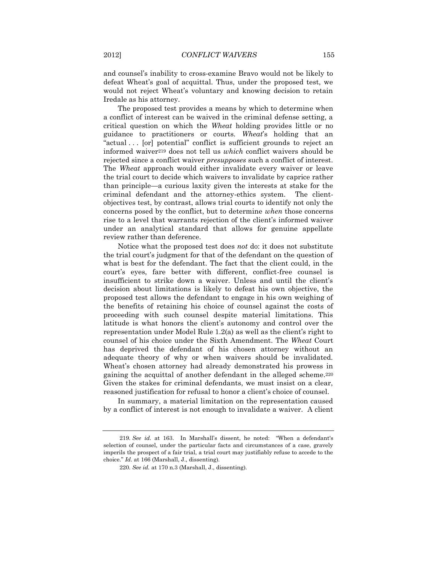and counsel's inability to cross-examine Bravo would not be likely to defeat Wheat's goal of acquittal. Thus, under the proposed test, we would not reject Wheat's voluntary and knowing decision to retain Iredale as his attorney.

The proposed test provides a means by which to determine when a conflict of interest can be waived in the criminal defense setting, a critical question on which the *Wheat* holding provides little or no guidance to practitioners or courts. *Wheat*'s holding that an "actual . . . [or] potential" conflict is sufficient grounds to reject an informed waiver<sup>219</sup> does not tell us *which* conflict waivers should be rejected since a conflict waiver *presupposes* such a conflict of interest. The *Wheat* approach would either invalidate every waiver or leave the trial court to decide which waivers to invalidate by caprice rather than principle—a curious laxity given the interests at stake for the criminal defendant and the attorney-ethics system. The clientobjectives test, by contrast, allows trial courts to identify not only the concerns posed by the conflict, but to determine *when* those concerns rise to a level that warrants rejection of the client's informed waiver under an analytical standard that allows for genuine appellate review rather than deference.

Notice what the proposed test does *not* do: it does not substitute the trial court's judgment for that of the defendant on the question of what is best for the defendant. The fact that the client could, in the court's eyes, fare better with different, conflict-free counsel is insufficient to strike down a waiver. Unless and until the client's decision about limitations is likely to defeat his own objective, the proposed test allows the defendant to engage in his own weighing of the benefits of retaining his choice of counsel against the costs of proceeding with such counsel despite material limitations. This latitude is what honors the client's autonomy and control over the representation under Model Rule 1.2(a) as well as the client's right to counsel of his choice under the Sixth Amendment. The *Wheat* Court has deprived the defendant of his chosen attorney without an adequate theory of why or when waivers should be invalidated. Wheat's chosen attorney had already demonstrated his prowess in gaining the acquittal of another defendant in the alleged scheme.<sup>220</sup> Given the stakes for criminal defendants, we must insist on a clear, reasoned justification for refusal to honor a client's choice of counsel.

In summary, a material limitation on the representation caused by a conflict of interest is not enough to invalidate a waiver. A client

<sup>219</sup>*. See id*. at 163. In Marshall's dissent, he noted: "When a defendant's selection of counsel, under the particular facts and circumstances of a case, gravely imperils the prospect of a fair trial, a trial court may justifiably refuse to accede to the choice." *Id*. at 166 (Marshall, J., dissenting).

<sup>220</sup>*. See id.* at 170 n.3 (Marshall, J., dissenting).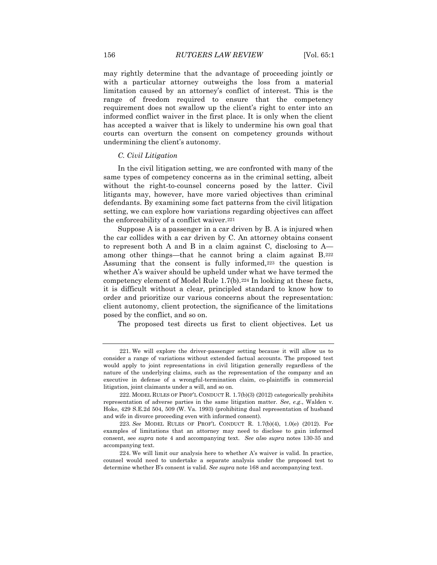may rightly determine that the advantage of proceeding jointly or with a particular attorney outweighs the loss from a material limitation caused by an attorney's conflict of interest. This is the range of freedom required to ensure that the competency requirement does not swallow up the client's right to enter into an informed conflict waiver in the first place. It is only when the client has accepted a waiver that is likely to undermine his own goal that courts can overturn the consent on competency grounds without undermining the client's autonomy.

### *C. Civil Litigation*

In the civil litigation setting, we are confronted with many of the same types of competency concerns as in the criminal setting, albeit without the right-to-counsel concerns posed by the latter. Civil litigants may, however, have more varied objectives than criminal defendants. By examining some fact patterns from the civil litigation setting, we can explore how variations regarding objectives can affect the enforceability of a conflict waiver.<sup>221</sup>

Suppose A is a passenger in a car driven by B. A is injured when the car collides with a car driven by C. An attorney obtains consent to represent both A and B in a claim against C, disclosing to A among other things—that he cannot bring a claim against B.<sup>222</sup> Assuming that the consent is fully informed,<sup>223</sup> the question is whether A's waiver should be upheld under what we have termed the competency element of Model Rule 1.7(b).<sup>224</sup> In looking at these facts, it is difficult without a clear, principled standard to know how to order and prioritize our various concerns about the representation: client autonomy, client protection, the significance of the limitations posed by the conflict, and so on.

The proposed test directs us first to client objectives. Let us

<sup>221.</sup> We will explore the driver-passenger setting because it will allow us to consider a range of variations without extended factual accounts. The proposed test would apply to joint representations in civil litigation generally regardless of the nature of the underlying claims, such as the representation of the company and an executive in defense of a wrongful-termination claim, co-plaintiffs in commercial litigation, joint claimants under a will, and so on.

<sup>222.</sup> MODEL RULES OF PROF'L CONDUCT R. 1.7(b)(3) (2012) categorically prohibits representation of adverse parties in the same litigation matter. *See*, *e.g*., Walden v. Hoke, 429 S.E.2d 504, 509 (W. Va. 1993) (prohibiting dual representation of husband and wife in divorce proceeding even with informed consent).

<sup>223</sup>*. See* MODEL RULES OF PROF'L CONDUCT R. 1.7(b)(4), 1.0(e) (2012). For examples of limitations that an attorney may need to disclose to gain informed consent, see *supra* note 4 and accompanying text. *See also supra* notes 130-35 and accompanying text.

<sup>224.</sup> We will limit our analysis here to whether A's waiver is valid. In practice, counsel would need to undertake a separate analysis under the proposed test to determine whether B's consent is valid. *See supra* note 168 and accompanying text.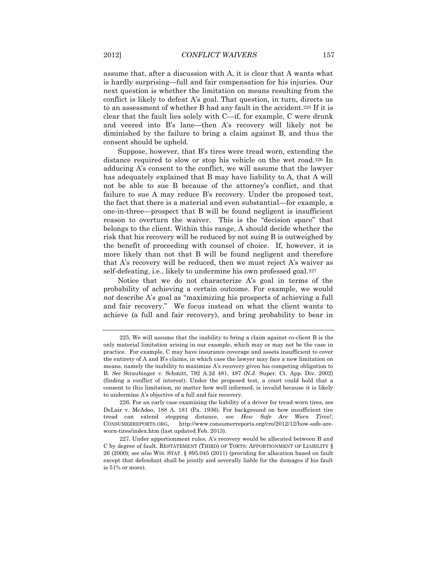assume that, after a discussion with A, it is clear that A wants what is hardly surprising—full and fair compensation for his injuries. Our next question is whether the limitation on means resulting from the conflict is likely to defeat A's goal. That question, in turn, directs us to an assessment of whether B had any fault in the accident.<sup>225</sup> If it is clear that the fault lies solely with C—if, for example, C were drunk and veered into B's lane—then A's recovery will likely not be diminished by the failure to bring a claim against B, and thus the consent should be upheld.

Suppose, however, that B's tires were tread worn, extending the distance required to slow or stop his vehicle on the wet road.<sup>226</sup> In adducing A's consent to the conflict, we will assume that the lawyer has adequately explained that B may have liability to A, that A will not be able to sue B because of the attorney's conflict, and that failure to sue A may reduce B's recovery. Under the proposed test, the fact that there is a material and even substantial—for example, a one-in-three—prospect that B will be found negligent is insufficient reason to overturn the waiver. This is the "decision space" that belongs to the client. Within this range, A should decide whether the risk that his recovery will be reduced by not suing B is outweighed by the benefit of proceeding with counsel of choice. If, however, it is more likely than not that B will be found negligent and therefore that A's recovery will be reduced, then we must reject A's waiver as self-defeating, i.e., likely to undermine his own professed goal.<sup>227</sup>

Notice that we do not characterize A's goal in terms of the probability of achieving a certain outcome. For example, we would *not* describe A's goal as "maximizing his prospects of achieving a full and fair recovery." We focus instead on what the client wants to achieve (a full and fair recovery), and bring probability to bear in

<sup>225.</sup> We will assume that the inability to bring a claim against co-client B is the only material limitation arising in our example, which may or may not be the case in practice. For example, C may have insurance coverage and assets insufficient to cover the entirety of A and B's claims, in which case the lawyer may face a new limitation on means, namely the inability to maximize A's recovery given his competing obligation to B. *See* Straubinger v. Schmitt, 792 A.2d 481, 487 (N.J. Super. Ct. App. Div. 2002) (finding a conflict of interest). Under the proposed test, a court could hold that a consent to this limitation, no matter how well informed, is invalid because it is likely to undermine A's objective of a full and fair recovery.

<sup>226.</sup> For an early case examining the liability of a driver for tread-worn tires, see DeLair v. McAdoo, 188 A. 181 (Pa. 1936). For background on how insufficient tire tread can extend stopping distance, see *How Safe Are Worn Tires?*, CONSUMERREPORTS.ORG, http://www.consumerreports.org/cro/2012/12/how-safe-areworn-tires/index.htm (last updated Feb. 2013).

<sup>227.</sup> Under apportionment rules, A's recovery would be allocated between B and C by degree of fault. RESTATEMENT (THIRD) OF TORTS: APPORTIONMENT OF LIABILITY § 26 (2000); *see also* WIS. STAT. § 895.045 (2011) (providing for allocation based on fault except that defendant shall be jointly and severally liable for the damages if his fault is 51% or more).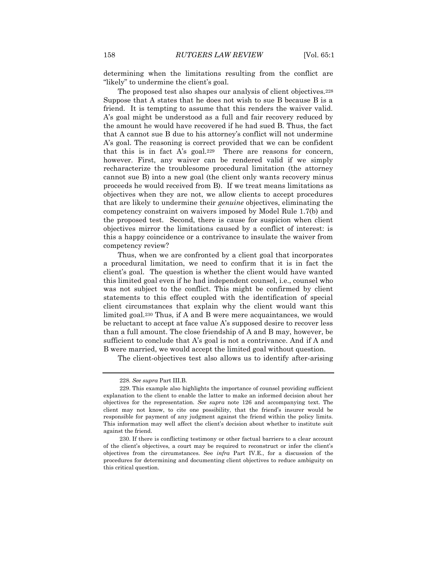determining when the limitations resulting from the conflict are "likely" to undermine the client's goal.

The proposed test also shapes our analysis of client objectives.<sup>228</sup> Suppose that A states that he does not wish to sue B because B is a friend. It is tempting to assume that this renders the waiver valid. A's goal might be understood as a full and fair recovery reduced by the amount he would have recovered if he had sued B. Thus, the fact that A cannot sue B due to his attorney's conflict will not undermine A's goal. The reasoning is correct provided that we can be confident that this is in fact A's goal.229 There are reasons for concern, however. First, any waiver can be rendered valid if we simply recharacterize the troublesome procedural limitation (the attorney cannot sue B) into a new goal (the client only wants recovery minus proceeds he would received from B). If we treat means limitations as objectives when they are not, we allow clients to accept procedures that are likely to undermine their *genuine* objectives, eliminating the competency constraint on waivers imposed by Model Rule 1.7(b) and the proposed test. Second, there is cause for suspicion when client objectives mirror the limitations caused by a conflict of interest: is this a happy coincidence or a contrivance to insulate the waiver from competency review?

Thus, when we are confronted by a client goal that incorporates a procedural limitation, we need to confirm that it is in fact the client's goal. The question is whether the client would have wanted this limited goal even if he had independent counsel, i.e., counsel who was not subject to the conflict. This might be confirmed by client statements to this effect coupled with the identification of special client circumstances that explain why the client would want this limited goal.<sup>230</sup> Thus, if A and B were mere acquaintances, we would be reluctant to accept at face value A's supposed desire to recover less than a full amount. The close friendship of A and B may, however, be sufficient to conclude that A's goal is not a contrivance. And if A and B were married, we would accept the limited goal without question.

The client-objectives test also allows us to identify after-arising

<sup>228</sup>*. See supra* Part III.B.

<sup>229.</sup> This example also highlights the importance of counsel providing sufficient explanation to the client to enable the latter to make an informed decision about her objectives for the representation. *See supra* note 126 and accompanying text. The client may not know, to cite one possibility, that the friend's insurer would be responsible for payment of any judgment against the friend within the policy limits. This information may well affect the client's decision about whether to institute suit against the friend.

<sup>230.</sup> If there is conflicting testimony or other factual barriers to a clear account of the client's objectives, a court may be required to reconstruct or infer the client's objectives from the circumstances. See *infra* Part IV.E., for a discussion of the procedures for determining and documenting client objectives to reduce ambiguity on this critical question.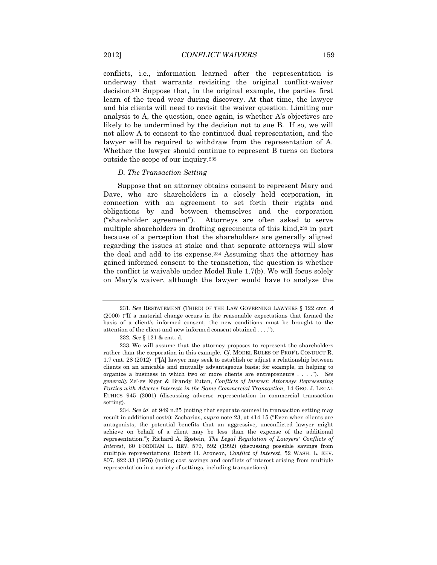conflicts, i.e., information learned after the representation is underway that warrants revisiting the original conflict-waiver decision.<sup>231</sup> Suppose that, in the original example, the parties first learn of the tread wear during discovery. At that time, the lawyer and his clients will need to revisit the waiver question. Limiting our analysis to A, the question, once again, is whether A's objectives are likely to be undermined by the decision not to sue B. If so, we will not allow A to consent to the continued dual representation, and the lawyer will be required to withdraw from the representation of A. Whether the lawyer should continue to represent B turns on factors outside the scope of our inquiry.<sup>232</sup>

## *D. The Transaction Setting*

Suppose that an attorney obtains consent to represent Mary and Dave, who are shareholders in a closely held corporation, in connection with an agreement to set forth their rights and obligations by and between themselves and the corporation ("shareholder agreement"). Attorneys are often asked to serve multiple shareholders in drafting agreements of this kind,<sup>233</sup> in part because of a perception that the shareholders are generally aligned regarding the issues at stake and that separate attorneys will slow the deal and add to its expense.<sup>234</sup> Assuming that the attorney has gained informed consent to the transaction, the question is whether the conflict is waivable under Model Rule 1.7(b). We will focus solely on Mary's waiver, although the lawyer would have to analyze the

<sup>231</sup>*. See* RESTATEMENT (THIRD) OF THE LAW GOVERNING LAWYERS § 122 cmt. d (2000) ("If a material change occurs in the reasonable expectations that formed the basis of a client's informed consent, the new conditions must be brought to the attention of the client and new informed consent obtained . . . .").

<sup>232</sup>*. See* § 121 & cmt. d.

<sup>233.</sup> We will assume that the attorney proposes to represent the shareholders rather than the corporation in this example. *Cf*. MODEL RULES OF PROF'L CONDUCT R. 1.7 cmt. 28 (2012) ("[A] lawyer may seek to establish or adjust a relationship between clients on an amicable and mutually advantageous basis; for example, in helping to organize a business in which two or more clients are entrepreneurs . . . ."). *See generally* Ze'-ev Eiger & Brandy Rutan, *Conflicts of Interest: Attorneys Representing Parties with Adverse Interests in the Same Commercial Transaction,* 14 GEO. J. LEGAL ETHICS 945 (2001) (discussing adverse representation in commercial transaction setting).

<sup>234</sup>*. See id.* at 949 n.25 (noting that separate counsel in transaction setting may result in additional costs); Zacharias, *supra* note 23, at 414-15 ("Even when clients are antagonists, the potential benefits that an aggressive, unconflicted lawyer might achieve on behalf of a client may be less than the expense of the additional representation."); Richard A. Epstein, *The Legal Regulation of Lawyers' Conflicts of Interest*, 60 FORDHAM L. REV. 579, 592 (1992) (discussing possible savings from multiple representation); Robert H. Aronson, *Conflict of Interest*, 52 WASH. L. REV. 807, 822-33 (1976) (noting cost savings and conflicts of interest arising from multiple representation in a variety of settings, including transactions).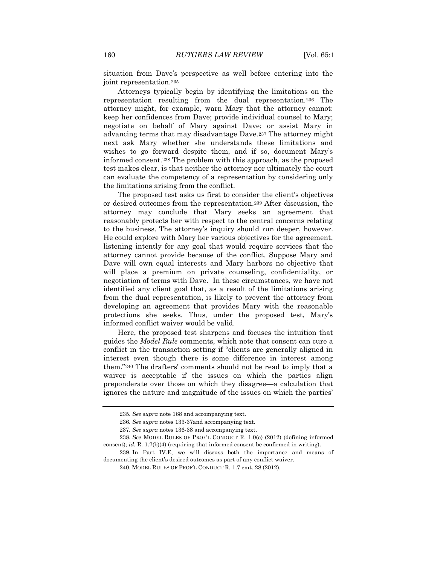situation from Dave's perspective as well before entering into the joint representation.<sup>235</sup>

Attorneys typically begin by identifying the limitations on the representation resulting from the dual representation.<sup>236</sup> The attorney might, for example, warn Mary that the attorney cannot: keep her confidences from Dave; provide individual counsel to Mary; negotiate on behalf of Mary against Dave; or assist Mary in advancing terms that may disadvantage Dave.<sup>237</sup> The attorney might next ask Mary whether she understands these limitations and wishes to go forward despite them, and if so, document Mary's informed consent.<sup>238</sup> The problem with this approach, as the proposed test makes clear, is that neither the attorney nor ultimately the court can evaluate the competency of a representation by considering only the limitations arising from the conflict.

The proposed test asks us first to consider the client's objectives or desired outcomes from the representation.<sup>239</sup> After discussion, the attorney may conclude that Mary seeks an agreement that reasonably protects her with respect to the central concerns relating to the business. The attorney's inquiry should run deeper, however. He could explore with Mary her various objectives for the agreement, listening intently for any goal that would require services that the attorney cannot provide because of the conflict. Suppose Mary and Dave will own equal interests and Mary harbors no objective that will place a premium on private counseling, confidentiality, or negotiation of terms with Dave. In these circumstances, we have not identified any client goal that, as a result of the limitations arising from the dual representation, is likely to prevent the attorney from developing an agreement that provides Mary with the reasonable protections she seeks. Thus, under the proposed test, Mary's informed conflict waiver would be valid.

Here, the proposed test sharpens and focuses the intuition that guides the *Model Rule* comments, which note that consent can cure a conflict in the transaction setting if "clients are generally aligned in interest even though there is some difference in interest among them."<sup>240</sup> The drafters' comments should not be read to imply that a waiver is acceptable if the issues on which the parties align preponderate over those on which they disagree—a calculation that ignores the nature and magnitude of the issues on which the parties'

<sup>235</sup>*. See supra* note 168 and accompanying text.

<sup>236</sup>*. See supra* notes 133-37and accompanying text.

<sup>237</sup>*. See supra* notes 136-38 and accompanying text.

<sup>238</sup>*. See* MODEL RULES OF PROF'L CONDUCT R. 1.0(e) (2012) (defining informed consent); *id.* R. 1.7(b)(4) (requiring that informed consent be confirmed in writing).

<sup>239.</sup> In Part IV.E, we will discuss both the importance and means of documenting the client's desired outcomes as part of any conflict waiver.

<sup>240.</sup> MODEL RULES OF PROF'L CONDUCT R. 1.7 cmt. 28 (2012).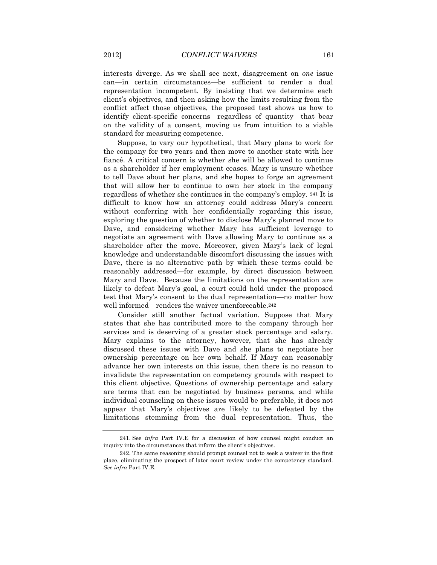interests diverge. As we shall see next, disagreement on *one* issue can—in certain circumstances—be sufficient to render a dual representation incompetent. By insisting that we determine each client's objectives, and then asking how the limits resulting from the conflict affect those objectives, the proposed test shows us how to identify client-specific concerns—regardless of quantity—that bear on the validity of a consent, moving us from intuition to a viable standard for measuring competence.

Suppose, to vary our hypothetical, that Mary plans to work for the company for two years and then move to another state with her fiancé. A critical concern is whether she will be allowed to continue as a shareholder if her employment ceases. Mary is unsure whether to tell Dave about her plans, and she hopes to forge an agreement that will allow her to continue to own her stock in the company regardless of whether she continues in the company's employ. <sup>241</sup> It is difficult to know how an attorney could address Mary's concern without conferring with her confidentially regarding this issue, exploring the question of whether to disclose Mary's planned move to Dave, and considering whether Mary has sufficient leverage to negotiate an agreement with Dave allowing Mary to continue as a shareholder after the move. Moreover, given Mary's lack of legal knowledge and understandable discomfort discussing the issues with Dave, there is no alternative path by which these terms could be reasonably addressed—for example, by direct discussion between Mary and Dave. Because the limitations on the representation are likely to defeat Mary's goal, a court could hold under the proposed test that Mary's consent to the dual representation—no matter how well informed—renders the waiver unenforceable.<sup>242</sup>

Consider still another factual variation. Suppose that Mary states that she has contributed more to the company through her services and is deserving of a greater stock percentage and salary. Mary explains to the attorney, however, that she has already discussed these issues with Dave and she plans to negotiate her ownership percentage on her own behalf. If Mary can reasonably advance her own interests on this issue, then there is no reason to invalidate the representation on competency grounds with respect to this client objective. Questions of ownership percentage and salary are terms that can be negotiated by business persons, and while individual counseling on these issues would be preferable, it does not appear that Mary's objectives are likely to be defeated by the limitations stemming from the dual representation. Thus, the

<sup>241.</sup> See *infra* Part IV.E for a discussion of how counsel might conduct an inquiry into the circumstances that inform the client's objectives.

<sup>242.</sup> The same reasoning should prompt counsel not to seek a waiver in the first place, eliminating the prospect of later court review under the competency standard. *See infra* Part IV.E.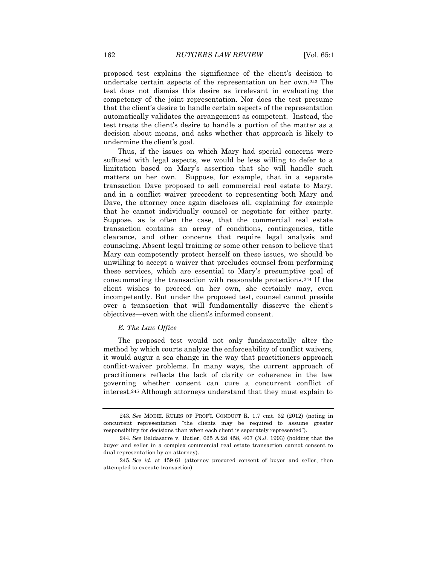proposed test explains the significance of the client's decision to undertake certain aspects of the representation on her own.<sup>243</sup> The test does not dismiss this desire as irrelevant in evaluating the competency of the joint representation. Nor does the test presume that the client's desire to handle certain aspects of the representation automatically validates the arrangement as competent. Instead, the test treats the client's desire to handle a portion of the matter as a decision about means, and asks whether that approach is likely to undermine the client's goal.

Thus, if the issues on which Mary had special concerns were suffused with legal aspects, we would be less willing to defer to a limitation based on Mary's assertion that she will handle such matters on her own. Suppose, for example, that in a separate transaction Dave proposed to sell commercial real estate to Mary, and in a conflict waiver precedent to representing both Mary and Dave, the attorney once again discloses all, explaining for example that he cannot individually counsel or negotiate for either party. Suppose, as is often the case, that the commercial real estate transaction contains an array of conditions, contingencies, title clearance, and other concerns that require legal analysis and counseling. Absent legal training or some other reason to believe that Mary can competently protect herself on these issues, we should be unwilling to accept a waiver that precludes counsel from performing these services, which are essential to Mary's presumptive goal of consummating the transaction with reasonable protections.<sup>244</sup> If the client wishes to proceed on her own, she certainly may, even incompetently. But under the proposed test, counsel cannot preside over a transaction that will fundamentally disserve the client's objectives—even with the client's informed consent.

### *E. The Law Office*

The proposed test would not only fundamentally alter the method by which courts analyze the enforceability of conflict waivers, it would augur a sea change in the way that practitioners approach conflict-waiver problems. In many ways, the current approach of practitioners reflects the lack of clarity or coherence in the law governing whether consent can cure a concurrent conflict of interest.<sup>245</sup> Although attorneys understand that they must explain to

<sup>243</sup>*. See* MODEL RULES OF PROF'L CONDUCT R. 1.7 cmt. 32 (2012) (noting in concurrent representation "the clients may be required to assume greater responsibility for decisions than when each client is separately represented").

<sup>244</sup>*. See* Baldasarre v. Butler, 625 A.2d 458, 467 (N.J. 1993) (holding that the buyer and seller in a complex commercial real estate transaction cannot consent to dual representation by an attorney).

<sup>245</sup>*. See id.* at 459-61 (attorney procured consent of buyer and seller, then attempted to execute transaction).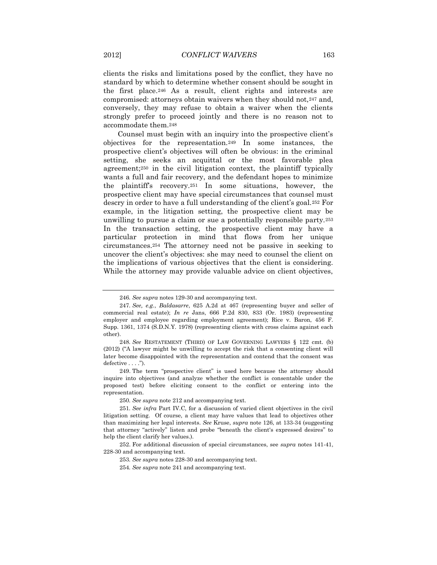clients the risks and limitations posed by the conflict, they have no standard by which to determine whether consent should be sought in the first place.<sup>246</sup> As a result, client rights and interests are compromised: attorneys obtain waivers when they should not,<sup>247</sup> and, conversely, they may refuse to obtain a waiver when the clients strongly prefer to proceed jointly and there is no reason not to accommodate them.<sup>248</sup>

Counsel must begin with an inquiry into the prospective client's objectives for the representation.<sup>249</sup> In some instances, the prospective client's objectives will often be obvious: in the criminal setting, she seeks an acquittal or the most favorable plea agreement;<sup>250</sup> in the civil litigation context, the plaintiff typically wants a full and fair recovery, and the defendant hopes to minimize the plaintiff's recovery.<sup>251</sup> In some situations, however, the prospective client may have special circumstances that counsel must descry in order to have a full understanding of the client's goal.<sup>252</sup> For example, in the litigation setting, the prospective client may be unwilling to pursue a claim or sue a potentially responsible party.<sup>253</sup> In the transaction setting, the prospective client may have a particular protection in mind that flows from her unique circumstances.<sup>254</sup> The attorney need not be passive in seeking to uncover the client's objectives: she may need to counsel the client on the implications of various objectives that the client is considering. While the attorney may provide valuable advice on client objectives,

<sup>246</sup>*. See supra* notes 129-30 and accompanying text.

<sup>247</sup>*. See, e.g.*, *Baldasarre*, 625 A.2d at 467 (representing buyer and seller of commercial real estate); *In re* Jans, 666 P.2d 830, 833 (Or. 1983) (representing employer and employee regarding employment agreement); Rice v. Baron, 456 F. Supp. 1361, 1374 (S.D.N.Y. 1978) (representing clients with cross claims against each other).

<sup>248</sup>*. See* RESTATEMENT (THIRD) OF LAW GOVERNING LAWYERS § 122 cmt. (b) (2012) ("A lawyer might be unwilling to accept the risk that a consenting client will later become disappointed with the representation and contend that the consent was defective . . . .").

<sup>249.</sup> The term "prospective client" is used here because the attorney should inquire into objectives (and analyze whether the conflict is consentable under the proposed test) before eliciting consent to the conflict or entering into the representation.

<sup>250</sup>*. See supra* note 212 and accompanying text.

<sup>251</sup>*. See infra* Part IV.C, for a discussion of varied client objectives in the civil litigation setting. Of course, a client may have values that lead to objectives other than maximizing her legal interests. *See* Kruse, *supra* note 126, at 133-34 (suggesting that attorney "actively" listen and probe "beneath the client's expressed desires" to help the client clarify her values.).

<sup>252.</sup> For additional discussion of special circumstances, see *supra* notes 141-41, 228-30 and accompanying text.

<sup>253</sup>*. See supra* notes 228-30 and accompanying text.

<sup>254</sup>*. See supra* note 241 and accompanying text.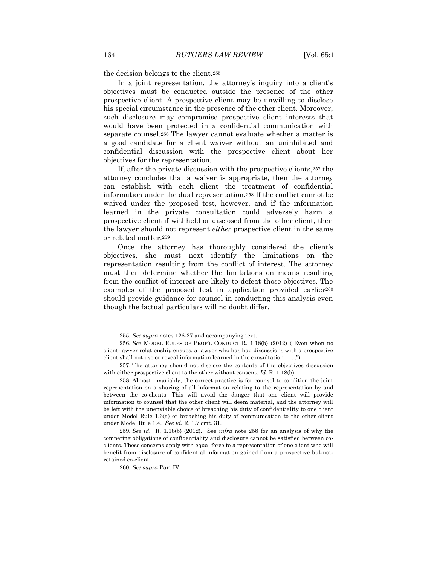the decision belongs to the client.<sup>255</sup>

In a joint representation, the attorney's inquiry into a client's objectives must be conducted outside the presence of the other prospective client. A prospective client may be unwilling to disclose his special circumstance in the presence of the other client. Moreover, such disclosure may compromise prospective client interests that would have been protected in a confidential communication with separate counsel.<sup>256</sup> The lawyer cannot evaluate whether a matter is a good candidate for a client waiver without an uninhibited and confidential discussion with the prospective client about her objectives for the representation.

If, after the private discussion with the prospective clients,<sup>257</sup> the attorney concludes that a waiver is appropriate, then the attorney can establish with each client the treatment of confidential information under the dual representation.<sup>258</sup> If the conflict cannot be waived under the proposed test, however, and if the information learned in the private consultation could adversely harm a prospective client if withheld or disclosed from the other client, then the lawyer should not represent *either* prospective client in the same or related matter.<sup>259</sup>

Once the attorney has thoroughly considered the client's objectives, she must next identify the limitations on the representation resulting from the conflict of interest. The attorney must then determine whether the limitations on means resulting from the conflict of interest are likely to defeat those objectives. The examples of the proposed test in application provided earlier<sup>260</sup> should provide guidance for counsel in conducting this analysis even though the factual particulars will no doubt differ.

260*. See supra* Part IV.

<sup>255</sup>*. See supra* notes 126-27 and accompanying text.

<sup>256</sup>*. See* MODEL RULES OF PROF'L CONDUCT R. 1.18(b) (2012) ("Even when no client-lawyer relationship ensues, a lawyer who has had discussions with a prospective client shall not use or reveal information learned in the consultation . . . .").

<sup>257.</sup> The attorney should not disclose the contents of the objectives discussion with either prospective client to the other without consent. *Id.* R. 1.18(b).

<sup>258.</sup> Almost invariably, the correct practice is for counsel to condition the joint representation on a sharing of all information relating to the representation by and between the co-clients. This will avoid the danger that one client will provide information to counsel that the other client will deem material, and the attorney will be left with the unenviable choice of breaching his duty of confidentiality to one client under Model Rule 1.6(a) or breaching his duty of communication to the other client under Model Rule 1.4. *See id.* R. 1.7 cmt. 31.

<sup>259</sup>*. See id.* R. 1.18(b) (2012). See *infra* note 258 for an analysis of why the competing obligations of confidentiality and disclosure cannot be satisfied between coclients. These concerns apply with equal force to a representation of one client who will benefit from disclosure of confidential information gained from a prospective but-notretained co-client.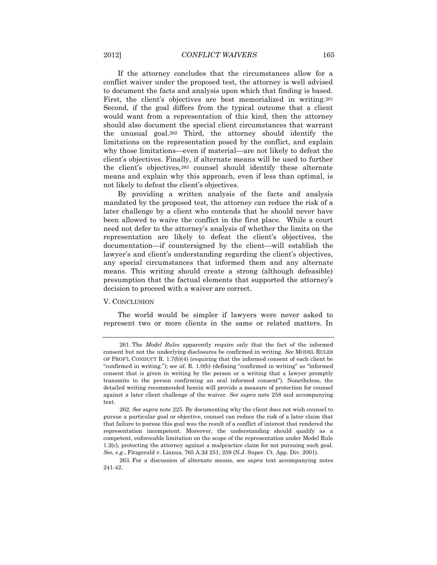If the attorney concludes that the circumstances allow for a conflict waiver under the proposed test, the attorney is well advised to document the facts and analysis upon which that finding is based. First, the client's objectives are best memorialized in writing.<sup>261</sup> Second, if the goal differs from the typical outcome that a client would want from a representation of this kind, then the attorney should also document the special client circumstances that warrant the unusual goal.<sup>262</sup> Third, the attorney should identify the limitations on the representation posed by the conflict, and explain why those limitations—even if material—are not likely to defeat the client's objectives. Finally, if alternate means will be used to further the client's objectives,<sup>263</sup> counsel should identify these alternate means and explain why this approach, even if less than optimal, is not likely to defeat the client's objectives.

By providing a written analysis of the facts and analysis mandated by the proposed test, the attorney can reduce the risk of a later challenge by a client who contends that he should never have been allowed to waive the conflict in the first place. While a court need not defer to the attorney's analysis of whether the limits on the representation are likely to defeat the client's objectives, the documentation—if countersigned by the client—will establish the lawyer's and client's understanding regarding the client's objectives, any special circumstances that informed them and any alternate means. This writing should create a strong (although defeasible) presumption that the factual elements that supported the attorney's decision to proceed with a waiver are correct.

## V. CONCLUSION

The world would be simpler if lawyers were never asked to represent two or more clients in the same or related matters. In

<sup>261.</sup> The *Model Rules* apparently require only that the fact of the informed consent but not the underlying disclosures be confirmed in writing. *See* MODEL RULES OF PROF'L CONDUCT R. 1.7(b)(4) (requiring that the informed consent of each client be "confirmed in writing."); *see id.* R. 1.0(b) (defining "confirmed in writing" as "informed consent that is given in writing by the person or a writing that a lawyer promptly transmits to the person confirming an oral informed consent"). Nonetheless, the detailed writing recommended herein will provide a measure of protection for counsel against a later client challenge of the waiver. *See supra* note 258 and accompanying text.

<sup>262</sup>*. See supra* note 225. By documenting why the client does not wish counsel to pursue a particular goal or objective, counsel can reduce the risk of a later claim that that failure to pursue this goal was the result of a conflict of interest that rendered the representation incompetent. Moreover, the understanding should qualify as a competent, enforceable limitation on the scope of the representation under Model Rule 1.2(c), protecting the attorney against a malpractice claim for not pursuing such goal. *See, e.g.*, Fitzgerald v. Linnus, 765 A.2d 251, 259 (N.J. Super. Ct. App. Div. 2001).

<sup>263.</sup> For a discussion of alternate means, see *supra* text accompanying notes 241-42.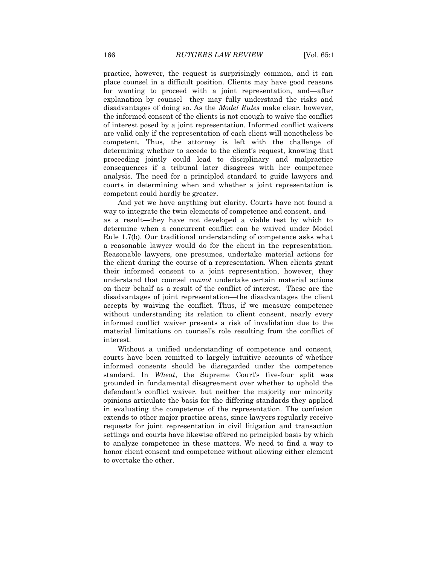practice, however, the request is surprisingly common, and it can place counsel in a difficult position. Clients may have good reasons for wanting to proceed with a joint representation, and—after explanation by counsel—they may fully understand the risks and disadvantages of doing so. As the *Model Rules* make clear, however, the informed consent of the clients is not enough to waive the conflict of interest posed by a joint representation. Informed conflict waivers are valid only if the representation of each client will nonetheless be competent. Thus, the attorney is left with the challenge of determining whether to accede to the client's request, knowing that proceeding jointly could lead to disciplinary and malpractice consequences if a tribunal later disagrees with her competence analysis. The need for a principled standard to guide lawyers and courts in determining when and whether a joint representation is competent could hardly be greater.

And yet we have anything but clarity. Courts have not found a way to integrate the twin elements of competence and consent, and as a result—they have not developed a viable test by which to determine when a concurrent conflict can be waived under Model Rule 1.7(b). Our traditional understanding of competence asks what a reasonable lawyer would do for the client in the representation. Reasonable lawyers, one presumes, undertake material actions for the client during the course of a representation. When clients grant their informed consent to a joint representation, however, they understand that counsel *cannot* undertake certain material actions on their behalf as a result of the conflict of interest. These are the disadvantages of joint representation—the disadvantages the client accepts by waiving the conflict. Thus, if we measure competence without understanding its relation to client consent, nearly every informed conflict waiver presents a risk of invalidation due to the material limitations on counsel's role resulting from the conflict of interest.

Without a unified understanding of competence and consent, courts have been remitted to largely intuitive accounts of whether informed consents should be disregarded under the competence standard. In *Wheat*, the Supreme Court's five-four split was grounded in fundamental disagreement over whether to uphold the defendant's conflict waiver, but neither the majority nor minority opinions articulate the basis for the differing standards they applied in evaluating the competence of the representation. The confusion extends to other major practice areas, since lawyers regularly receive requests for joint representation in civil litigation and transaction settings and courts have likewise offered no principled basis by which to analyze competence in these matters. We need to find a way to honor client consent and competence without allowing either element to overtake the other.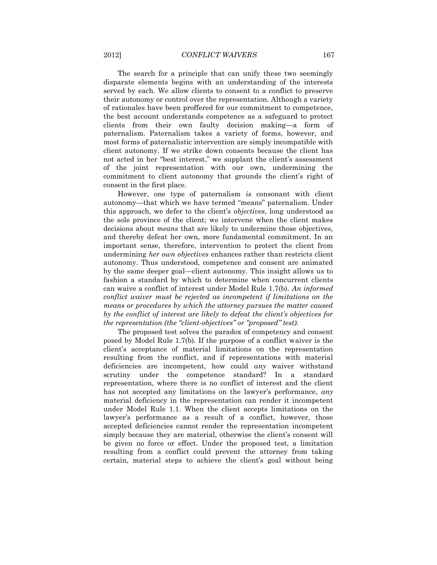The search for a principle that can unify these two seemingly disparate elements begins with an understanding of the interests served by each. We allow clients to consent to a conflict to preserve their autonomy or control over the representation. Although a variety of rationales have been proffered for our commitment to competence, the best account understands competence as a safeguard to protect clients from their own faulty decision making—a form of paternalism. Paternalism takes a variety of forms, however, and most forms of paternalistic intervention are simply incompatible with client autonomy. If we strike down consents because the client has not acted in her "best interest," we supplant the client's assessment of the joint representation with our own, undermining the commitment to client autonomy that grounds the client's right of consent in the first place.

However, one type of paternalism *is* consonant with client autonomy—that which we have termed "means" paternalism. Under this approach, we defer to the client's *objectives*, long understood as the sole province of the client; we intervene when the client makes decisions about *means* that are likely to undermine those objectives, and thereby defeat her own, more fundamental commitment. In an important sense, therefore, intervention to protect the client from undermining *her own objectives* enhances rather than restricts client autonomy. Thus understood, competence and consent are animated by the same deeper goal—client autonomy. This insight allows us to fashion a standard by which to determine when concurrent clients can waive a conflict of interest under Model Rule 1.7(b). *An informed conflict waiver must be rejected as incompetent if limitations on the means or procedures by which the attorney pursues the matter caused by the conflict of interest are likely to defeat the client's objectives for the representation (the "client-objectives" or "proposed" test).*

The proposed test solves the paradox of competency and consent posed by Model Rule 1.7(b). If the purpose of a conflict waiver is the client's acceptance of material limitations on the representation resulting from the conflict, and if representations with material deficiencies are incompetent, how could *any* waiver withstand scrutiny under the competence standard? In a standard representation, where there is no conflict of interest and the client has not accepted any limitations on the lawyer's performance, *any* material deficiency in the representation can render it incompetent under Model Rule 1.1. When the client accepts limitations on the lawyer's performance as a result of a conflict, however, those accepted deficiencies cannot render the representation incompetent simply because they are material, otherwise the client's consent will be given no force or effect. Under the proposed test, a limitation resulting from a conflict could prevent the attorney from taking certain, material steps to achieve the client's goal without being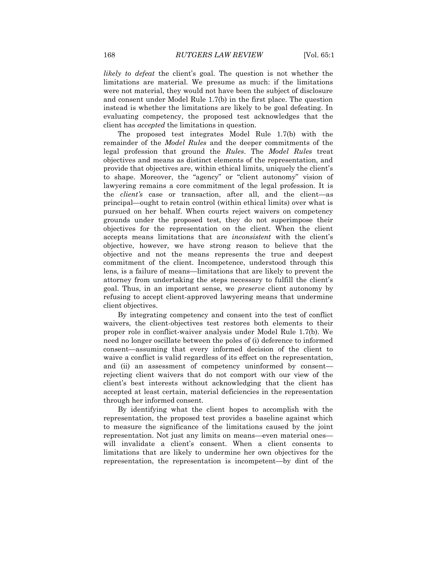*likely to defeat* the client's goal. The question is not whether the limitations are material. We presume as much: if the limitations were not material, they would not have been the subject of disclosure and consent under Model Rule 1.7(b) in the first place. The question instead is whether the limitations are likely to be goal defeating. In evaluating competency, the proposed test acknowledges that the client has *accepted* the limitations in question.

The proposed test integrates Model Rule 1.7(b) with the remainder of the *Model Rules* and the deeper commitments of the legal profession that ground the *Rules*. The *Model Rules* treat objectives and means as distinct elements of the representation, and provide that objectives are, within ethical limits, uniquely the client's to shape. Moreover, the "agency" or "client autonomy" vision of lawyering remains a core commitment of the legal profession. It is the *client's* case or transaction, after all, and the client—as principal—ought to retain control (within ethical limits) over what is pursued on her behalf. When courts reject waivers on competency grounds under the proposed test, they do not superimpose their objectives for the representation on the client. When the client accepts means limitations that are *inconsistent* with the client's objective, however, we have strong reason to believe that the objective and not the means represents the true and deepest commitment of the client. Incompetence, understood through this lens, is a failure of means—limitations that are likely to prevent the attorney from undertaking the steps necessary to fulfill the client's goal. Thus, in an important sense, we *preserve* client autonomy by refusing to accept client-approved lawyering means that undermine client objectives.

By integrating competency and consent into the test of conflict waivers, the client-objectives test restores both elements to their proper role in conflict-waiver analysis under Model Rule 1.7(b). We need no longer oscillate between the poles of (i) deference to informed consent—assuming that every informed decision of the client to waive a conflict is valid regardless of its effect on the representation, and (ii) an assessment of competency uninformed by consent rejecting client waivers that do not comport with our view of the client's best interests without acknowledging that the client has accepted at least certain, material deficiencies in the representation through her informed consent.

By identifying what the client hopes to accomplish with the representation, the proposed test provides a baseline against which to measure the significance of the limitations caused by the joint representation. Not just any limits on means—even material ones will invalidate a client's consent. When a client consents to limitations that are likely to undermine her own objectives for the representation, the representation is incompetent—by dint of the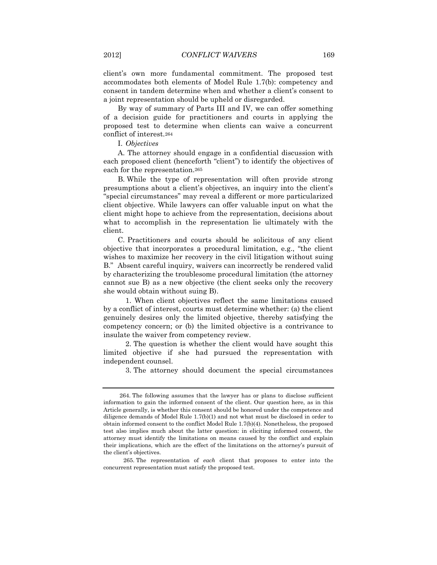client's own more fundamental commitment. The proposed test accommodates both elements of Model Rule 1.7(b): competency and consent in tandem determine when and whether a client's consent to a joint representation should be upheld or disregarded.

By way of summary of Parts III and IV, we can offer something of a decision guide for practitioners and courts in applying the proposed test to determine when clients can waive a concurrent conflict of interest.<sup>264</sup>

I. *Objectives*

A. The attorney should engage in a confidential discussion with each proposed client (henceforth "client") to identify the objectives of each for the representation.<sup>265</sup>

B. While the type of representation will often provide strong presumptions about a client's objectives, an inquiry into the client's "special circumstances" may reveal a different or more particularized client objective. While lawyers can offer valuable input on what the client might hope to achieve from the representation, decisions about what to accomplish in the representation lie ultimately with the client.

C. Practitioners and courts should be solicitous of any client objective that incorporates a procedural limitation, e.g., "the client wishes to maximize her recovery in the civil litigation without suing B." Absent careful inquiry, waivers can incorrectly be rendered valid by characterizing the troublesome procedural limitation (the attorney cannot sue B) as a new objective (the client seeks only the recovery she would obtain without suing B).

1. When client objectives reflect the same limitations caused by a conflict of interest, courts must determine whether: (a) the client genuinely desires only the limited objective, thereby satisfying the competency concern; or (b) the limited objective is a contrivance to insulate the waiver from competency review.

2. The question is whether the client would have sought this limited objective if she had pursued the representation with independent counsel.

3. The attorney should document the special circumstances

<sup>264.</sup> The following assumes that the lawyer has or plans to disclose sufficient information to gain the informed consent of the client. Our question here, as in this Article generally, is whether this consent should be honored under the competence and diligence demands of Model Rule 1.7(b)(1) and not what must be disclosed in order to obtain informed consent to the conflict Model Rule 1.7(b)(4). Nonetheless, the proposed test also implies much about the latter question: in eliciting informed consent, the attorney must identify the limitations on means caused by the conflict and explain their implications, which are the effect of the limitations on the attorney's pursuit of the client's objectives.

<sup>265.</sup> The representation of *each* client that proposes to enter into the concurrent representation must satisfy the proposed test.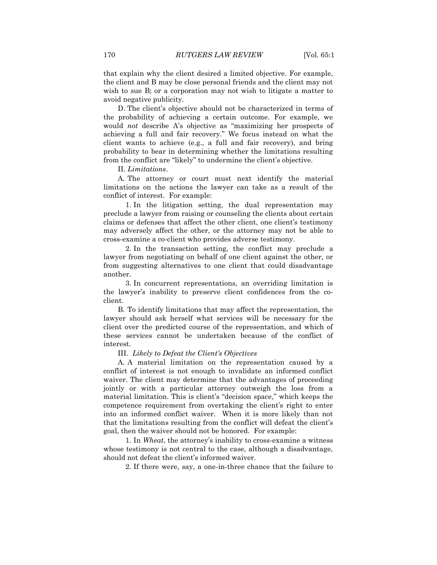that explain why the client desired a limited objective. For example, the client and B may be close personal friends and the client may not wish to sue B; or a corporation may not wish to litigate a matter to avoid negative publicity.

D. The client's objective should not be characterized in terms of the probability of achieving a certain outcome. For example, we would *not* describe A's objective as "maximizing her prospects of achieving a full and fair recovery." We focus instead on what the client wants to achieve (e.g., a full and fair recovery), and bring probability to bear in determining whether the limitations resulting from the conflict are "likely" to undermine the client's objective.

II. *Limitations*.

A. The attorney or court must next identify the material limitations on the actions the lawyer can take as a result of the conflict of interest. For example:

1. In the litigation setting, the dual representation may preclude a lawyer from raising or counseling the clients about certain claims or defenses that affect the other client, one client's testimony may adversely affect the other, or the attorney may not be able to cross-examine a co-client who provides adverse testimony.

2. In the transaction setting, the conflict may preclude a lawyer from negotiating on behalf of one client against the other, or from suggesting alternatives to one client that could disadvantage another.

3. In concurrent representations, an overriding limitation is the lawyer's inability to preserve client confidences from the coclient.

B. To identify limitations that may affect the representation, the lawyer should ask herself what services will be necessary for the client over the predicted course of the representation, and which of these services cannot be undertaken because of the conflict of interest.

#### III. *Likely to Defeat the Client's Objectives*

A. A material limitation on the representation caused by a conflict of interest is not enough to invalidate an informed conflict waiver. The client may determine that the advantages of proceeding jointly or with a particular attorney outweigh the loss from a material limitation. This is client's "decision space," which keeps the competence requirement from overtaking the client's right to enter into an informed conflict waiver. When it is more likely than not that the limitations resulting from the conflict will defeat the client's goal, then the waiver should not be honored. For example:

1. In *Wheat*, the attorney's inability to cross-examine a witness whose testimony is not central to the case, although a disadvantage, should not defeat the client's informed waiver.

2. If there were, say, a one-in-three chance that the failure to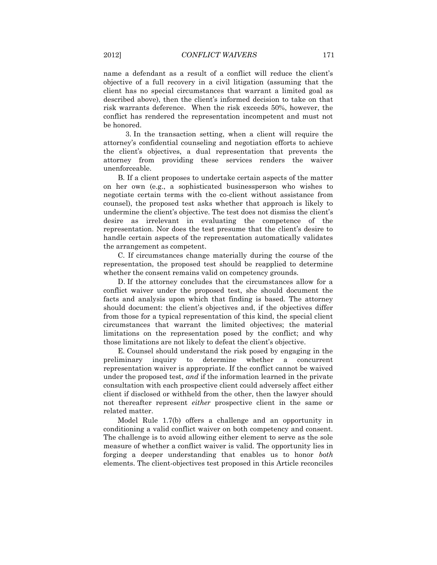name a defendant as a result of a conflict will reduce the client's objective of a full recovery in a civil litigation (assuming that the client has no special circumstances that warrant a limited goal as described above), then the client's informed decision to take on that risk warrants deference. When the risk exceeds 50%, however, the conflict has rendered the representation incompetent and must not be honored.

3. In the transaction setting, when a client will require the attorney's confidential counseling and negotiation efforts to achieve the client's objectives, a dual representation that prevents the attorney from providing these services renders the waiver unenforceable.

B. If a client proposes to undertake certain aspects of the matter on her own (e.g., a sophisticated businessperson who wishes to negotiate certain terms with the co-client without assistance from counsel), the proposed test asks whether that approach is likely to undermine the client's objective. The test does not dismiss the client's desire as irrelevant in evaluating the competence of the representation. Nor does the test presume that the client's desire to handle certain aspects of the representation automatically validates the arrangement as competent.

C. If circumstances change materially during the course of the representation, the proposed test should be reapplied to determine whether the consent remains valid on competency grounds.

D. If the attorney concludes that the circumstances allow for a conflict waiver under the proposed test, she should document the facts and analysis upon which that finding is based. The attorney should document: the client's objectives and, if the objectives differ from those for a typical representation of this kind, the special client circumstances that warrant the limited objectives; the material limitations on the representation posed by the conflict; and why those limitations are not likely to defeat the client's objective.

E. Counsel should understand the risk posed by engaging in the preliminary inquiry to determine whether a concurrent representation waiver is appropriate. If the conflict cannot be waived under the proposed test, *and* if the information learned in the private consultation with each prospective client could adversely affect either client if disclosed or withheld from the other, then the lawyer should not thereafter represent *either* prospective client in the same or related matter.

Model Rule 1.7(b) offers a challenge and an opportunity in conditioning a valid conflict waiver on both competency and consent. The challenge is to avoid allowing either element to serve as the sole measure of whether a conflict waiver is valid. The opportunity lies in forging a deeper understanding that enables us to honor *both* elements. The client-objectives test proposed in this Article reconciles